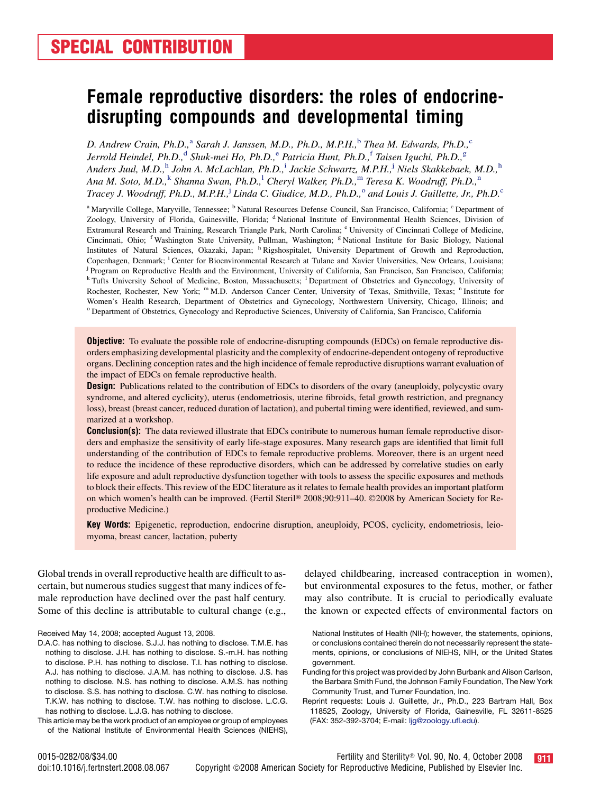# Female reproductive disorders: the roles of endocrinedisrupting compounds and developmental timing

D. Andrew Cr[a](#page-0-0)in, Ph.D., $^a$  Sarah J. Janssen, M.D., Ph.D., M.P.H., $^b$  $^b$  Thea M. Edwards, Ph.D., $^c$  $^c$ Jerrol[d](#page-0-0) H[e](#page-0-0)indel, Ph.D.,<sup>d</sup> Shuk-mei Ho, Ph.D.,<sup>e</sup> Patricia Hunt, Ph.D.,<sup>[f](#page-0-0)</sup> Taisen I[g](#page-0-0)uchi, Ph.D.,<sup>g</sup> Anders Juul, M.D.,<sup>[h](#page-0-0)</sup> John A. McLachlan, Ph.D.,<sup>[i](#page-0-0)</sup> Jackie Schwartz, M.P.H.,<sup>[j](#page-0-0)</sup> Niels Skakkebaek, M.D.,<sup>h</sup> Ana M. Soto, M.D., KShanna Swan, Ph.D., Cheryl Wal[k](#page-0-0)er, Ph.D., Teresa K. Woodruff, Ph.D., T Tracey J. Woodruff, Ph.D., M.P.H.,<sup>[j](#page-0-0)</sup> Linda C. Giudice, M.D., Ph.D.,<sup>[o](#page-0-0)</sup> and Louis J. Guillette, Jr., Ph.D.<sup>[c](#page-0-0)</sup>

<sup>a</sup> Maryville College, Maryville, Tennessee; <sup>b</sup> Natural Resources Defense Council, San Francisco, California; <sup>c</sup> Department of Zoology, University of Florida, Gainesville, Florida; <sup>d</sup> National Institute of Environmental Health Sciences, Division of Extramural Research and Training, Research Triangle Park, North Carolina; <sup>e</sup> University of Cincinnati College of Medicine, Cincinnati, Ohio; <sup>f</sup> Washington State University, Pullman, Washington; <sup>g</sup> National Institute for Basic Biology, National Institutes of Natural Sciences, Okazaki, Japan; <sup>h</sup> Rigshospitalet, University Department of Growth and Reproduction, Copenhagen, Denmark; <sup>i</sup> Center for Bioenvironmental Research at Tulane and Xavier Universities, New Orleans, Louisiana; <sup>j</sup> Program on Reproductive Health and the Environment, University of California, San Francisco, San Francisco, California; <sup>k</sup> Tufts University School of Medicine, Boston, Massachusetts; <sup>1</sup> Department of Obstetrics and Gynecology, University of Rochester, Rochester, New York; <sup>m</sup> M.D. Anderson Cancer Center, University of Texas, Smithville, Texas; <sup>n</sup> Institute for Women's Health Research, Department of Obstetrics and Gynecology, Northwestern University, Chicago, Illinois; and <sup>o</sup> Department of Obstetrics, Gynecology and Reproductive Sciences, University of California, San Francisco, California

**Objective:** To evaluate the possible role of endocrine-disrupting compounds (EDCs) on female reproductive disorders emphasizing developmental plasticity and the complexity of endocrine-dependent ontogeny of reproductive organs. Declining conception rates and the high incidence of female reproductive disruptions warrant evaluation of the impact of EDCs on female reproductive health.

**Design:** Publications related to the contribution of EDCs to disorders of the ovary (aneuploidy, polycystic ovary syndrome, and altered cyclicity), uterus (endometriosis, uterine fibroids, fetal growth restriction, and pregnancy loss), breast (breast cancer, reduced duration of lactation), and pubertal timing were identified, reviewed, and summarized at a workshop.

**Conclusion(s):** The data reviewed illustrate that EDCs contribute to numerous human female reproductive disorders and emphasize the sensitivity of early life-stage exposures. Many research gaps are identified that limit full understanding of the contribution of EDCs to female reproductive problems. Moreover, there is an urgent need to reduce the incidence of these reproductive disorders, which can be addressed by correlative studies on early life exposure and adult reproductive dysfunction together with tools to assess the specific exposures and methods to block their effects. This review of the EDC literature as it relates to female health provides an important platform on which women's health can be improved. (Fertil Steril<sup>®</sup> 2008;90:911–40. ©2008 by American Society for Reproductive Medicine.)

Key Words: Epigenetic, reproduction, endocrine disruption, aneuploidy, PCOS, cyclicity, endometriosis, leiomyoma, breast cancer, lactation, puberty

Global trends in overall reproductive health are difficult to ascertain, but numerous studies suggest that many indices of female reproduction have declined over the past half century. Some of this decline is attributable to cultural change (e.g.,

Received May 14, 2008; accepted August 13, 2008.

D.A.C. has nothing to disclose. S.J.J. has nothing to disclose. T.M.E. has nothing to disclose. J.H. has nothing to disclose. S.-m.H. has nothing to disclose. P.H. has nothing to disclose. T.I. has nothing to disclose. A.J. has nothing to disclose. J.A.M. has nothing to disclose. J.S. has nothing to disclose. N.S. has nothing to disclose. A.M.S. has nothing to disclose. S.S. has nothing to disclose. C.W. has nothing to disclose. T.K.W. has nothing to disclose. T.W. has nothing to disclose. L.C.G. has nothing to disclose. L.J.G. has nothing to disclose.

<span id="page-0-0"></span>This article may be the work product of an employee or group of employees of the National Institute of Environmental Health Sciences (NIEHS),

delayed childbearing, increased contraception in women), but environmental exposures to the fetus, mother, or father may also contribute. It is crucial to periodically evaluate the known or expected effects of environmental factors on

National Institutes of Health (NIH); however, the statements, opinions, or conclusions contained therein do not necessarily represent the statements, opinions, or conclusions of NIEHS, NIH, or the United States government.

Funding for this project was provided by John Burbank and Alison Carlson, the Barbara Smith Fund, the Johnson Family Foundation, The New York Community Trust, and Turner Foundation, Inc.

Reprint requests: Louis J. Guillette, Jr., Ph.D., 223 Bartram Hall, Box 118525, Zoology, University of Florida, Gainesville, FL 32611-8525 (FAX: 352-392-3704; E-mail: [ljg@zoology.ufl.edu](mailto:ljg@zoology.ufl.edu)).

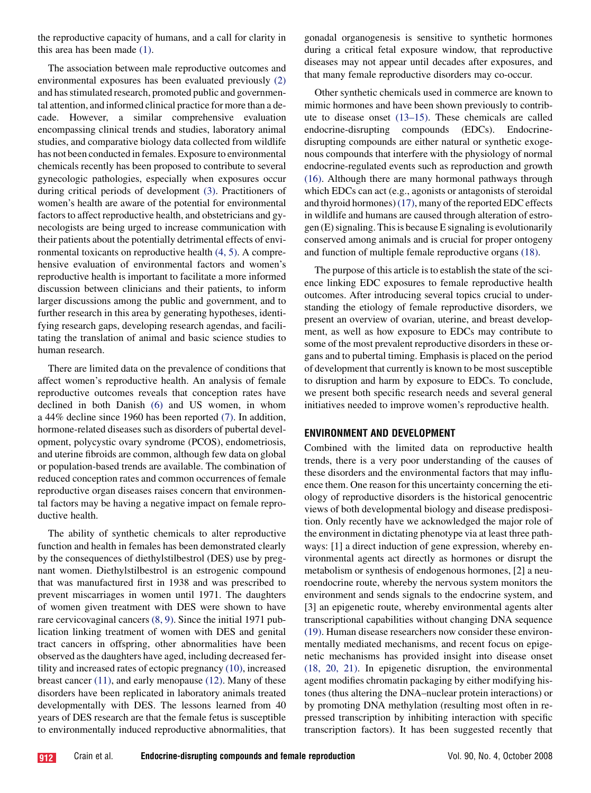the reproductive capacity of humans, and a call for clarity in this area has been made [\(1\).](#page-23-0)

The association between male reproductive outcomes and environmental exposures has been evaluated previously [\(2\)](#page-23-0) and has stimulated research, promoted public and governmental attention, and informed clinical practice for more than a decade. However, a similar comprehensive evaluation encompassing clinical trends and studies, laboratory animal studies, and comparative biology data collected from wildlife has not been conducted in females. Exposure to environmental chemicals recently has been proposed to contribute to several gynecologic pathologies, especially when exposures occur during critical periods of development [\(3\)](#page-23-0). Practitioners of women's health are aware of the potential for environmental factors to affect reproductive health, and obstetricians and gynecologists are being urged to increase communication with their patients about the potentially detrimental effects of environmental toxicants on reproductive health [\(4, 5\)](#page-23-0). A comprehensive evaluation of environmental factors and women's reproductive health is important to facilitate a more informed discussion between clinicians and their patients, to inform larger discussions among the public and government, and to further research in this area by generating hypotheses, identifying research gaps, developing research agendas, and facilitating the translation of animal and basic science studies to human research.

There are limited data on the prevalence of conditions that affect women's reproductive health. An analysis of female reproductive outcomes reveals that conception rates have declined in both Danish [\(6\)](#page-23-0) and US women, in whom a 44% decline since 1960 has been reported [\(7\).](#page-23-0) In addition, hormone-related diseases such as disorders of pubertal development, polycystic ovary syndrome (PCOS), endometriosis, and uterine fibroids are common, although few data on global or population-based trends are available. The combination of reduced conception rates and common occurrences of female reproductive organ diseases raises concern that environmental factors may be having a negative impact on female reproductive health.

The ability of synthetic chemicals to alter reproductive function and health in females has been demonstrated clearly by the consequences of diethylstilbestrol (DES) use by pregnant women. Diethylstilbestrol is an estrogenic compound that was manufactured first in 1938 and was prescribed to prevent miscarriages in women until 1971. The daughters of women given treatment with DES were shown to have rare cervicovaginal cancers [\(8, 9\)](#page-23-0). Since the initial 1971 publication linking treatment of women with DES and genital tract cancers in offspring, other abnormalities have been observed as the daughters have aged, including decreased fertility and increased rates of ectopic pregnancy [\(10\),](#page-23-0) increased breast cancer [\(11\),](#page-23-0) and early menopause [\(12\)](#page-23-0). Many of these disorders have been replicated in laboratory animals treated developmentally with DES. The lessons learned from 40 years of DES research are that the female fetus is susceptible to environmentally induced reproductive abnormalities, that

gonadal organogenesis is sensitive to synthetic hormones during a critical fetal exposure window, that reproductive diseases may not appear until decades after exposures, and that many female reproductive disorders may co-occur.

Other synthetic chemicals used in commerce are known to mimic hormones and have been shown previously to contribute to disease onset [\(13–15\)](#page-23-0). These chemicals are called endocrine-disrupting compounds (EDCs). Endocrinedisrupting compounds are either natural or synthetic exogenous compounds that interfere with the physiology of normal endocrine-regulated events such as reproduction and growth [\(16\).](#page-23-0) Although there are many hormonal pathways through which EDCs can act (e.g., agonists or antagonists of steroidal and thyroid hormones)[\(17\)](#page-23-0), many of the reported EDC effects in wildlife and humans are caused through alteration of estrogen (E) signaling. This is because E signaling is evolutionarily conserved among animals and is crucial for proper ontogeny and function of multiple female reproductive organs [\(18\).](#page-23-0)

The purpose of this article is to establish the state of the science linking EDC exposures to female reproductive health outcomes. After introducing several topics crucial to understanding the etiology of female reproductive disorders, we present an overview of ovarian, uterine, and breast development, as well as how exposure to EDCs may contribute to some of the most prevalent reproductive disorders in these organs and to pubertal timing. Emphasis is placed on the period of development that currently is known to be most susceptible to disruption and harm by exposure to EDCs. To conclude, we present both specific research needs and several general initiatives needed to improve women's reproductive health.

#### ENVIRONMENT AND DEVELOPMENT

Combined with the limited data on reproductive health trends, there is a very poor understanding of the causes of these disorders and the environmental factors that may influence them. One reason for this uncertainty concerning the etiology of reproductive disorders is the historical genocentric views of both developmental biology and disease predisposition. Only recently have we acknowledged the major role of the environment in dictating phenotype via at least three pathways: [1] a direct induction of gene expression, whereby environmental agents act directly as hormones or disrupt the metabolism or synthesis of endogenous hormones, [2] a neuroendocrine route, whereby the nervous system monitors the environment and sends signals to the endocrine system, and [3] an epigenetic route, whereby environmental agents alter transcriptional capabilities without changing DNA sequence [\(19\).](#page-23-0) Human disease researchers now consider these environmentally mediated mechanisms, and recent focus on epigenetic mechanisms has provided insight into disease onset [\(18, 20, 21\).](#page-23-0) In epigenetic disruption, the environmental agent modifies chromatin packaging by either modifying histones (thus altering the DNA–nuclear protein interactions) or by promoting DNA methylation (resulting most often in repressed transcription by inhibiting interaction with specific transcription factors). It has been suggested recently that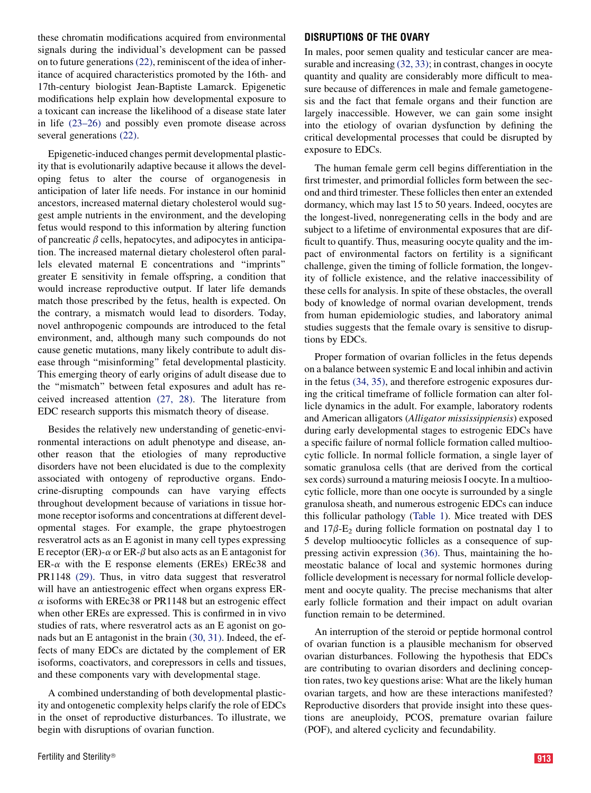these chromatin modifications acquired from environmental signals during the individual's development can be passed on to future generations [\(22\),](#page-23-0) reminiscent of the idea of inheritance of acquired characteristics promoted by the 16th- and 17th-century biologist Jean-Baptiste Lamarck. Epigenetic modifications help explain how developmental exposure to a toxicant can increase the likelihood of a disease state later in life [\(23–26\)](#page-23-0) and possibly even promote disease across several generations [\(22\)](#page-23-0).

Epigenetic-induced changes permit developmental plasticity that is evolutionarily adaptive because it allows the developing fetus to alter the course of organogenesis in anticipation of later life needs. For instance in our hominid ancestors, increased maternal dietary cholesterol would suggest ample nutrients in the environment, and the developing fetus would respond to this information by altering function of pancreatic  $\beta$  cells, hepatocytes, and adipocytes in anticipation. The increased maternal dietary cholesterol often parallels elevated maternal E concentrations and ''imprints'' greater E sensitivity in female offspring, a condition that would increase reproductive output. If later life demands match those prescribed by the fetus, health is expected. On the contrary, a mismatch would lead to disorders. Today, novel anthropogenic compounds are introduced to the fetal environment, and, although many such compounds do not cause genetic mutations, many likely contribute to adult disease through ''misinforming'' fetal developmental plasticity. This emerging theory of early origins of adult disease due to the ''mismatch'' between fetal exposures and adult has received increased attention [\(27, 28\).](#page-23-0) The literature from EDC research supports this mismatch theory of disease.

Besides the relatively new understanding of genetic-environmental interactions on adult phenotype and disease, another reason that the etiologies of many reproductive disorders have not been elucidated is due to the complexity associated with ontogeny of reproductive organs. Endocrine-disrupting compounds can have varying effects throughout development because of variations in tissue hormone receptor isoforms and concentrations at different developmental stages. For example, the grape phytoestrogen resveratrol acts as an E agonist in many cell types expressing E receptor (ER)- $\alpha$  or ER- $\beta$  but also acts as an E antagonist for  $ER-\alpha$  with the E response elements (EREs) EREc38 and PR1148 [\(29\)](#page-23-0). Thus, in vitro data suggest that resveratrol will have an antiestrogenic effect when organs express ER- $\alpha$  isoforms with EREc38 or PR1148 but an estrogenic effect when other EREs are expressed. This is confirmed in in vivo studies of rats, where resveratrol acts as an E agonist on gonads but an E antagonist in the brain [\(30, 31\)](#page-23-0). Indeed, the effects of many EDCs are dictated by the complement of ER isoforms, coactivators, and corepressors in cells and tissues, and these components vary with developmental stage.

A combined understanding of both developmental plasticity and ontogenetic complexity helps clarify the role of EDCs in the onset of reproductive disturbances. To illustrate, we begin with disruptions of ovarian function.

#### DISRUPTIONS OF THE OVARY

In males, poor semen quality and testicular cancer are measurable and increasing [\(32, 33\)](#page-23-0); in contrast, changes in oocyte quantity and quality are considerably more difficult to measure because of differences in male and female gametogenesis and the fact that female organs and their function are largely inaccessible. However, we can gain some insight into the etiology of ovarian dysfunction by defining the critical developmental processes that could be disrupted by exposure to EDCs.

The human female germ cell begins differentiation in the first trimester, and primordial follicles form between the second and third trimester. These follicles then enter an extended dormancy, which may last 15 to 50 years. Indeed, oocytes are the longest-lived, nonregenerating cells in the body and are subject to a lifetime of environmental exposures that are difficult to quantify. Thus, measuring oocyte quality and the impact of environmental factors on fertility is a significant challenge, given the timing of follicle formation, the longevity of follicle existence, and the relative inaccessibility of these cells for analysis. In spite of these obstacles, the overall body of knowledge of normal ovarian development, trends from human epidemiologic studies, and laboratory animal studies suggests that the female ovary is sensitive to disruptions by EDCs.

Proper formation of ovarian follicles in the fetus depends on a balance between systemic E and local inhibin and activin in the fetus [\(34, 35\),](#page-23-0) and therefore estrogenic exposures during the critical timeframe of follicle formation can alter follicle dynamics in the adult. For example, laboratory rodents and American alligators (Alligator mississippiensis) exposed during early developmental stages to estrogenic EDCs have a specific failure of normal follicle formation called multioocytic follicle. In normal follicle formation, a single layer of somatic granulosa cells (that are derived from the cortical sex cords) surround a maturing meiosis I oocyte. In a multioocytic follicle, more than one oocyte is surrounded by a single granulosa sheath, and numerous estrogenic EDCs can induce this follicular pathology ([Table 1\)](#page-3-0). Mice treated with DES and  $17\beta$ -E<sub>2</sub> during follicle formation on postnatal day 1 to 5 develop multioocytic follicles as a consequence of suppressing activin expression [\(36\).](#page-23-0) Thus, maintaining the homeostatic balance of local and systemic hormones during follicle development is necessary for normal follicle development and oocyte quality. The precise mechanisms that alter early follicle formation and their impact on adult ovarian function remain to be determined.

An interruption of the steroid or peptide hormonal control of ovarian function is a plausible mechanism for observed ovarian disturbances. Following the hypothesis that EDCs are contributing to ovarian disorders and declining conception rates, two key questions arise: What are the likely human ovarian targets, and how are these interactions manifested? Reproductive disorders that provide insight into these questions are aneuploidy, PCOS, premature ovarian failure (POF), and altered cyclicity and fecundability.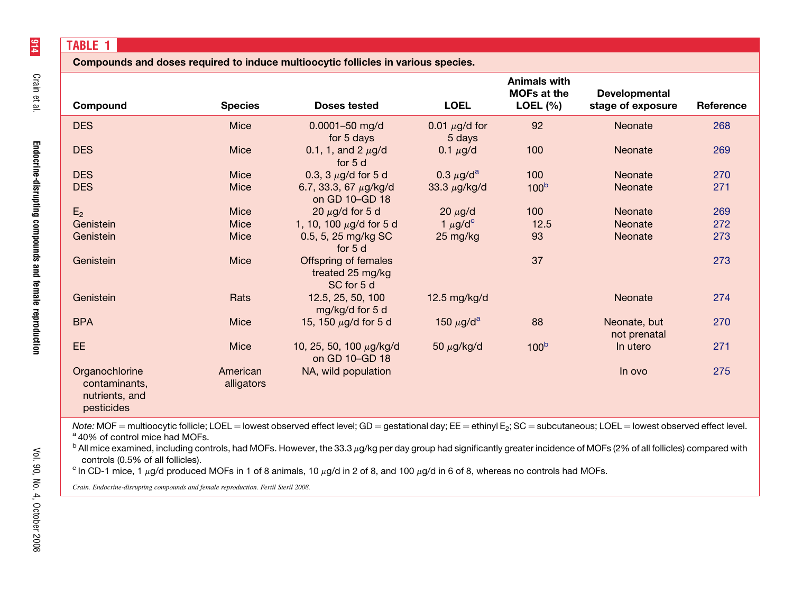914

| Compounds and doses required to induce multioocytic follicles in various species. |                        |                                                                                                                                                                                     |                              |                                                           |                                           |           |  |
|-----------------------------------------------------------------------------------|------------------------|-------------------------------------------------------------------------------------------------------------------------------------------------------------------------------------|------------------------------|-----------------------------------------------------------|-------------------------------------------|-----------|--|
| Compound                                                                          | <b>Species</b>         | <b>Doses tested</b>                                                                                                                                                                 | <b>LOEL</b>                  | <b>Animals with</b><br><b>MOFs at the</b><br>LOEL $(\% )$ | <b>Developmental</b><br>stage of exposure | Reference |  |
| <b>DES</b>                                                                        | Mice                   | $0.0001 - 50$ mg/d<br>for 5 days                                                                                                                                                    | 0.01 $\mu$ g/d for<br>5 days | 92                                                        | Neonate                                   | 268       |  |
| <b>DES</b>                                                                        | Mice                   | 0.1, 1, and 2 $\mu$ g/d<br>for 5 d                                                                                                                                                  | 0.1 $\mu$ g/d                | 100                                                       | Neonate                                   | 269       |  |
| <b>DES</b>                                                                        | <b>Mice</b>            | 0.3, 3 $\mu$ g/d for 5 d                                                                                                                                                            | 0.3 $\mu$ g/d <sup>a</sup>   | 100                                                       | Neonate                                   | 270       |  |
| <b>DES</b>                                                                        | <b>Mice</b>            | 6.7, 33.3, 67 $\mu$ g/kg/d<br>on GD 10-GD 18                                                                                                                                        | 33.3 $\mu$ g/kg/d            | 100 <sup>b</sup>                                          | Neonate                                   | 271       |  |
| E <sub>2</sub>                                                                    | Mice                   | 20 $\mu$ g/d for 5 d                                                                                                                                                                | $20 \mu g/d$                 | 100                                                       | Neonate                                   | 269       |  |
| Genistein                                                                         | Mice                   | 1, 10, 100 $\mu$ g/d for 5 d                                                                                                                                                        | 1 $\mu$ g/d <sup>c</sup>     | 12.5                                                      | Neonate                                   | 272       |  |
| Genistein                                                                         | Mice                   | 0.5, 5, 25 mg/kg SC<br>for 5 d                                                                                                                                                      | 25 mg/kg                     | 93                                                        | Neonate                                   | 273       |  |
| Genistein                                                                         | <b>Mice</b>            | Offspring of females<br>treated 25 mg/kg<br>SC for 5 d                                                                                                                              |                              | 37                                                        |                                           | 273       |  |
| Genistein                                                                         | Rats                   | 12.5, 25, 50, 100<br>mg/kg/d for 5 d                                                                                                                                                | 12.5 mg/kg/d                 |                                                           | Neonate                                   | 274       |  |
| <b>BPA</b>                                                                        | <b>Mice</b>            | 15, 150 $\mu$ g/d for 5 d                                                                                                                                                           | 150 $\mu$ g/d <sup>a</sup>   | 88                                                        | Neonate, but<br>not prenatal              | 270       |  |
| EE.                                                                               | Mice                   | 10, 25, 50, 100 $\mu$ g/kg/d<br>on GD 10-GD 18                                                                                                                                      | 50 $\mu$ g/kg/d              | 100 <sup>b</sup>                                          | In utero                                  | 271       |  |
| Organochlorine<br>contaminants,<br>nutrients, and<br>pesticides                   | American<br>alligators | NA, wild population                                                                                                                                                                 |                              |                                                           | In ovo                                    | 275       |  |
| <sup>a</sup> 40% of control mice had MOFs.                                        |                        | Note: MOF = multioocytic follicle; LOEL = lowest observed effect level; GD = gestational day; EE = ethinyl E <sub>2</sub> ; SC = subcutaneous; LOEL = lowest observed effect level. |                              |                                                           |                                           |           |  |

 $^{\text{b}}$  All mice examined, including controls, had MOFs. However, the 33.3  $\mu$ g/kg per day group had significantly greater incidence of MOFs (2% of all follicles) compared with controls (0.5% of all follicles).

<sup>c</sup> In CD-1 mice, 1  $\mu$ g/d produced MOFs in 1 of 8 animals, 10  $\mu$ g/d in 2 of 8, and 100  $\mu$ g/d in 6 of 8, whereas no controls had MOFs.

<span id="page-3-0"></span>Crain. Endocrine-disrupting compounds and female reproduction. Fertil Steril 2008.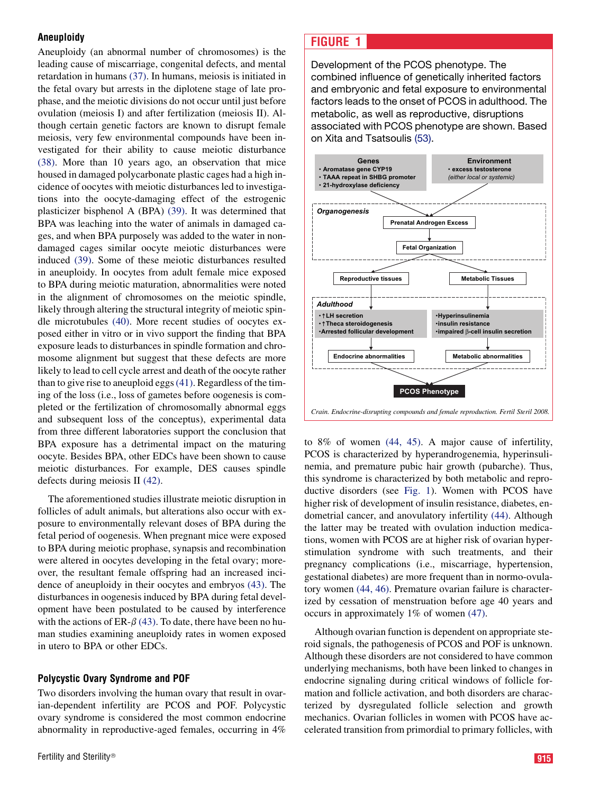#### Aneuploidy

Aneuploidy (an abnormal number of chromosomes) is the leading cause of miscarriage, congenital defects, and mental retardation in humans [\(37\).](#page-23-0) In humans, meiosis is initiated in the fetal ovary but arrests in the diplotene stage of late prophase, and the meiotic divisions do not occur until just before ovulation (meiosis I) and after fertilization (meiosis II). Although certain genetic factors are known to disrupt female meiosis, very few environmental compounds have been investigated for their ability to cause meiotic disturbance [\(38\).](#page-23-0) More than 10 years ago, an observation that mice housed in damaged polycarbonate plastic cages had a high incidence of oocytes with meiotic disturbances led to investigations into the oocyte-damaging effect of the estrogenic plasticizer bisphenol A (BPA) [\(39\)](#page-23-0). It was determined that BPA was leaching into the water of animals in damaged cages, and when BPA purposely was added to the water in nondamaged cages similar oocyte meiotic disturbances were induced [\(39\)](#page-23-0). Some of these meiotic disturbances resulted in aneuploidy. In oocytes from adult female mice exposed to BPA during meiotic maturation, abnormalities were noted in the alignment of chromosomes on the meiotic spindle, likely through altering the structural integrity of meiotic spindle microtubules [\(40\)](#page-23-0). More recent studies of oocytes exposed either in vitro or in vivo support the finding that BPA exposure leads to disturbances in spindle formation and chromosome alignment but suggest that these defects are more likely to lead to cell cycle arrest and death of the oocyte rather than to give rise to aneuploid eggs[\(41\)](#page-23-0). Regardless of the timing of the loss (i.e., loss of gametes before oogenesis is completed or the fertilization of chromosomally abnormal eggs and subsequent loss of the conceptus), experimental data from three different laboratories support the conclusion that BPA exposure has a detrimental impact on the maturing oocyte. Besides BPA, other EDCs have been shown to cause meiotic disturbances. For example, DES causes spindle defects during meiosis II [\(42\)](#page-23-0).

The aforementioned studies illustrate meiotic disruption in follicles of adult animals, but alterations also occur with exposure to environmentally relevant doses of BPA during the fetal period of oogenesis. When pregnant mice were exposed to BPA during meiotic prophase, synapsis and recombination were altered in oocytes developing in the fetal ovary; moreover, the resultant female offspring had an increased incidence of aneuploidy in their oocytes and embryos [\(43\)](#page-23-0). The disturbances in oogenesis induced by BPA during fetal development have been postulated to be caused by interference with the actions of ER- $\beta$  [\(43\).](#page-23-0) To date, there have been no human studies examining aneuploidy rates in women exposed in utero to BPA or other EDCs.

#### Polycystic Ovary Syndrome and POF

<span id="page-4-0"></span>Two disorders involving the human ovary that result in ovarian-dependent infertility are PCOS and POF. Polycystic ovary syndrome is considered the most common endocrine abnormality in reproductive-aged females, occurring in 4%

### FIGURE 1

Development of the PCOS phenotype. The combined influence of genetically inherited factors and embryonic and fetal exposure to environmental factors leads to the onset of PCOS in adulthood. The metabolic, as well as reproductive, disruptions associated with PCOS phenotype are shown. Based on Xita and Tsatsoulis [\(53\)](#page-24-0).



to 8% of women [\(44, 45\)](#page-23-0). A major cause of infertility, PCOS is characterized by hyperandrogenemia, hyperinsulinemia, and premature pubic hair growth (pubarche). Thus, this syndrome is characterized by both metabolic and reproductive disorders (see [Fig. 1](#page-4-0)). Women with PCOS have higher risk of development of insulin resistance, diabetes, endometrial cancer, and anovulatory infertility [\(44\).](#page-23-0) Although the latter may be treated with ovulation induction medications, women with PCOS are at higher risk of ovarian hyperstimulation syndrome with such treatments, and their pregnancy complications (i.e., miscarriage, hypertension, gestational diabetes) are more frequent than in normo-ovulatory women [\(44, 46\)](#page-23-0). Premature ovarian failure is characterized by cessation of menstruation before age 40 years and occurs in approximately 1% of women [\(47\)](#page-24-0).

Although ovarian function is dependent on appropriate steroid signals, the pathogenesis of PCOS and POF is unknown. Although these disorders are not considered to have common underlying mechanisms, both have been linked to changes in endocrine signaling during critical windows of follicle formation and follicle activation, and both disorders are characterized by dysregulated follicle selection and growth mechanics. Ovarian follicles in women with PCOS have accelerated transition from primordial to primary follicles, with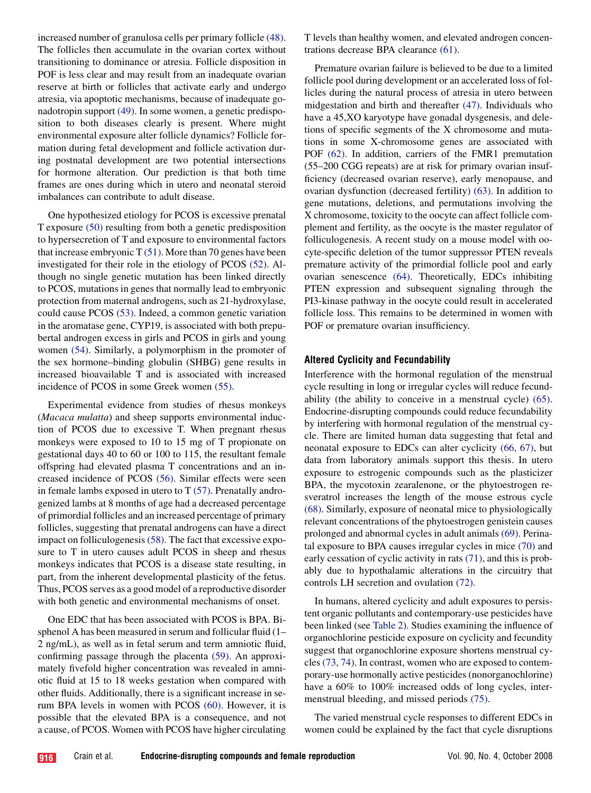increased number of granulosa cells per primary follicle [\(48\)](#page-24-0). The follicles then accumulate in the ovarian cortex without transitioning to dominance or atresia. Follicle disposition in POF is less clear and may result from an inadequate ovarian reserve at birth or follicles that activate early and undergo atresia, via apoptotic mechanisms, because of inadequate gonadotropin support [\(49\)](#page-24-0). In some women, a genetic predisposition to both diseases clearly is present. Where might environmental exposure alter follicle dynamics? Follicle formation during fetal development and follicle activation during postnatal development are two potential intersections for hormone alteration. Our prediction is that both time frames are ones during which in utero and neonatal steroid imbalances can contribute to adult disease.

One hypothesized etiology for PCOS is excessive prenatal T exposure [\(50\)](#page-24-0) resulting from both a genetic predisposition to hypersecretion of T and exposure to environmental factors that increase embryonic  $T(51)$  $T(51)$ . More than 70 genes have been investigated for their role in the etiology of PCOS [\(52\)](#page-24-0). Although no single genetic mutation has been linked directly to PCOS, mutations in genes that normally lead to embryonic protection from maternal androgens, such as 21-hydroxylase, could cause PCOS [\(53\)](#page-24-0). Indeed, a common genetic variation in the aromatase gene, CYP19, is associated with both prepubertal androgen excess in girls and PCOS in girls and young women [\(54\)](#page-24-0). Similarly, a polymorphism in the promoter of the sex hormone–binding globulin (SHBG) gene results in increased bioavailable T and is associated with increased incidence of PCOS in some Greek women [\(55\)](#page-24-0).

Experimental evidence from studies of rhesus monkeys (Macaca mulatta) and sheep supports environmental induction of PCOS due to excessive T. When pregnant rhesus monkeys were exposed to 10 to 15 mg of T propionate on gestational days 40 to 60 or 100 to 115, the resultant female offspring had elevated plasma T concentrations and an increased incidence of PCOS [\(56\)](#page-24-0). Similar effects were seen in female lambs exposed in utero to  $T(57)$  $T(57)$ . Prenatally androgenized lambs at 8 months of age had a decreased percentage of primordial follicles and an increased percentage of primary follicles, suggesting that prenatal androgens can have a direct impact on folliculogenesis [\(58\)](#page-24-0). The fact that excessive exposure to T in utero causes adult PCOS in sheep and rhesus monkeys indicates that PCOS is a disease state resulting, in part, from the inherent developmental plasticity of the fetus. Thus, PCOS serves as a good model of a reproductive disorder with both genetic and environmental mechanisms of onset.

One EDC that has been associated with PCOS is BPA. Bisphenol A has been measured in serum and follicular fluid (1– 2 ng/mL), as well as in fetal serum and term amniotic fluid, confirming passage through the placenta [\(59\)](#page-24-0). An approximately fivefold higher concentration was revealed in amniotic fluid at 15 to 18 weeks gestation when compared with other fluids. Additionally, there is a significant increase in serum BPA levels in women with PCOS [\(60\)](#page-24-0). However, it is possible that the elevated BPA is a consequence, and not a cause, of PCOS. Women with PCOS have higher circulating T levels than healthy women, and elevated androgen concentrations decrease BPA clearance [\(61\).](#page-24-0)

Premature ovarian failure is believed to be due to a limited follicle pool during development or an accelerated loss of follicles during the natural process of atresia in utero between midgestation and birth and thereafter [\(47\).](#page-24-0) Individuals who have a 45,XO karyotype have gonadal dysgenesis, and deletions of specific segments of the X chromosome and mutations in some X-chromosome genes are associated with POF [\(62\)](#page-24-0). In addition, carriers of the FMR1 premutation (55–200 CGG repeats) are at risk for primary ovarian insufficiency (decreased ovarian reserve), early menopause, and ovarian dysfunction (decreased fertility) [\(63\).](#page-24-0) In addition to gene mutations, deletions, and permutations involving the X chromosome, toxicity to the oocyte can affect follicle complement and fertility, as the oocyte is the master regulator of folliculogenesis. A recent study on a mouse model with oocyte-specific deletion of the tumor suppressor PTEN reveals premature activity of the primordial follicle pool and early ovarian senescence [\(64\).](#page-24-0) Theoretically, EDCs inhibiting PTEN expression and subsequent signaling through the PI3-kinase pathway in the oocyte could result in accelerated follicle loss. This remains to be determined in women with POF or premature ovarian insufficiency.

#### Altered Cyclicity and Fecundability

Interference with the hormonal regulation of the menstrual cycle resulting in long or irregular cycles will reduce fecundability (the ability to conceive in a menstrual cycle) [\(65\)](#page-24-0). Endocrine-disrupting compounds could reduce fecundability by interfering with hormonal regulation of the menstrual cycle. There are limited human data suggesting that fetal and neonatal exposure to EDCs can alter cyclicity [\(66, 67\)](#page-24-0), but data from laboratory animals support this thesis. In utero exposure to estrogenic compounds such as the plasticizer BPA, the mycotoxin zearalenone, or the phytoestrogen resveratrol increases the length of the mouse estrous cycle [\(68\).](#page-24-0) Similarly, exposure of neonatal mice to physiologically relevant concentrations of the phytoestrogen genistein causes prolonged and abnormal cycles in adult animals [\(69\)](#page-24-0). Perinatal exposure to BPA causes irregular cycles in mice [\(70\)](#page-24-0) and early cessation of cyclic activity in rats [\(71\)](#page-24-0), and this is probably due to hypothalamic alterations in the circuitry that controls LH secretion and ovulation [\(72\)](#page-24-0).

In humans, altered cyclicity and adult exposures to persistent organic pollutants and contemporary-use pesticides have been linked (see [Table 2](#page-6-0)). Studies examining the influence of organochlorine pesticide exposure on cyclicity and fecundity suggest that organochlorine exposure shortens menstrual cycles [\(73, 74\).](#page-24-0) In contrast, women who are exposed to contemporary-use hormonally active pesticides (nonorganochlorine) have a  $60\%$  to  $100\%$  increased odds of long cycles, intermenstrual bleeding, and missed periods [\(75\).](#page-24-0)

The varied menstrual cycle responses to different EDCs in women could be explained by the fact that cycle disruptions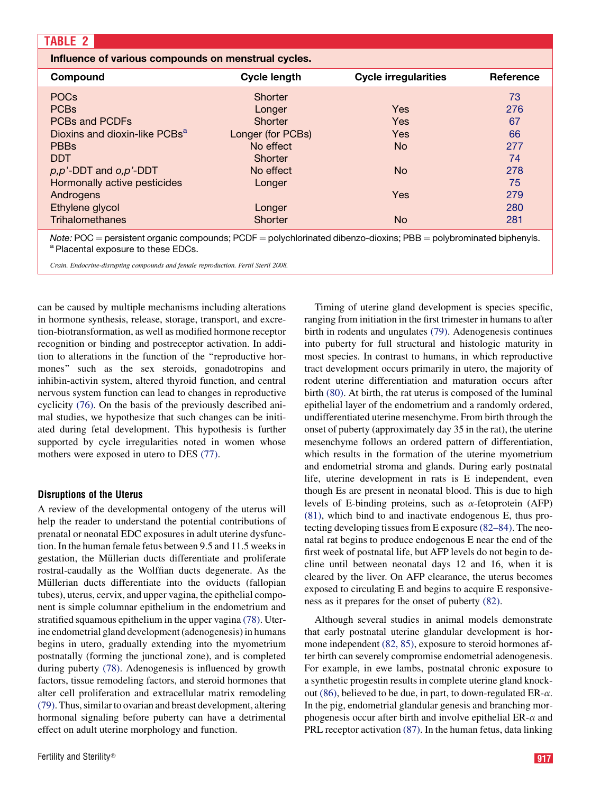| <b>TABLE 2</b>                                                                                                                                                      |                     |                             |                  |  |  |  |  |
|---------------------------------------------------------------------------------------------------------------------------------------------------------------------|---------------------|-----------------------------|------------------|--|--|--|--|
| Influence of various compounds on menstrual cycles.                                                                                                                 |                     |                             |                  |  |  |  |  |
| Compound                                                                                                                                                            | <b>Cycle length</b> | <b>Cycle irregularities</b> | <b>Reference</b> |  |  |  |  |
| <b>POCs</b>                                                                                                                                                         | Shorter             |                             | 73               |  |  |  |  |
| <b>PCBs</b>                                                                                                                                                         | Longer              | <b>Yes</b>                  | 276              |  |  |  |  |
| PCBs and PCDFs                                                                                                                                                      | Shorter             | <b>Yes</b>                  | 67               |  |  |  |  |
| Dioxins and dioxin-like PCBs <sup>a</sup>                                                                                                                           | Longer (for PCBs)   | <b>Yes</b>                  | 66               |  |  |  |  |
| <b>PBBs</b>                                                                                                                                                         | No effect           | <b>No</b>                   | 277              |  |  |  |  |
| <b>DDT</b>                                                                                                                                                          | <b>Shorter</b>      |                             | 74               |  |  |  |  |
| $p, p'$ -DDT and $o, p'$ -DDT                                                                                                                                       | No effect           | <b>No</b>                   | 278              |  |  |  |  |
| Hormonally active pesticides                                                                                                                                        | Longer              |                             | 75               |  |  |  |  |
| Androgens                                                                                                                                                           |                     | Yes                         | 279              |  |  |  |  |
| Ethylene glycol                                                                                                                                                     | Longer              |                             | 280              |  |  |  |  |
| Trihalomethanes                                                                                                                                                     | Shorter             | <b>No</b>                   | 281              |  |  |  |  |
| Note: POC = persistent organic compounds; PCDF = polychlorinated dibenzo-dioxins; PBB = polybrominated biphenyls.<br><sup>a</sup> Placental exposure to these EDCs. |                     |                             |                  |  |  |  |  |

Crain. Endocrine-disrupting compounds and female reproduction. Fertil Steril 2008.

can be caused by multiple mechanisms including alterations in hormone synthesis, release, storage, transport, and excretion-biotransformation, as well as modified hormone receptor recognition or binding and postreceptor activation. In addition to alterations in the function of the ''reproductive hormones'' such as the sex steroids, gonadotropins and inhibin-activin system, altered thyroid function, and central nervous system function can lead to changes in reproductive cyclicity [\(76\)](#page-24-0). On the basis of the previously described animal studies, we hypothesize that such changes can be initiated during fetal development. This hypothesis is further supported by cycle irregularities noted in women whose mothers were exposed in utero to DES [\(77\)](#page-24-0).

#### Disruptions of the Uterus

<span id="page-6-0"></span>A review of the developmental ontogeny of the uterus will help the reader to understand the potential contributions of prenatal or neonatal EDC exposures in adult uterine dysfunction. In the human female fetus between 9.5 and 11.5 weeks in gestation, the Müllerian ducts differentiate and proliferate rostral-caudally as the Wolffian ducts degenerate. As the Müllerian ducts differentiate into the oviducts (fallopian tubes), uterus, cervix, and upper vagina, the epithelial component is simple columnar epithelium in the endometrium and stratified squamous epithelium in the upper vagina [\(78\).](#page-24-0) Uterine endometrial gland development (adenogenesis) in humans begins in utero, gradually extending into the myometrium postnatally (forming the junctional zone), and is completed during puberty [\(78\).](#page-24-0) Adenogenesis is influenced by growth factors, tissue remodeling factors, and steroid hormones that alter cell proliferation and extracellular matrix remodeling [\(79\).](#page-24-0) Thus, similar to ovarian and breast development, altering hormonal signaling before puberty can have a detrimental effect on adult uterine morphology and function.

Timing of uterine gland development is species specific, ranging from initiation in the first trimester in humans to after birth in rodents and ungulates [\(79\)](#page-24-0). Adenogenesis continues into puberty for full structural and histologic maturity in most species. In contrast to humans, in which reproductive tract development occurs primarily in utero, the majority of rodent uterine differentiation and maturation occurs after birth [\(80\).](#page-24-0) At birth, the rat uterus is composed of the luminal epithelial layer of the endometrium and a randomly ordered, undifferentiated uterine mesenchyme. From birth through the onset of puberty (approximately day 35 in the rat), the uterine mesenchyme follows an ordered pattern of differentiation, which results in the formation of the uterine myometrium and endometrial stroma and glands. During early postnatal life, uterine development in rats is E independent, even though Es are present in neonatal blood. This is due to high levels of E-binding proteins, such as  $\alpha$ -fetoprotein (AFP) [\(81\),](#page-24-0) which bind to and inactivate endogenous E, thus protecting developing tissues from E exposure [\(82–84\)](#page-24-0). The neonatal rat begins to produce endogenous E near the end of the first week of postnatal life, but AFP levels do not begin to decline until between neonatal days 12 and 16, when it is cleared by the liver. On AFP clearance, the uterus becomes exposed to circulating E and begins to acquire E responsiveness as it prepares for the onset of puberty [\(82\).](#page-24-0)

Although several studies in animal models demonstrate that early postnatal uterine glandular development is hormone independent [\(82, 85\),](#page-24-0) exposure to steroid hormones after birth can severely compromise endometrial adenogenesis. For example, in ewe lambs, postnatal chronic exposure to a synthetic progestin results in complete uterine gland knock-out [\(86\)](#page-24-0), believed to be due, in part, to down-regulated ER- $\alpha$ . In the pig, endometrial glandular genesis and branching morphogenesis occur after birth and involve epithelial  $ER-\alpha$  and PRL receptor activation [\(87\).](#page-24-0) In the human fetus, data linking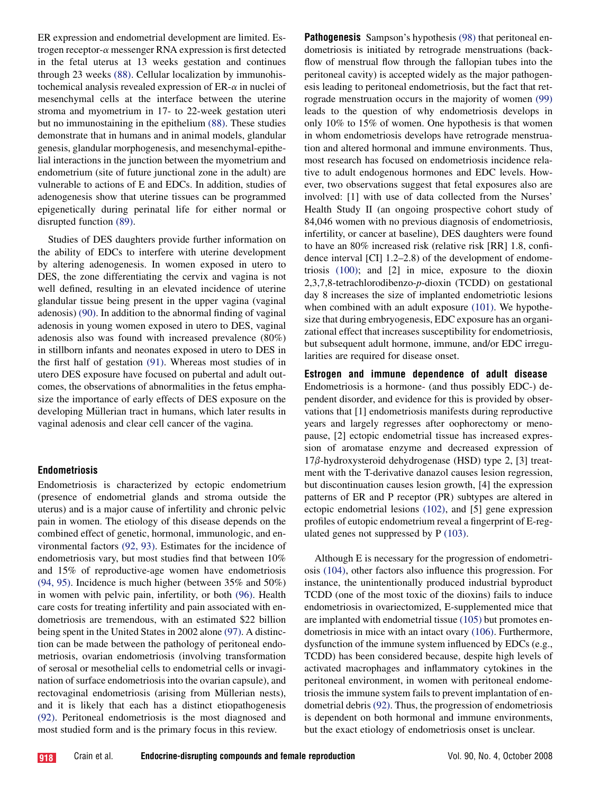ER expression and endometrial development are limited. Estrogen receptor- $\alpha$  messenger RNA expression is first detected in the fetal uterus at 13 weeks gestation and continues through 23 weeks [\(88\).](#page-24-0) Cellular localization by immunohistochemical analysis revealed expression of  $ER-\alpha$  in nuclei of mesenchymal cells at the interface between the uterine stroma and myometrium in 17- to 22-week gestation uteri but no immunostaining in the epithelium [\(88\).](#page-24-0) These studies demonstrate that in humans and in animal models, glandular genesis, glandular morphogenesis, and mesenchymal-epithelial interactions in the junction between the myometrium and endometrium (site of future junctional zone in the adult) are vulnerable to actions of E and EDCs. In addition, studies of adenogenesis show that uterine tissues can be programmed epigenetically during perinatal life for either normal or disrupted function [\(89\).](#page-24-0)

Studies of DES daughters provide further information on the ability of EDCs to interfere with uterine development by altering adenogenesis. In women exposed in utero to DES, the zone differentiating the cervix and vagina is not well defined, resulting in an elevated incidence of uterine glandular tissue being present in the upper vagina (vaginal adenosis) [\(90\)](#page-25-0). In addition to the abnormal finding of vaginal adenosis in young women exposed in utero to DES, vaginal adenosis also was found with increased prevalence (80%) in stillborn infants and neonates exposed in utero to DES in the first half of gestation [\(91\).](#page-25-0) Whereas most studies of in utero DES exposure have focused on pubertal and adult outcomes, the observations of abnormalities in the fetus emphasize the importance of early effects of DES exposure on the developing Müllerian tract in humans, which later results in vaginal adenosis and clear cell cancer of the vagina.

#### Endometriosis

Endometriosis is characterized by ectopic endometrium (presence of endometrial glands and stroma outside the uterus) and is a major cause of infertility and chronic pelvic pain in women. The etiology of this disease depends on the combined effect of genetic, hormonal, immunologic, and environmental factors [\(92, 93\)](#page-25-0). Estimates for the incidence of endometriosis vary, but most studies find that between 10% and 15% of reproductive-age women have endometriosis [\(94, 95\).](#page-25-0) Incidence is much higher (between 35% and 50%) in women with pelvic pain, infertility, or both [\(96\)](#page-25-0). Health care costs for treating infertility and pain associated with endometriosis are tremendous, with an estimated \$22 billion being spent in the United States in 2002 alone [\(97\)](#page-25-0). A distinction can be made between the pathology of peritoneal endometriosis, ovarian endometriosis (involving transformation of serosal or mesothelial cells to endometrial cells or invagination of surface endometriosis into the ovarian capsule), and rectovaginal endometriosis (arising from Müllerian nests), and it is likely that each has a distinct etiopathogenesis [\(92\).](#page-25-0) Peritoneal endometriosis is the most diagnosed and most studied form and is the primary focus in this review.

Pathogenesis Sampson's hypothesis [\(98\)](#page-25-0) that peritoneal endometriosis is initiated by retrograde menstruations (backflow of menstrual flow through the fallopian tubes into the peritoneal cavity) is accepted widely as the major pathogenesis leading to peritoneal endometriosis, but the fact that retrograde menstruation occurs in the majority of women [\(99\)](#page-25-0) leads to the question of why endometriosis develops in only 10% to 15% of women. One hypothesis is that women in whom endometriosis develops have retrograde menstruation and altered hormonal and immune environments. Thus, most research has focused on endometriosis incidence relative to adult endogenous hormones and EDC levels. However, two observations suggest that fetal exposures also are involved: [1] with use of data collected from the Nurses' Health Study II (an ongoing prospective cohort study of 84,046 women with no previous diagnosis of endometriosis, infertility, or cancer at baseline), DES daughters were found to have an 80% increased risk (relative risk [RR] 1.8, confidence interval [CI] 1.2–2.8) of the development of endometriosis [\(100\)](#page-25-0); and [2] in mice, exposure to the dioxin 2,3,7,8-tetrachlorodibenzo-p-dioxin (TCDD) on gestational day 8 increases the size of implanted endometriotic lesions when combined with an adult exposure [\(101\)](#page-25-0). We hypothesize that during embryogenesis, EDC exposure has an organizational effect that increases susceptibility for endometriosis, but subsequent adult hormone, immune, and/or EDC irregularities are required for disease onset.

Estrogen and immune dependence of adult disease Endometriosis is a hormone- (and thus possibly EDC-) dependent disorder, and evidence for this is provided by observations that [1] endometriosis manifests during reproductive years and largely regresses after oophorectomy or menopause, [2] ectopic endometrial tissue has increased expression of aromatase enzyme and decreased expression of  $17\beta$ -hydroxysteroid dehydrogenase (HSD) type 2, [3] treatment with the T-derivative danazol causes lesion regression, but discontinuation causes lesion growth, [4] the expression patterns of ER and P receptor (PR) subtypes are altered in ectopic endometrial lesions [\(102\)](#page-25-0), and [5] gene expression profiles of eutopic endometrium reveal a fingerprint of E-regulated genes not suppressed by P [\(103\).](#page-25-0)

Although E is necessary for the progression of endometriosis [\(104\)](#page-25-0), other factors also influence this progression. For instance, the unintentionally produced industrial byproduct TCDD (one of the most toxic of the dioxins) fails to induce endometriosis in ovariectomized, E-supplemented mice that are implanted with endometrial tissue [\(105\)](#page-25-0) but promotes endometriosis in mice with an intact ovary [\(106\).](#page-25-0) Furthermore, dysfunction of the immune system influenced by EDCs (e.g., TCDD) has been considered because, despite high levels of activated macrophages and inflammatory cytokines in the peritoneal environment, in women with peritoneal endometriosis the immune system fails to prevent implantation of endometrial debris [\(92\).](#page-25-0) Thus, the progression of endometriosis is dependent on both hormonal and immune environments, but the exact etiology of endometriosis onset is unclear.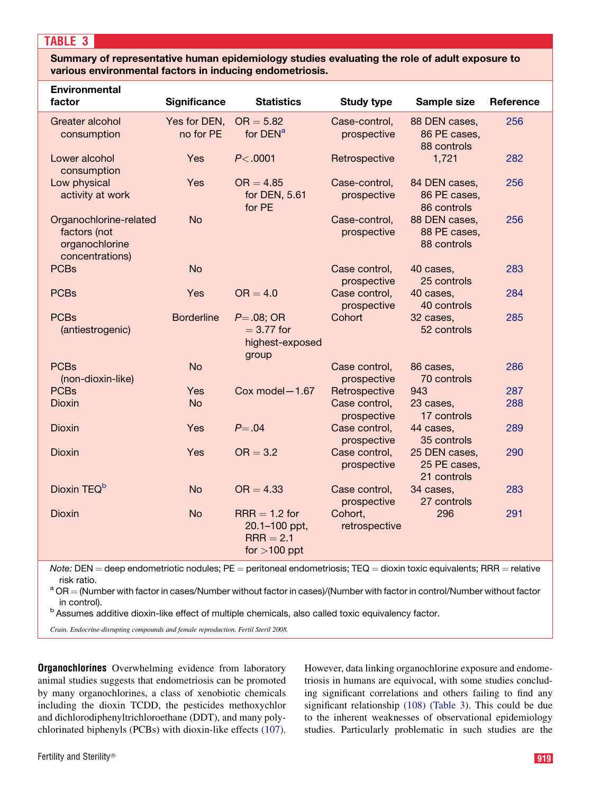# TABLE 3

Summary of representative human epidemiology studies evaluating the role of adult exposure to various environmental factors in inducing endometriosis.

| <b>Environmental</b><br>factor                                              | <b>Significance</b>       | <b>Statistics</b>                                                 | <b>Study type</b>            | Sample size                                  | Reference |
|-----------------------------------------------------------------------------|---------------------------|-------------------------------------------------------------------|------------------------------|----------------------------------------------|-----------|
| Greater alcohol<br>consumption                                              | Yes for DEN,<br>no for PE | $OR = 5.82$<br>for DEN <sup>a</sup>                               | Case-control,<br>prospective | 88 DEN cases,<br>86 PE cases,<br>88 controls | 256       |
| Lower alcohol<br>consumption                                                | Yes                       | P < .0001                                                         | Retrospective                | 1,721                                        | 282       |
| Low physical<br>activity at work                                            | Yes                       | $OR = 4.85$<br>for DEN, 5.61<br>for PE                            | Case-control,<br>prospective | 84 DEN cases,<br>86 PE cases,<br>86 controls | 256       |
| Organochlorine-related<br>factors (not<br>organochlorine<br>concentrations) | <b>No</b>                 |                                                                   | Case-control,<br>prospective | 88 DEN cases,<br>88 PE cases,<br>88 controls | 256       |
| <b>PCBs</b>                                                                 | <b>No</b>                 |                                                                   | Case control,<br>prospective | 40 cases,<br>25 controls                     | 283       |
| <b>PCBs</b>                                                                 | Yes                       | $OR = 4.0$                                                        | Case control,<br>prospective | 40 cases,<br>40 controls                     | 284       |
| <b>PCBs</b><br>(antiestrogenic)                                             | <b>Borderline</b>         | $P = .08; OR$<br>$=$ 3.77 for<br>highest-exposed<br>group         | Cohort                       | 32 cases,<br>52 controls                     | 285       |
| <b>PCBs</b><br>(non-dioxin-like)                                            | <b>No</b>                 |                                                                   | Case control,<br>prospective | 86 cases,<br>70 controls                     | 286       |
| <b>PCBs</b>                                                                 | Yes                       | $Cox$ model $-1.67$                                               | Retrospective                | 943                                          | 287       |
| <b>Dioxin</b>                                                               | <b>No</b>                 |                                                                   | Case control,<br>prospective | 23 cases,<br>17 controls                     | 288       |
| <b>Dioxin</b>                                                               | Yes                       | $P = .04$                                                         | Case control,<br>prospective | 44 cases,<br>35 controls                     | 289       |
| <b>Dioxin</b>                                                               | Yes                       | $OR = 3.2$                                                        | Case control,<br>prospective | 25 DEN cases,<br>25 PE cases,<br>21 controls | 290       |
| Dioxin TEQ <sup>b</sup>                                                     | <b>No</b>                 | $OR = 4.33$                                                       | Case control,<br>prospective | 34 cases,<br>27 controls                     | 283       |
| <b>Dioxin</b>                                                               | <b>No</b>                 | $RRR = 1.2$ for<br>20.1-100 ppt,<br>$RRR = 2.1$<br>for $>100$ ppt | Cohort,<br>retrospective     | 296                                          | 291       |

*Note:* DEN = deep endometriotic nodules; PE = peritoneal endometriosis; TEQ = dioxin toxic equivalents; RRR = relative risk ratio.

 $P^a$  OR = (Number with factor in cases/Number without factor in cases)/(Number with factor in control/Number without factor in control).

<sup>b</sup> Assumes additive dioxin-like effect of multiple chemicals, also called toxic equivalency factor.

Crain. Endocrine-disrupting compounds and female reproduction. Fertil Steril 2008.

<span id="page-8-0"></span>**Organochlorines** Overwhelming evidence from laboratory animal studies suggests that endometriosis can be promoted by many organochlorines, a class of xenobiotic chemicals including the dioxin TCDD, the pesticides methoxychlor and dichlorodiphenyltrichloroethane (DDT), and many polychlorinated biphenyls (PCBs) with dioxin-like effects [\(107\)](#page-25-0).

However, data linking organochlorine exposure and endometriosis in humans are equivocal, with some studies concluding significant correlations and others failing to find any significant relationship [\(108\)](#page-25-0) ([Table 3\)](#page-8-0). This could be due to the inherent weaknesses of observational epidemiology studies. Particularly problematic in such studies are the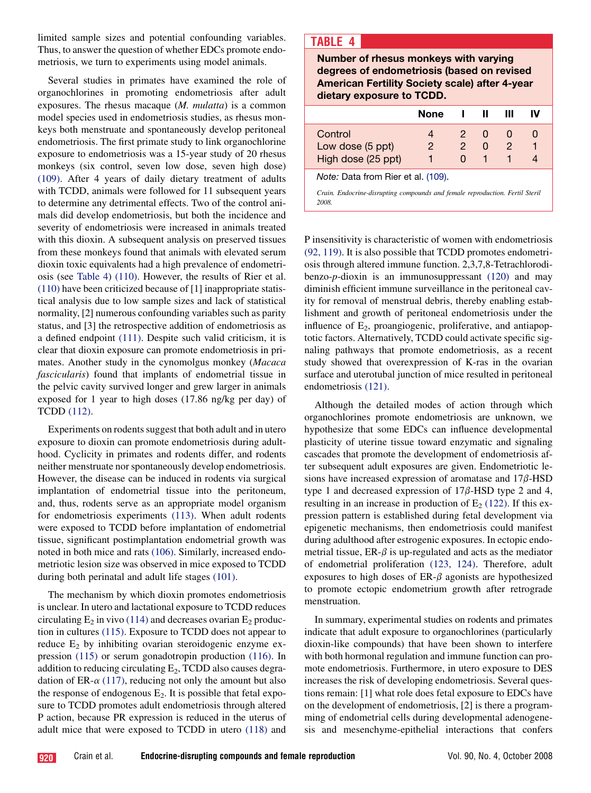limited sample sizes and potential confounding variables. Thus, to answer the question of whether EDCs promote endometriosis, we turn to experiments using model animals.

Several studies in primates have examined the role of organochlorines in promoting endometriosis after adult exposures. The rhesus macaque  $(M. \text{ *multata*})$  is a common model species used in endometriosis studies, as rhesus monkeys both menstruate and spontaneously develop peritoneal endometriosis. The first primate study to link organochlorine exposure to endometriosis was a 15-year study of 20 rhesus monkeys (six control, seven low dose, seven high dose) [\(109\).](#page-25-0) After 4 years of daily dietary treatment of adults with TCDD, animals were followed for 11 subsequent years to determine any detrimental effects. Two of the control animals did develop endometriosis, but both the incidence and severity of endometriosis were increased in animals treated with this dioxin. A subsequent analysis on preserved tissues from these monkeys found that animals with elevated serum dioxin toxic equivalents had a high prevalence of endometriosis (see [Table 4\)](#page-9-0) [\(110\).](#page-25-0) However, the results of Rier et al. [\(110\)](#page-25-0) have been criticized because of [1] inappropriate statistical analysis due to low sample sizes and lack of statistical normality, [2] numerous confounding variables such as parity status, and [3] the retrospective addition of endometriosis as a defined endpoint [\(111\).](#page-25-0) Despite such valid criticism, it is clear that dioxin exposure can promote endometriosis in primates. Another study in the cynomolgus monkey (Macaca fascicularis) found that implants of endometrial tissue in the pelvic cavity survived longer and grew larger in animals exposed for 1 year to high doses (17.86 ng/kg per day) of TCDD [\(112\)](#page-25-0).

Experiments on rodents suggest that both adult and in utero exposure to dioxin can promote endometriosis during adulthood. Cyclicity in primates and rodents differ, and rodents neither menstruate nor spontaneously develop endometriosis. However, the disease can be induced in rodents via surgical implantation of endometrial tissue into the peritoneum, and, thus, rodents serve as an appropriate model organism for endometriosis experiments [\(113\)](#page-25-0). When adult rodents were exposed to TCDD before implantation of endometrial tissue, significant postimplantation endometrial growth was noted in both mice and rats [\(106\)](#page-25-0). Similarly, increased endometriotic lesion size was observed in mice exposed to TCDD during both perinatal and adult life stages [\(101\)](#page-25-0).

<span id="page-9-0"></span>The mechanism by which dioxin promotes endometriosis is unclear. In utero and lactational exposure to TCDD reduces circulating  $E_2$  in vivo [\(114\)](#page-25-0) and decreases ovarian  $E_2$  production in cultures [\(115\).](#page-25-0) Exposure to TCDD does not appear to reduce  $E_2$  by inhibiting ovarian steroidogenic enzyme expression [\(115\)](#page-25-0) or serum gonadotropin production [\(116\).](#page-25-0) In addition to reducing circulating  $E_2$ , TCDD also causes degradation of ER- $\alpha$  [\(117\),](#page-25-0) reducing not only the amount but also the response of endogenous  $E_2$ . It is possible that fetal exposure to TCDD promotes adult endometriosis through altered P action, because PR expression is reduced in the uterus of adult mice that were exposed to TCDD in utero [\(118\)](#page-25-0) and

# TABLE 4

Number of rhesus monkeys with varying degrees of endometriosis (based on revised American Fertility Society scale) after 4-year dietary exposure to TCDD.

|                                                                                       | <b>None</b>   | - 1 - 11     |          | ш |  |
|---------------------------------------------------------------------------------------|---------------|--------------|----------|---|--|
| Control                                                                               |               | 2            | $\Omega$ |   |  |
| Low dose (5 ppt)                                                                      | $\mathcal{P}$ | 2            | 0        | 2 |  |
| High dose (25 ppt)                                                                    |               | $\mathbf{I}$ |          |   |  |
| <i>Note:</i> Data from Rier et al. (109).                                             |               |              |          |   |  |
| Crain. Endocrine-disrupting compounds and female reproduction. Fertil Steril<br>2008. |               |              |          |   |  |

P insensitivity is characteristic of women with endometriosis [\(92, 119\)](#page-25-0). It is also possible that TCDD promotes endometriosis through altered immune function. 2,3,7,8-Tetrachlorodibenzo-p-dioxin is an immunosuppressant [\(120\)](#page-25-0) and may diminish efficient immune surveillance in the peritoneal cavity for removal of menstrual debris, thereby enabling establishment and growth of peritoneal endometriosis under the influence of  $E_2$ , proangiogenic, proliferative, and antiapoptotic factors. Alternatively, TCDD could activate specific signaling pathways that promote endometriosis, as a recent study showed that overexpression of K-ras in the ovarian surface and uterotubal junction of mice resulted in peritoneal endometriosis [\(121\)](#page-25-0).

Although the detailed modes of action through which organochlorines promote endometriosis are unknown, we hypothesize that some EDCs can influence developmental plasticity of uterine tissue toward enzymatic and signaling cascades that promote the development of endometriosis after subsequent adult exposures are given. Endometriotic lesions have increased expression of aromatase and  $17\beta$ -HSD type 1 and decreased expression of  $17\beta$ -HSD type 2 and 4, resulting in an increase in production of  $E_2$  [\(122\).](#page-25-0) If this expression pattern is established during fetal development via epigenetic mechanisms, then endometriosis could manifest during adulthood after estrogenic exposures. In ectopic endometrial tissue,  $ER-\beta$  is up-regulated and acts as the mediator of endometrial proliferation [\(123, 124\).](#page-25-0) Therefore, adult exposures to high doses of  $ER-\beta$  agonists are hypothesized to promote ectopic endometrium growth after retrograde menstruation.

In summary, experimental studies on rodents and primates indicate that adult exposure to organochlorines (particularly dioxin-like compounds) that have been shown to interfere with both hormonal regulation and immune function can promote endometriosis. Furthermore, in utero exposure to DES increases the risk of developing endometriosis. Several questions remain: [1] what role does fetal exposure to EDCs have on the development of endometriosis, [2] is there a programming of endometrial cells during developmental adenogenesis and mesenchyme-epithelial interactions that confers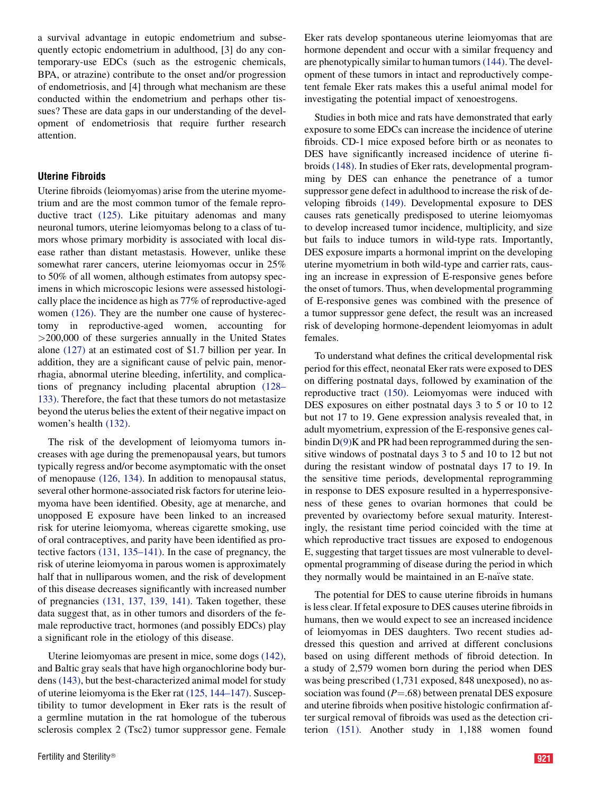a survival advantage in eutopic endometrium and subsequently ectopic endometrium in adulthood, [3] do any contemporary-use EDCs (such as the estrogenic chemicals, BPA, or atrazine) contribute to the onset and/or progression of endometriosis, and [4] through what mechanism are these conducted within the endometrium and perhaps other tissues? These are data gaps in our understanding of the development of endometriosis that require further research attention.

#### Uterine Fibroids

Uterine fibroids (leiomyomas) arise from the uterine myometrium and are the most common tumor of the female reproductive tract [\(125\).](#page-25-0) Like pituitary adenomas and many neuronal tumors, uterine leiomyomas belong to a class of tumors whose primary morbidity is associated with local disease rather than distant metastasis. However, unlike these somewhat rarer cancers, uterine leiomyomas occur in 25% to 50% of all women, although estimates from autopsy specimens in which microscopic lesions were assessed histologically place the incidence as high as 77% of reproductive-aged women [\(126\)](#page-25-0). They are the number one cause of hysterectomy in reproductive-aged women, accounting for >200,000 of these surgeries annually in the United States alone [\(127\)](#page-25-0) at an estimated cost of \$1.7 billion per year. In addition, they are a significant cause of pelvic pain, menorrhagia, abnormal uterine bleeding, infertility, and complications of pregnancy including placental abruption [\(128–](#page-25-0) [133\)](#page-25-0). Therefore, the fact that these tumors do not metastasize beyond the uterus belies the extent of their negative impact on women's health [\(132\).](#page-25-0)

The risk of the development of leiomyoma tumors increases with age during the premenopausal years, but tumors typically regress and/or become asymptomatic with the onset of menopause [\(126, 134\).](#page-25-0) In addition to menopausal status, several other hormone-associated risk factors for uterine leiomyoma have been identified. Obesity, age at menarche, and unopposed E exposure have been linked to an increased risk for uterine leiomyoma, whereas cigarette smoking, use of oral contraceptives, and parity have been identified as protective factors [\(131, 135–141\)](#page-25-0). In the case of pregnancy, the risk of uterine leiomyoma in parous women is approximately half that in nulliparous women, and the risk of development of this disease decreases significantly with increased number of pregnancies [\(131, 137, 139, 141\)](#page-25-0). Taken together, these data suggest that, as in other tumors and disorders of the female reproductive tract, hormones (and possibly EDCs) play a significant role in the etiology of this disease.

Uterine leiomyomas are present in mice, some dogs [\(142\)](#page-26-0), and Baltic gray seals that have high organochlorine body burdens [\(143\),](#page-26-0) but the best-characterized animal model for study of uterine leiomyoma is the Eker rat [\(125, 144–147\).](#page-25-0) Susceptibility to tumor development in Eker rats is the result of a germline mutation in the rat homologue of the tuberous sclerosis complex 2 (Tsc2) tumor suppressor gene. Female

Eker rats develop spontaneous uterine leiomyomas that are hormone dependent and occur with a similar frequency and are phenotypically similar to human tumors [\(144\)](#page-26-0). The development of these tumors in intact and reproductively competent female Eker rats makes this a useful animal model for investigating the potential impact of xenoestrogens.

Studies in both mice and rats have demonstrated that early exposure to some EDCs can increase the incidence of uterine fibroids. CD-1 mice exposed before birth or as neonates to DES have significantly increased incidence of uterine fibroids [\(148\).](#page-26-0) In studies of Eker rats, developmental programming by DES can enhance the penetrance of a tumor suppressor gene defect in adulthood to increase the risk of developing fibroids [\(149\).](#page-26-0) Developmental exposure to DES causes rats genetically predisposed to uterine leiomyomas to develop increased tumor incidence, multiplicity, and size but fails to induce tumors in wild-type rats. Importantly, DES exposure imparts a hormonal imprint on the developing uterine myometrium in both wild-type and carrier rats, causing an increase in expression of E-responsive genes before the onset of tumors. Thus, when developmental programming of E-responsive genes was combined with the presence of a tumor suppressor gene defect, the result was an increased risk of developing hormone-dependent leiomyomas in adult females.

To understand what defines the critical developmental risk period for this effect, neonatal Eker rats were exposed to DES on differing postnatal days, followed by examination of the reproductive tract [\(150\)](#page-26-0). Leiomyomas were induced with DES exposures on either postnatal days 3 to 5 or 10 to 12 but not 17 to 19. Gene expression analysis revealed that, in adult myometrium, expression of the E-responsive genes calbindin [D\(9\)](#page-23-0)K and PR had been reprogrammed during the sensitive windows of postnatal days 3 to 5 and 10 to 12 but not during the resistant window of postnatal days 17 to 19. In the sensitive time periods, developmental reprogramming in response to DES exposure resulted in a hyperresponsiveness of these genes to ovarian hormones that could be prevented by ovariectomy before sexual maturity. Interestingly, the resistant time period coincided with the time at which reproductive tract tissues are exposed to endogenous E, suggesting that target tissues are most vulnerable to developmental programming of disease during the period in which they normally would be maintained in an E-naïve state.

The potential for DES to cause uterine fibroids in humans is less clear. If fetal exposure to DES causes uterine fibroids in humans, then we would expect to see an increased incidence of leiomyomas in DES daughters. Two recent studies addressed this question and arrived at different conclusions based on using different methods of fibroid detection. In a study of 2,579 women born during the period when DES was being prescribed (1,731 exposed, 848 unexposed), no association was found  $(P=.68)$  between prenatal DES exposure and uterine fibroids when positive histologic confirmation after surgical removal of fibroids was used as the detection criterion [\(151\)](#page-26-0). Another study in 1,188 women found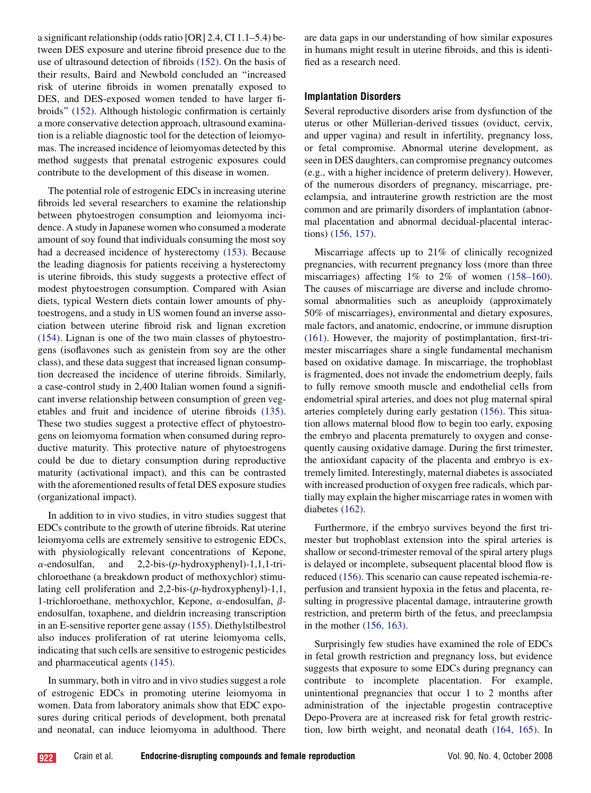a significant relationship (odds ratio [OR] 2.4, CI 1.1–5.4) between DES exposure and uterine fibroid presence due to the use of ultrasound detection of fibroids [\(152\)](#page-26-0). On the basis of their results, Baird and Newbold concluded an ''increased risk of uterine fibroids in women prenatally exposed to DES, and DES-exposed women tended to have larger fibroids'' [\(152\).](#page-26-0) Although histologic confirmation is certainly a more conservative detection approach, ultrasound examination is a reliable diagnostic tool for the detection of leiomyomas. The increased incidence of leiomyomas detected by this method suggests that prenatal estrogenic exposures could contribute to the development of this disease in women.

The potential role of estrogenic EDCs in increasing uterine fibroids led several researchers to examine the relationship between phytoestrogen consumption and leiomyoma incidence. A study in Japanese women who consumed a moderate amount of soy found that individuals consuming the most soy had a decreased incidence of hysterectomy [\(153\)](#page-26-0). Because the leading diagnosis for patients receiving a hysterectomy is uterine fibroids, this study suggests a protective effect of modest phytoestrogen consumption. Compared with Asian diets, typical Western diets contain lower amounts of phytoestrogens, and a study in US women found an inverse association between uterine fibroid risk and lignan excretion [\(154\).](#page-26-0) Lignan is one of the two main classes of phytoestrogens (isoflavones such as genistein from soy are the other class), and these data suggest that increased lignan consumption decreased the incidence of uterine fibroids. Similarly, a case-control study in 2,400 Italian women found a significant inverse relationship between consumption of green vegetables and fruit and incidence of uterine fibroids [\(135\)](#page-26-0). These two studies suggest a protective effect of phytoestrogens on leiomyoma formation when consumed during reproductive maturity. This protective nature of phytoestrogens could be due to dietary consumption during reproductive maturity (activational impact), and this can be contrasted with the aforementioned results of fetal DES exposure studies (organizational impact).

In addition to in vivo studies, in vitro studies suggest that EDCs contribute to the growth of uterine fibroids. Rat uterine leiomyoma cells are extremely sensitive to estrogenic EDCs, with physiologically relevant concentrations of Kepone,  $\alpha$ -endosulfan, and 2,2-bis-(p-hydroxyphenyl)-1,1,1-trichloroethane (a breakdown product of methoxychlor) stimulating cell proliferation and 2,2-bis-(p-hydroxyphenyl)-1,1, 1-trichloroethane, methoxychlor, Kepone,  $\alpha$ -endosulfan,  $\beta$ endosulfan, toxaphene, and dieldrin increasing transcription in an E-sensitive reporter gene assay [\(155\).](#page-26-0) Diethylstilbestrol also induces proliferation of rat uterine leiomyoma cells, indicating that such cells are sensitive to estrogenic pesticides and pharmaceutical agents [\(145\)](#page-26-0).

In summary, both in vitro and in vivo studies suggest a role of estrogenic EDCs in promoting uterine leiomyoma in women. Data from laboratory animals show that EDC exposures during critical periods of development, both prenatal and neonatal, can induce leiomyoma in adulthood. There are data gaps in our understanding of how similar exposures in humans might result in uterine fibroids, and this is identified as a research need.

#### Implantation Disorders

Several reproductive disorders arise from dysfunction of the uterus or other Müllerian-derived tissues (oviduct, cervix, and upper vagina) and result in infertility, pregnancy loss, or fetal compromise. Abnormal uterine development, as seen in DES daughters, can compromise pregnancy outcomes (e.g., with a higher incidence of preterm delivery). However, of the numerous disorders of pregnancy, miscarriage, preeclampsia, and intrauterine growth restriction are the most common and are primarily disorders of implantation (abnormal placentation and abnormal decidual-placental interactions) [\(156, 157\)](#page-26-0).

Miscarriage affects up to 21% of clinically recognized pregnancies, with recurrent pregnancy loss (more than three miscarriages) affecting 1% to 2% of women [\(158–160\)](#page-26-0). The causes of miscarriage are diverse and include chromosomal abnormalities such as aneuploidy (approximately 50% of miscarriages), environmental and dietary exposures, male factors, and anatomic, endocrine, or immune disruption [\(161\).](#page-26-0) However, the majority of postimplantation, first-trimester miscarriages share a single fundamental mechanism based on oxidative damage. In miscarriage, the trophoblast is fragmented, does not invade the endometrium deeply, fails to fully remove smooth muscle and endothelial cells from endometrial spiral arteries, and does not plug maternal spiral arteries completely during early gestation [\(156\)](#page-26-0). This situation allows maternal blood flow to begin too early, exposing the embryo and placenta prematurely to oxygen and consequently causing oxidative damage. During the first trimester, the antioxidant capacity of the placenta and embryo is extremely limited. Interestingly, maternal diabetes is associated with increased production of oxygen free radicals, which partially may explain the higher miscarriage rates in women with diabetes [\(162\)](#page-26-0).

Furthermore, if the embryo survives beyond the first trimester but trophoblast extension into the spiral arteries is shallow or second-trimester removal of the spiral artery plugs is delayed or incomplete, subsequent placental blood flow is reduced [\(156\)](#page-26-0). This scenario can cause repeated ischemia-reperfusion and transient hypoxia in the fetus and placenta, resulting in progressive placental damage, intrauterine growth restriction, and preterm birth of the fetus, and preeclampsia in the mother [\(156, 163\).](#page-26-0)

Surprisingly few studies have examined the role of EDCs in fetal growth restriction and pregnancy loss, but evidence suggests that exposure to some EDCs during pregnancy can contribute to incomplete placentation. For example, unintentional pregnancies that occur 1 to 2 months after administration of the injectable progestin contraceptive Depo-Provera are at increased risk for fetal growth restriction, low birth weight, and neonatal death [\(164, 165\).](#page-26-0) In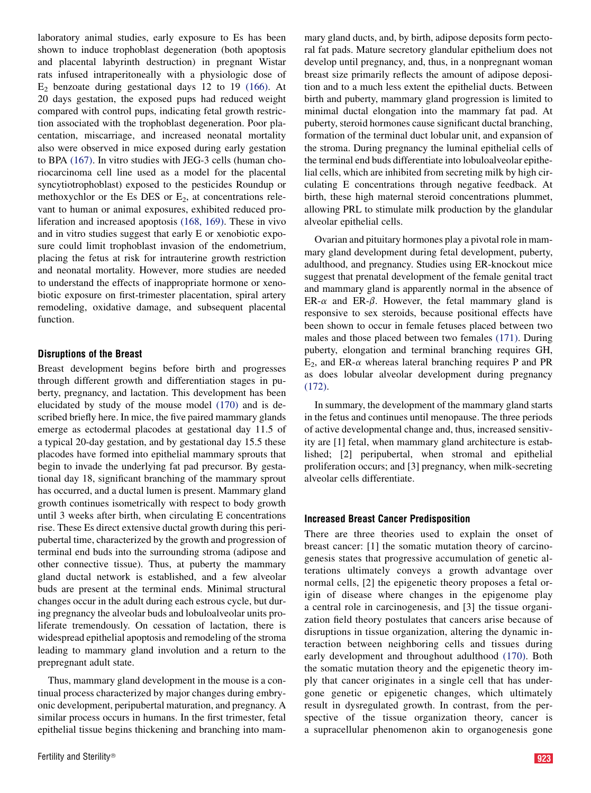laboratory animal studies, early exposure to Es has been shown to induce trophoblast degeneration (both apoptosis and placental labyrinth destruction) in pregnant Wistar rats infused intraperitoneally with a physiologic dose of  $E_2$  benzoate during gestational days 12 to 19 [\(166\)](#page-26-0). At 20 days gestation, the exposed pups had reduced weight compared with control pups, indicating fetal growth restriction associated with the trophoblast degeneration. Poor placentation, miscarriage, and increased neonatal mortality also were observed in mice exposed during early gestation to BPA [\(167\)](#page-26-0). In vitro studies with JEG-3 cells (human choriocarcinoma cell line used as a model for the placental syncytiotrophoblast) exposed to the pesticides Roundup or methoxychlor or the Es DES or  $E_2$ , at concentrations relevant to human or animal exposures, exhibited reduced proliferation and increased apoptosis [\(168, 169\)](#page-26-0). These in vivo and in vitro studies suggest that early E or xenobiotic exposure could limit trophoblast invasion of the endometrium, placing the fetus at risk for intrauterine growth restriction and neonatal mortality. However, more studies are needed to understand the effects of inappropriate hormone or xenobiotic exposure on first-trimester placentation, spiral artery remodeling, oxidative damage, and subsequent placental function.

#### Disruptions of the Breast

Breast development begins before birth and progresses through different growth and differentiation stages in puberty, pregnancy, and lactation. This development has been elucidated by study of the mouse model [\(170\)](#page-26-0) and is described briefly here. In mice, the five paired mammary glands emerge as ectodermal placodes at gestational day 11.5 of a typical 20-day gestation, and by gestational day 15.5 these placodes have formed into epithelial mammary sprouts that begin to invade the underlying fat pad precursor. By gestational day 18, significant branching of the mammary sprout has occurred, and a ductal lumen is present. Mammary gland growth continues isometrically with respect to body growth until 3 weeks after birth, when circulating E concentrations rise. These Es direct extensive ductal growth during this peripubertal time, characterized by the growth and progression of terminal end buds into the surrounding stroma (adipose and other connective tissue). Thus, at puberty the mammary gland ductal network is established, and a few alveolar buds are present at the terminal ends. Minimal structural changes occur in the adult during each estrous cycle, but during pregnancy the alveolar buds and lobuloalveolar units proliferate tremendously. On cessation of lactation, there is widespread epithelial apoptosis and remodeling of the stroma leading to mammary gland involution and a return to the prepregnant adult state.

Thus, mammary gland development in the mouse is a continual process characterized by major changes during embryonic development, peripubertal maturation, and pregnancy. A similar process occurs in humans. In the first trimester, fetal epithelial tissue begins thickening and branching into mammary gland ducts, and, by birth, adipose deposits form pectoral fat pads. Mature secretory glandular epithelium does not develop until pregnancy, and, thus, in a nonpregnant woman breast size primarily reflects the amount of adipose deposition and to a much less extent the epithelial ducts. Between birth and puberty, mammary gland progression is limited to minimal ductal elongation into the mammary fat pad. At puberty, steroid hormones cause significant ductal branching, formation of the terminal duct lobular unit, and expansion of the stroma. During pregnancy the luminal epithelial cells of the terminal end buds differentiate into lobuloalveolar epithelial cells, which are inhibited from secreting milk by high circulating E concentrations through negative feedback. At birth, these high maternal steroid concentrations plummet, allowing PRL to stimulate milk production by the glandular alveolar epithelial cells.

Ovarian and pituitary hormones play a pivotal role in mammary gland development during fetal development, puberty, adulthood, and pregnancy. Studies using ER-knockout mice suggest that prenatal development of the female genital tract and mammary gland is apparently normal in the absence of ER- $\alpha$  and ER- $\beta$ . However, the fetal mammary gland is responsive to sex steroids, because positional effects have been shown to occur in female fetuses placed between two males and those placed between two females [\(171\)](#page-26-0). During puberty, elongation and terminal branching requires GH,  $E_2$ , and ER- $\alpha$  whereas lateral branching requires P and PR as does lobular alveolar development during pregnancy [\(172\).](#page-26-0)

In summary, the development of the mammary gland starts in the fetus and continues until menopause. The three periods of active developmental change and, thus, increased sensitivity are [1] fetal, when mammary gland architecture is established; [2] peripubertal, when stromal and epithelial proliferation occurs; and [3] pregnancy, when milk-secreting alveolar cells differentiate.

#### Increased Breast Cancer Predisposition

There are three theories used to explain the onset of breast cancer: [1] the somatic mutation theory of carcinogenesis states that progressive accumulation of genetic alterations ultimately conveys a growth advantage over normal cells, [2] the epigenetic theory proposes a fetal origin of disease where changes in the epigenome play a central role in carcinogenesis, and [3] the tissue organization field theory postulates that cancers arise because of disruptions in tissue organization, altering the dynamic interaction between neighboring cells and tissues during early development and throughout adulthood [\(170\).](#page-26-0) Both the somatic mutation theory and the epigenetic theory imply that cancer originates in a single cell that has undergone genetic or epigenetic changes, which ultimately result in dysregulated growth. In contrast, from the perspective of the tissue organization theory, cancer is a supracellular phenomenon akin to organogenesis gone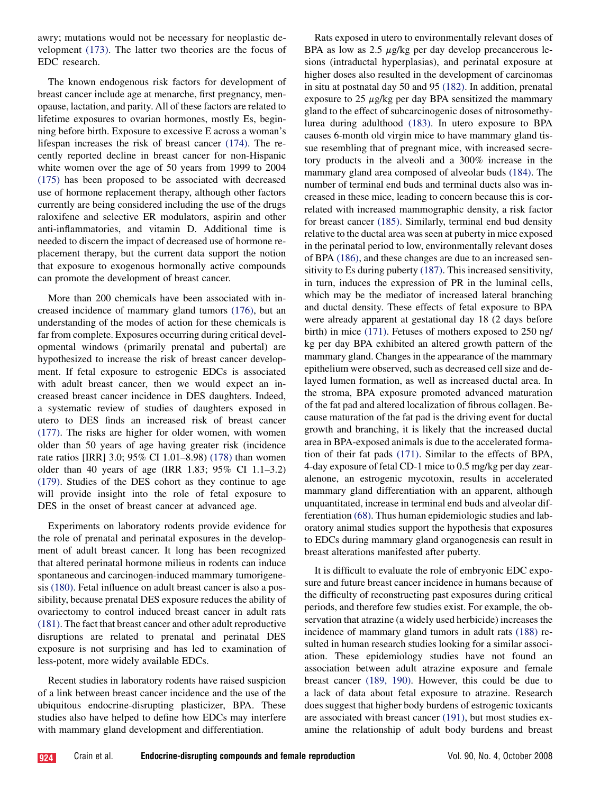awry; mutations would not be necessary for neoplastic development [\(173\).](#page-26-0) The latter two theories are the focus of EDC research.

The known endogenous risk factors for development of breast cancer include age at menarche, first pregnancy, menopause, lactation, and parity. All of these factors are related to lifetime exposures to ovarian hormones, mostly Es, beginning before birth. Exposure to excessive E across a woman's lifespan increases the risk of breast cancer [\(174\)](#page-26-0). The recently reported decline in breast cancer for non-Hispanic white women over the age of 50 years from 1999 to 2004 [\(175\)](#page-26-0) has been proposed to be associated with decreased use of hormone replacement therapy, although other factors currently are being considered including the use of the drugs raloxifene and selective ER modulators, aspirin and other anti-inflammatories, and vitamin D. Additional time is needed to discern the impact of decreased use of hormone replacement therapy, but the current data support the notion that exposure to exogenous hormonally active compounds can promote the development of breast cancer.

More than 200 chemicals have been associated with increased incidence of mammary gland tumors [\(176\)](#page-26-0), but an understanding of the modes of action for these chemicals is far from complete. Exposures occurring during critical developmental windows (primarily prenatal and pubertal) are hypothesized to increase the risk of breast cancer development. If fetal exposure to estrogenic EDCs is associated with adult breast cancer, then we would expect an increased breast cancer incidence in DES daughters. Indeed, a systematic review of studies of daughters exposed in utero to DES finds an increased risk of breast cancer [\(177\).](#page-26-0) The risks are higher for older women, with women older than 50 years of age having greater risk (incidence rate ratios [IRR] 3.0; 95% CI 1.01–8.98) [\(178\)](#page-27-0) than women older than 40 years of age (IRR 1.83; 95% CI 1.1–3.2) [\(179\).](#page-27-0) Studies of the DES cohort as they continue to age will provide insight into the role of fetal exposure to DES in the onset of breast cancer at advanced age.

Experiments on laboratory rodents provide evidence for the role of prenatal and perinatal exposures in the development of adult breast cancer. It long has been recognized that altered perinatal hormone milieus in rodents can induce spontaneous and carcinogen-induced mammary tumorigenesis [\(180\)](#page-27-0). Fetal influence on adult breast cancer is also a possibility, because prenatal DES exposure reduces the ability of ovariectomy to control induced breast cancer in adult rats [\(181\).](#page-27-0) The fact that breast cancer and other adult reproductive disruptions are related to prenatal and perinatal DES exposure is not surprising and has led to examination of less-potent, more widely available EDCs.

Recent studies in laboratory rodents have raised suspicion of a link between breast cancer incidence and the use of the ubiquitous endocrine-disrupting plasticizer, BPA. These studies also have helped to define how EDCs may interfere with mammary gland development and differentiation.

Rats exposed in utero to environmentally relevant doses of BPA as low as  $2.5 \mu g/kg$  per day develop precancerous lesions (intraductal hyperplasias), and perinatal exposure at higher doses also resulted in the development of carcinomas in situ at postnatal day 50 and 95 [\(182\)](#page-27-0). In addition, prenatal exposure to 25  $\mu$ g/kg per day BPA sensitized the mammary gland to the effect of subcarcinogenic doses of nitrosomethylurea during adulthood [\(183\).](#page-27-0) In utero exposure to BPA causes 6-month old virgin mice to have mammary gland tissue resembling that of pregnant mice, with increased secretory products in the alveoli and a 300% increase in the mammary gland area composed of alveolar buds [\(184\)](#page-27-0). The number of terminal end buds and terminal ducts also was increased in these mice, leading to concern because this is correlated with increased mammographic density, a risk factor for breast cancer [\(185\).](#page-27-0) Similarly, terminal end bud density relative to the ductal area was seen at puberty in mice exposed in the perinatal period to low, environmentally relevant doses of BPA [\(186\),](#page-27-0) and these changes are due to an increased sensitivity to Es during puberty [\(187\)](#page-27-0). This increased sensitivity, in turn, induces the expression of PR in the luminal cells, which may be the mediator of increased lateral branching and ductal density. These effects of fetal exposure to BPA were already apparent at gestational day 18 (2 days before birth) in mice [\(171\)](#page-26-0). Fetuses of mothers exposed to 250 ng/ kg per day BPA exhibited an altered growth pattern of the mammary gland. Changes in the appearance of the mammary epithelium were observed, such as decreased cell size and delayed lumen formation, as well as increased ductal area. In the stroma, BPA exposure promoted advanced maturation of the fat pad and altered localization of fibrous collagen. Because maturation of the fat pad is the driving event for ductal growth and branching, it is likely that the increased ductal area in BPA-exposed animals is due to the accelerated formation of their fat pads [\(171\).](#page-26-0) Similar to the effects of BPA, 4-day exposure of fetal CD-1 mice to 0.5 mg/kg per day zearalenone, an estrogenic mycotoxin, results in accelerated mammary gland differentiation with an apparent, although unquantitated, increase in terminal end buds and alveolar differentiation [\(68\).](#page-24-0) Thus human epidemiologic studies and laboratory animal studies support the hypothesis that exposures to EDCs during mammary gland organogenesis can result in breast alterations manifested after puberty.

It is difficult to evaluate the role of embryonic EDC exposure and future breast cancer incidence in humans because of the difficulty of reconstructing past exposures during critical periods, and therefore few studies exist. For example, the observation that atrazine (a widely used herbicide) increases the incidence of mammary gland tumors in adult rats [\(188\)](#page-27-0) resulted in human research studies looking for a similar association. These epidemiology studies have not found an association between adult atrazine exposure and female breast cancer [\(189, 190\).](#page-27-0) However, this could be due to a lack of data about fetal exposure to atrazine. Research does suggest that higher body burdens of estrogenic toxicants are associated with breast cancer [\(191\)](#page-27-0), but most studies examine the relationship of adult body burdens and breast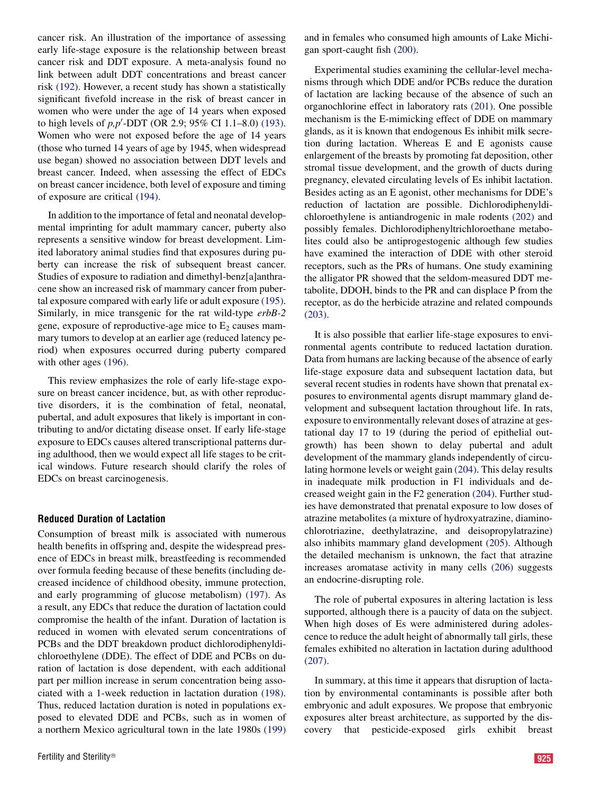cancer risk. An illustration of the importance of assessing early life-stage exposure is the relationship between breast cancer risk and DDT exposure. A meta-analysis found no link between adult DDT concentrations and breast cancer risk [\(192\)](#page-27-0). However, a recent study has shown a statistically significant fivefold increase in the risk of breast cancer in women who were under the age of 14 years when exposed to high levels of  $p, p'$ -DDT (OR 2.9; 95% CI 1.1–8.0) [\(193\)](#page-27-0). Women who were not exposed before the age of 14 years (those who turned 14 years of age by 1945, when widespread use began) showed no association between DDT levels and breast cancer. Indeed, when assessing the effect of EDCs on breast cancer incidence, both level of exposure and timing of exposure are critical [\(194\)](#page-27-0).

In addition to the importance of fetal and neonatal developmental imprinting for adult mammary cancer, puberty also represents a sensitive window for breast development. Limited laboratory animal studies find that exposures during puberty can increase the risk of subsequent breast cancer. Studies of exposure to radiation and dimethyl-benz[a]anthracene show an increased risk of mammary cancer from pubertal exposure compared with early life or adult exposure [\(195\)](#page-27-0). Similarly, in mice transgenic for the rat wild-type erbB-2 gene, exposure of reproductive-age mice to  $E_2$  causes mammary tumors to develop at an earlier age (reduced latency period) when exposures occurred during puberty compared with other ages [\(196\)](#page-27-0).

This review emphasizes the role of early life-stage exposure on breast cancer incidence, but, as with other reproductive disorders, it is the combination of fetal, neonatal, pubertal, and adult exposures that likely is important in contributing to and/or dictating disease onset. If early life-stage exposure to EDCs causes altered transcriptional patterns during adulthood, then we would expect all life stages to be critical windows. Future research should clarify the roles of EDCs on breast carcinogenesis.

#### Reduced Duration of Lactation

Consumption of breast milk is associated with numerous health benefits in offspring and, despite the widespread presence of EDCs in breast milk, breastfeeding is recommended over formula feeding because of these benefits (including decreased incidence of childhood obesity, immune protection, and early programming of glucose metabolism) [\(197\)](#page-27-0). As a result, any EDCs that reduce the duration of lactation could compromise the health of the infant. Duration of lactation is reduced in women with elevated serum concentrations of PCBs and the DDT breakdown product dichlorodiphenyldichloroethylene (DDE). The effect of DDE and PCBs on duration of lactation is dose dependent, with each additional part per million increase in serum concentration being associated with a 1-week reduction in lactation duration [\(198\)](#page-27-0). Thus, reduced lactation duration is noted in populations exposed to elevated DDE and PCBs, such as in women of a northern Mexico agricultural town in the late 1980s [\(199\)](#page-27-0) and in females who consumed high amounts of Lake Michigan sport-caught fish [\(200\).](#page-27-0)

Experimental studies examining the cellular-level mechanisms through which DDE and/or PCBs reduce the duration of lactation are lacking because of the absence of such an organochlorine effect in laboratory rats [\(201\).](#page-27-0) One possible mechanism is the E-mimicking effect of DDE on mammary glands, as it is known that endogenous Es inhibit milk secretion during lactation. Whereas E and E agonists cause enlargement of the breasts by promoting fat deposition, other stromal tissue development, and the growth of ducts during pregnancy, elevated circulating levels of Es inhibit lactation. Besides acting as an E agonist, other mechanisms for DDE's reduction of lactation are possible. Dichlorodiphenyldichloroethylene is antiandrogenic in male rodents [\(202\)](#page-27-0) and possibly females. Dichlorodiphenyltrichloroethane metabolites could also be antiprogestogenic although few studies have examined the interaction of DDE with other steroid receptors, such as the PRs of humans. One study examining the alligator PR showed that the seldom-measured DDT metabolite, DDOH, binds to the PR and can displace P from the receptor, as do the herbicide atrazine and related compounds [\(203\).](#page-27-0)

It is also possible that earlier life-stage exposures to environmental agents contribute to reduced lactation duration. Data from humans are lacking because of the absence of early life-stage exposure data and subsequent lactation data, but several recent studies in rodents have shown that prenatal exposures to environmental agents disrupt mammary gland development and subsequent lactation throughout life. In rats, exposure to environmentally relevant doses of atrazine at gestational day 17 to 19 (during the period of epithelial outgrowth) has been shown to delay pubertal and adult development of the mammary glands independently of circulating hormone levels or weight gain [\(204\).](#page-27-0) This delay results in inadequate milk production in F1 individuals and decreased weight gain in the F2 generation [\(204\)](#page-27-0). Further studies have demonstrated that prenatal exposure to low doses of atrazine metabolites (a mixture of hydroxyatrazine, diaminochlorotriazine, deethylatrazine, and deisopropylatrazine) also inhibits mammary gland development [\(205\)](#page-27-0). Although the detailed mechanism is unknown, the fact that atrazine increases aromatase activity in many cells [\(206\)](#page-27-0) suggests an endocrine-disrupting role.

The role of pubertal exposures in altering lactation is less supported, although there is a paucity of data on the subject. When high doses of Es were administered during adolescence to reduce the adult height of abnormally tall girls, these females exhibited no alteration in lactation during adulthood [\(207\).](#page-27-0)

In summary, at this time it appears that disruption of lactation by environmental contaminants is possible after both embryonic and adult exposures. We propose that embryonic exposures alter breast architecture, as supported by the discovery that pesticide-exposed girls exhibit breast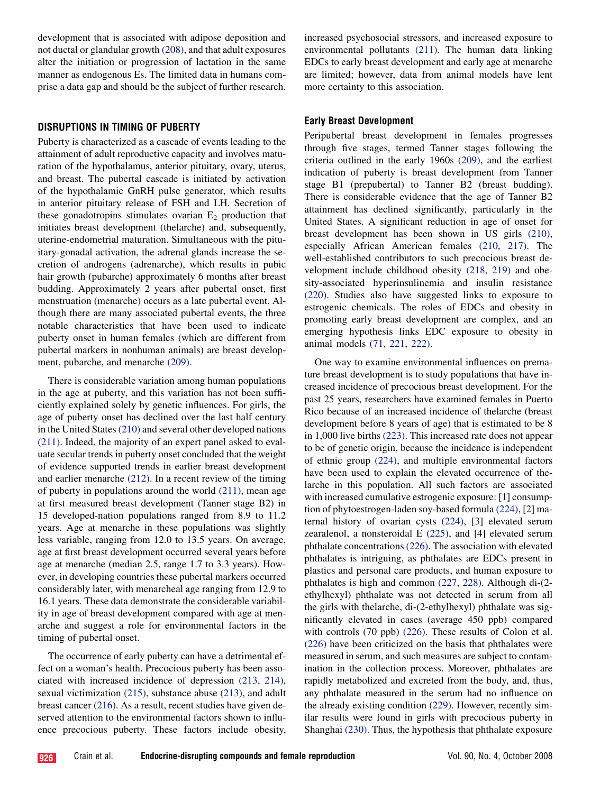development that is associated with adipose deposition and not ductal or glandular growth [\(208\)](#page-27-0), and that adult exposures alter the initiation or progression of lactation in the same manner as endogenous Es. The limited data in humans comprise a data gap and should be the subject of further research.

#### DISRUPTIONS IN TIMING OF PUBERTY

Puberty is characterized as a cascade of events leading to the attainment of adult reproductive capacity and involves maturation of the hypothalamus, anterior pituitary, ovary, uterus, and breast. The pubertal cascade is initiated by activation of the hypothalamic GnRH pulse generator, which results in anterior pituitary release of FSH and LH. Secretion of these gonadotropins stimulates ovarian  $E_2$  production that initiates breast development (thelarche) and, subsequently, uterine-endometrial maturation. Simultaneous with the pituitary-gonadal activation, the adrenal glands increase the secretion of androgens (adrenarche), which results in pubic hair growth (pubarche) approximately 6 months after breast budding. Approximately 2 years after pubertal onset, first menstruation (menarche) occurs as a late pubertal event. Although there are many associated pubertal events, the three notable characteristics that have been used to indicate puberty onset in human females (which are different from pubertal markers in nonhuman animals) are breast development, pubarche, and menarche [\(209\).](#page-27-0)

There is considerable variation among human populations in the age at puberty, and this variation has not been sufficiently explained solely by genetic influences. For girls, the age of puberty onset has declined over the last half century in the United States[\(210\)](#page-27-0) and several other developed nations [\(211\).](#page-27-0) Indeed, the majority of an expert panel asked to evaluate secular trends in puberty onset concluded that the weight of evidence supported trends in earlier breast development and earlier menarche [\(212\).](#page-27-0) In a recent review of the timing of puberty in populations around the world [\(211\)](#page-27-0), mean age at first measured breast development (Tanner stage B2) in 15 developed-nation populations ranged from 8.9 to 11.2 years. Age at menarche in these populations was slightly less variable, ranging from 12.0 to 13.5 years. On average, age at first breast development occurred several years before age at menarche (median 2.5, range 1.7 to 3.3 years). However, in developing countries these pubertal markers occurred considerably later, with menarcheal age ranging from 12.9 to 16.1 years. These data demonstrate the considerable variability in age of breast development compared with age at menarche and suggest a role for environmental factors in the timing of pubertal onset.

The occurrence of early puberty can have a detrimental effect on a woman's health. Precocious puberty has been associated with increased incidence of depression [\(213, 214\)](#page-27-0), sexual victimization [\(215\),](#page-27-0) substance abuse [\(213\)](#page-27-0), and adult breast cancer [\(216\).](#page-27-0) As a result, recent studies have given deserved attention to the environmental factors shown to influence precocious puberty. These factors include obesity, increased psychosocial stressors, and increased exposure to environmental pollutants [\(211\).](#page-27-0) The human data linking EDCs to early breast development and early age at menarche are limited; however, data from animal models have lent more certainty to this association.

#### Early Breast Development

Peripubertal breast development in females progresses through five stages, termed Tanner stages following the criteria outlined in the early 1960s [\(209\)](#page-27-0), and the earliest indication of puberty is breast development from Tanner stage B1 (prepubertal) to Tanner B2 (breast budding). There is considerable evidence that the age of Tanner B2 attainment has declined significantly, particularly in the United States. A significant reduction in age of onset for breast development has been shown in US girls [\(210\)](#page-27-0), especially African American females [\(210, 217\).](#page-27-0) The well-established contributors to such precocious breast development include childhood obesity [\(218, 219\)](#page-27-0) and obesity-associated hyperinsulinemia and insulin resistance [\(220\).](#page-27-0) Studies also have suggested links to exposure to estrogenic chemicals. The roles of EDCs and obesity in promoting early breast development are complex, and an emerging hypothesis links EDC exposure to obesity in animal models [\(71, 221, 222\)](#page-24-0).

One way to examine environmental influences on premature breast development is to study populations that have increased incidence of precocious breast development. For the past 25 years, researchers have examined females in Puerto Rico because of an increased incidence of thelarche (breast development before 8 years of age) that is estimated to be 8 in 1,000 live births [\(223\).](#page-28-0) This increased rate does not appear to be of genetic origin, because the incidence is independent of ethnic group [\(224\)](#page-28-0), and multiple environmental factors have been used to explain the elevated occurrence of thelarche in this population. All such factors are associated with increased cumulative estrogenic exposure: [1] consumption of phytoestrogen-laden soy-based formula [\(224\)](#page-28-0), [2] maternal history of ovarian cysts [\(224\)](#page-28-0), [3] elevated serum zearalenol, a nonsteroidal E [\(225\),](#page-28-0) and [4] elevated serum phthalate concentrations [\(226\).](#page-28-0) The association with elevated phthalates is intriguing, as phthalates are EDCs present in plastics and personal care products, and human exposure to phthalates is high and common [\(227, 228\).](#page-28-0) Although di-(2 ethylhexyl) phthalate was not detected in serum from all the girls with thelarche, di-(2-ethylhexyl) phthalate was significantly elevated in cases (average 450 ppb) compared with controls (70 ppb) [\(226\).](#page-28-0) These results of Colon et al. [\(226\)](#page-28-0) have been criticized on the basis that phthalates were measured in serum, and such measures are subject to contamination in the collection process. Moreover, phthalates are rapidly metabolized and excreted from the body, and, thus, any phthalate measured in the serum had no influence on the already existing condition [\(229\)](#page-28-0). However, recently similar results were found in girls with precocious puberty in Shanghai [\(230\).](#page-28-0) Thus, the hypothesis that phthalate exposure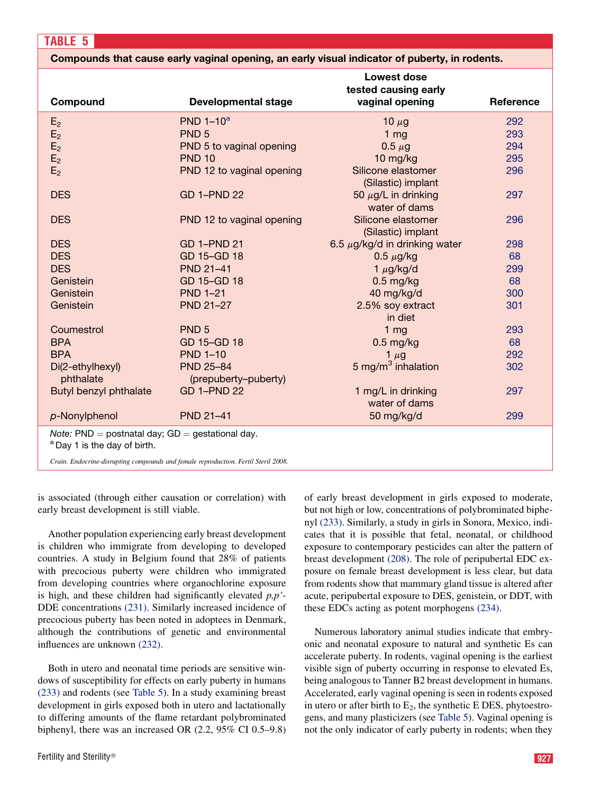|  |  | Compounds that cause early vaginal opening, an early visual indicator of puberty, in rodents. |
|--|--|-----------------------------------------------------------------------------------------------|
|  |  |                                                                                               |

|                                                                                                      |                                          | Lowest dose<br>tested causing early       |                  |
|------------------------------------------------------------------------------------------------------|------------------------------------------|-------------------------------------------|------------------|
| Compound                                                                                             | <b>Developmental stage</b>               | vaginal opening                           | <b>Reference</b> |
| E <sub>2</sub>                                                                                       | PND $1-10^a$                             | 10 $\mu$ g                                | 292              |
| E <sub>2</sub>                                                                                       | PND <sub>5</sub>                         | 1 <sub>mg</sub>                           | 293              |
| E <sub>2</sub>                                                                                       | PND 5 to vaginal opening                 | $0.5 \mu g$                               | 294              |
| E <sub>2</sub>                                                                                       | <b>PND 10</b>                            | 10 mg/kg                                  | 295              |
| E <sub>2</sub>                                                                                       | PND 12 to vaginal opening                | Silicone elastomer<br>(Silastic) implant  | 296              |
| <b>DES</b>                                                                                           | <b>GD 1-PND 22</b>                       | 50 $\mu$ g/L in drinking<br>water of dams | 297              |
| <b>DES</b>                                                                                           | PND 12 to vaginal opening                | Silicone elastomer<br>(Silastic) implant  | 296              |
| <b>DES</b>                                                                                           | <b>GD 1-PND 21</b>                       | 6.5 $\mu$ g/kg/d in drinking water        | 298              |
| <b>DES</b>                                                                                           | GD 15-GD 18                              | $0.5 \mu g/kg$                            | 68               |
| <b>DES</b>                                                                                           | <b>PND 21-41</b>                         | 1 $\mu$ g/kg/d                            | 299              |
| Genistein                                                                                            | GD 15-GD 18                              | $0.5$ mg/kg                               | 68               |
| Genistein                                                                                            | <b>PND 1-21</b>                          | 40 mg/kg/d                                | 300              |
| Genistein                                                                                            | <b>PND 21-27</b>                         | 2.5% soy extract                          | 301              |
|                                                                                                      |                                          | in diet                                   |                  |
| Coumestrol                                                                                           | PND <sub>5</sub>                         | 1 <sub>mg</sub>                           | 293              |
| <b>BPA</b>                                                                                           | GD 15-GD 18                              | $0.5$ mg/kg                               | 68               |
| <b>BPA</b>                                                                                           | <b>PND 1-10</b>                          | 1 $\mu$ g                                 | 292              |
| Di(2-ethylhexyl)<br>phthalate                                                                        | <b>PND 25-84</b><br>(prepuberty-puberty) | 5 mg/ $m3$ inhalation                     | 302              |
| Butyl benzyl phthalate                                                                               | <b>GD 1-PND 22</b>                       | 1 mg/L in drinking<br>water of dams       | 297              |
| p-Nonylphenol                                                                                        | <b>PND 21-41</b>                         | 50 mg/kg/d                                | 299              |
| <i>Note:</i> PND = postnatal day; $GD$ = gestational day.<br><sup>a</sup> Day 1 is the day of birth. |                                          |                                           |                  |

Crain. Endocrine-disrupting compounds and female reproduction. Fertil Steril 2008.

is associated (through either causation or correlation) with early breast development is still viable.

Another population experiencing early breast development is children who immigrate from developing to developed countries. A study in Belgium found that 28% of patients with precocious puberty were children who immigrated from developing countries where organochlorine exposure is high, and these children had significantly elevated  $p, p'$ -DDE concentrations [\(231\)](#page-28-0). Similarly increased incidence of precocious puberty has been noted in adoptees in Denmark, although the contributions of genetic and environmental influences are unknown [\(232\).](#page-28-0)

Both in utero and neonatal time periods are sensitive windows of susceptibility for effects on early puberty in humans [\(233\)](#page-28-0) and rodents (see [Table 5](#page-16-0)). In a study examining breast development in girls exposed both in utero and lactationally to differing amounts of the flame retardant polybrominated biphenyl, there was an increased OR (2.2, 95% CI 0.5–9.8)

<span id="page-16-0"></span>Fertility and Sterility®  $\overline{927}$ 

of early breast development in girls exposed to moderate, but not high or low, concentrations of polybrominated biphenyl [\(233\).](#page-28-0) Similarly, a study in girls in Sonora, Mexico, indicates that it is possible that fetal, neonatal, or childhood exposure to contemporary pesticides can alter the pattern of breast development [\(208\)](#page-27-0). The role of peripubertal EDC exposure on female breast development is less clear, but data from rodents show that mammary gland tissue is altered after acute, peripubertal exposure to DES, genistein, or DDT, with these EDCs acting as potent morphogens [\(234\).](#page-28-0)

Numerous laboratory animal studies indicate that embryonic and neonatal exposure to natural and synthetic Es can accelerate puberty. In rodents, vaginal opening is the earliest visible sign of puberty occurring in response to elevated Es, being analogous to Tanner B2 breast development in humans. Accelerated, early vaginal opening is seen in rodents exposed in utero or after birth to  $E_2$ , the synthetic E DES, phytoestrogens, and many plasticizers (see [Table 5\)](#page-16-0). Vaginal opening is not the only indicator of early puberty in rodents; when they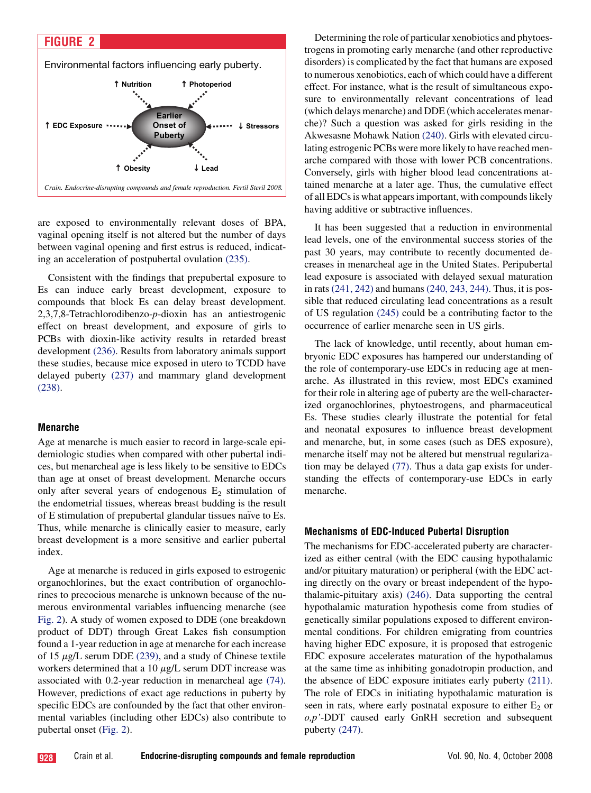

are exposed to environmentally relevant doses of BPA, vaginal opening itself is not altered but the number of days between vaginal opening and first estrus is reduced, indicating an acceleration of postpubertal ovulation [\(235\).](#page-28-0)

Consistent with the findings that prepubertal exposure to Es can induce early breast development, exposure to compounds that block Es can delay breast development. 2,3,7,8-Tetrachlorodibenzo-p-dioxin has an antiestrogenic effect on breast development, and exposure of girls to PCBs with dioxin-like activity results in retarded breast development [\(236\).](#page-28-0) Results from laboratory animals support these studies, because mice exposed in utero to TCDD have delayed puberty [\(237\)](#page-28-0) and mammary gland development [\(238\).](#page-28-0)

#### Menarche

Age at menarche is much easier to record in large-scale epidemiologic studies when compared with other pubertal indices, but menarcheal age is less likely to be sensitive to EDCs than age at onset of breast development. Menarche occurs only after several years of endogenous  $E_2$  stimulation of the endometrial tissues, whereas breast budding is the result of E stimulation of prepubertal glandular tissues naïve to Es. Thus, while menarche is clinically easier to measure, early breast development is a more sensitive and earlier pubertal index.

<span id="page-17-0"></span>Age at menarche is reduced in girls exposed to estrogenic organochlorines, but the exact contribution of organochlorines to precocious menarche is unknown because of the numerous environmental variables influencing menarche (see [Fig. 2](#page-17-0)). A study of women exposed to DDE (one breakdown product of DDT) through Great Lakes fish consumption found a 1-year reduction in age at menarche for each increase of 15  $\mu$ g/L serum DDE [\(239\),](#page-28-0) and a study of Chinese textile workers determined that a 10  $\mu$ g/L serum DDT increase was associated with 0.2-year reduction in menarcheal age [\(74\)](#page-24-0). However, predictions of exact age reductions in puberty by specific EDCs are confounded by the fact that other environmental variables (including other EDCs) also contribute to pubertal onset ([Fig. 2](#page-17-0)).

Determining the role of particular xenobiotics and phytoestrogens in promoting early menarche (and other reproductive disorders) is complicated by the fact that humans are exposed to numerous xenobiotics, each of which could have a different effect. For instance, what is the result of simultaneous exposure to environmentally relevant concentrations of lead (which delays menarche) and DDE (which accelerates menarche)? Such a question was asked for girls residing in the Akwesasne Mohawk Nation [\(240\)](#page-28-0). Girls with elevated circulating estrogenic PCBs were more likely to have reached menarche compared with those with lower PCB concentrations. Conversely, girls with higher blood lead concentrations attained menarche at a later age. Thus, the cumulative effect of all EDCs is what appears important, with compounds likely having additive or subtractive influences.

It has been suggested that a reduction in environmental lead levels, one of the environmental success stories of the past 30 years, may contribute to recently documented decreases in menarcheal age in the United States. Peripubertal lead exposure is associated with delayed sexual maturation in rats [\(241, 242\)](#page-28-0) and humans [\(240, 243, 244\).](#page-28-0) Thus, it is possible that reduced circulating lead concentrations as a result of US regulation [\(245\)](#page-28-0) could be a contributing factor to the occurrence of earlier menarche seen in US girls.

The lack of knowledge, until recently, about human embryonic EDC exposures has hampered our understanding of the role of contemporary-use EDCs in reducing age at menarche. As illustrated in this review, most EDCs examined for their role in altering age of puberty are the well-characterized organochlorines, phytoestrogens, and pharmaceutical Es. These studies clearly illustrate the potential for fetal and neonatal exposures to influence breast development and menarche, but, in some cases (such as DES exposure), menarche itself may not be altered but menstrual regularization may be delayed [\(77\)](#page-24-0). Thus a data gap exists for understanding the effects of contemporary-use EDCs in early menarche.

#### Mechanisms of EDC-Induced Pubertal Disruption

The mechanisms for EDC-accelerated puberty are characterized as either central (with the EDC causing hypothalamic and/or pituitary maturation) or peripheral (with the EDC acting directly on the ovary or breast independent of the hypothalamic-pituitary axis) [\(246\)](#page-28-0). Data supporting the central hypothalamic maturation hypothesis come from studies of genetically similar populations exposed to different environmental conditions. For children emigrating from countries having higher EDC exposure, it is proposed that estrogenic EDC exposure accelerates maturation of the hypothalamus at the same time as inhibiting gonadotropin production, and the absence of EDC exposure initiates early puberty [\(211\)](#page-27-0). The role of EDCs in initiating hypothalamic maturation is seen in rats, where early postnatal exposure to either  $E<sub>2</sub>$  or  $o, p'$ -DDT caused early GnRH secretion and subsequent puberty [\(247\).](#page-28-0)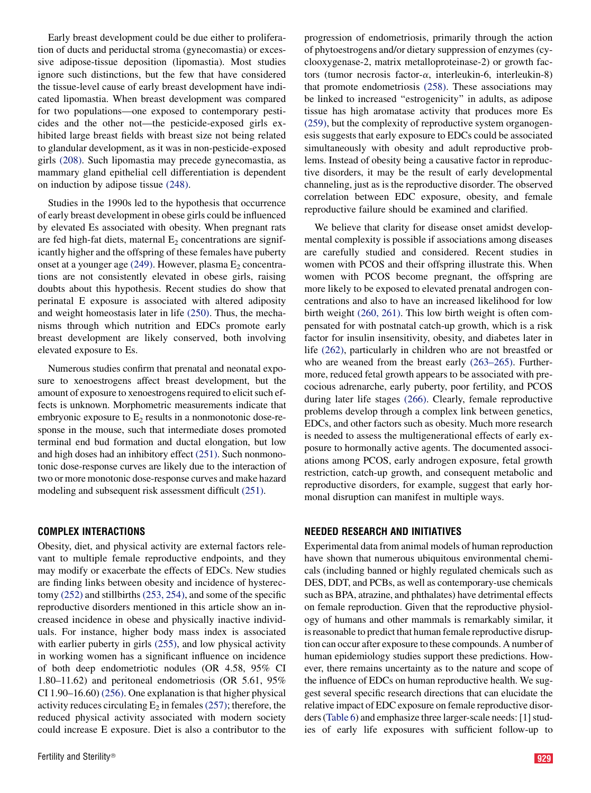Early breast development could be due either to proliferation of ducts and periductal stroma (gynecomastia) or excessive adipose-tissue deposition (lipomastia). Most studies ignore such distinctions, but the few that have considered the tissue-level cause of early breast development have indicated lipomastia. When breast development was compared for two populations—one exposed to contemporary pesticides and the other not—the pesticide-exposed girls exhibited large breast fields with breast size not being related to glandular development, as it was in non-pesticide-exposed girls [\(208\).](#page-27-0) Such lipomastia may precede gynecomastia, as mammary gland epithelial cell differentiation is dependent on induction by adipose tissue [\(248\).](#page-28-0)

Studies in the 1990s led to the hypothesis that occurrence of early breast development in obese girls could be influenced by elevated Es associated with obesity. When pregnant rats are fed high-fat diets, maternal  $E_2$  concentrations are significantly higher and the offspring of these females have puberty onset at a younger age  $(249)$ . However, plasma E<sub>2</sub> concentrations are not consistently elevated in obese girls, raising doubts about this hypothesis. Recent studies do show that perinatal E exposure is associated with altered adiposity and weight homeostasis later in life [\(250\)](#page-28-0). Thus, the mechanisms through which nutrition and EDCs promote early breast development are likely conserved, both involving elevated exposure to Es.

Numerous studies confirm that prenatal and neonatal exposure to xenoestrogens affect breast development, but the amount of exposure to xenoestrogens required to elicit such effects is unknown. Morphometric measurements indicate that embryonic exposure to  $E_2$  results in a nonmonotonic dose-response in the mouse, such that intermediate doses promoted terminal end bud formation and ductal elongation, but low and high doses had an inhibitory effect [\(251\).](#page-28-0) Such nonmonotonic dose-response curves are likely due to the interaction of two or more monotonic dose-response curves and make hazard modeling and subsequent risk assessment difficult [\(251\).](#page-28-0)

#### COMPLEX INTERACTIONS

Obesity, diet, and physical activity are external factors relevant to multiple female reproductive endpoints, and they may modify or exacerbate the effects of EDCs. New studies are finding links between obesity and incidence of hysterectomy [\(252\)](#page-28-0) and stillbirths [\(253, 254\)](#page-28-0), and some of the specific reproductive disorders mentioned in this article show an increased incidence in obese and physically inactive individuals. For instance, higher body mass index is associated with earlier puberty in girls [\(255\)](#page-28-0), and low physical activity in working women has a significant influence on incidence of both deep endometriotic nodules (OR 4.58, 95% CI 1.80–11.62) and peritoneal endometriosis (OR 5.61, 95% CI 1.90–16.60) [\(256\).](#page-28-0) One explanation is that higher physical activity reduces circulating  $E_2$  in females [\(257\);](#page-28-0) therefore, the reduced physical activity associated with modern society could increase E exposure. Diet is also a contributor to the

progression of endometriosis, primarily through the action of phytoestrogens and/or dietary suppression of enzymes (cyclooxygenase-2, matrix metalloproteinase-2) or growth factors (tumor necrosis factor- $\alpha$ , interleukin-6, interleukin-8) that promote endometriosis [\(258\)](#page-28-0). These associations may be linked to increased ''estrogenicity'' in adults, as adipose tissue has high aromatase activity that produces more Es [\(259\),](#page-28-0) but the complexity of reproductive system organogenesis suggests that early exposure to EDCs could be associated simultaneously with obesity and adult reproductive problems. Instead of obesity being a causative factor in reproductive disorders, it may be the result of early developmental channeling, just as is the reproductive disorder. The observed correlation between EDC exposure, obesity, and female reproductive failure should be examined and clarified.

We believe that clarity for disease onset amidst developmental complexity is possible if associations among diseases are carefully studied and considered. Recent studies in women with PCOS and their offspring illustrate this. When women with PCOS become pregnant, the offspring are more likely to be exposed to elevated prenatal androgen concentrations and also to have an increased likelihood for low birth weight [\(260, 261\).](#page-28-0) This low birth weight is often compensated for with postnatal catch-up growth, which is a risk factor for insulin insensitivity, obesity, and diabetes later in life [\(262\)](#page-28-0), particularly in children who are not breastfed or who are weaned from the breast early [\(263–265\)](#page-28-0). Furthermore, reduced fetal growth appears to be associated with precocious adrenarche, early puberty, poor fertility, and PCOS during later life stages [\(266\).](#page-29-1) Clearly, female reproductive problems develop through a complex link between genetics, EDCs, and other factors such as obesity. Much more research is needed to assess the multigenerational effects of early exposure to hormonally active agents. The documented associations among PCOS, early androgen exposure, fetal growth restriction, catch-up growth, and consequent metabolic and reproductive disorders, for example, suggest that early hormonal disruption can manifest in multiple ways.

#### NEEDED RESEARCH AND INITIATIVES

Experimental data from animal models of human reproduction have shown that numerous ubiquitous environmental chemicals (including banned or highly regulated chemicals such as DES, DDT, and PCBs, as well as contemporary-use chemicals such as BPA, atrazine, and phthalates) have detrimental effects on female reproduction. Given that the reproductive physiology of humans and other mammals is remarkably similar, it is reasonable to predict that human female reproductive disruption can occur after exposure to these compounds. A number of human epidemiology studies support these predictions. However, there remains uncertainty as to the nature and scope of the influence of EDCs on human reproductive health. We suggest several specific research directions that can elucidate the relative impact of EDC exposure on female reproductive disorders [\(Table 6\)](#page-19-0) and emphasize three larger-scale needs: [1] studies of early life exposures with sufficient follow-up to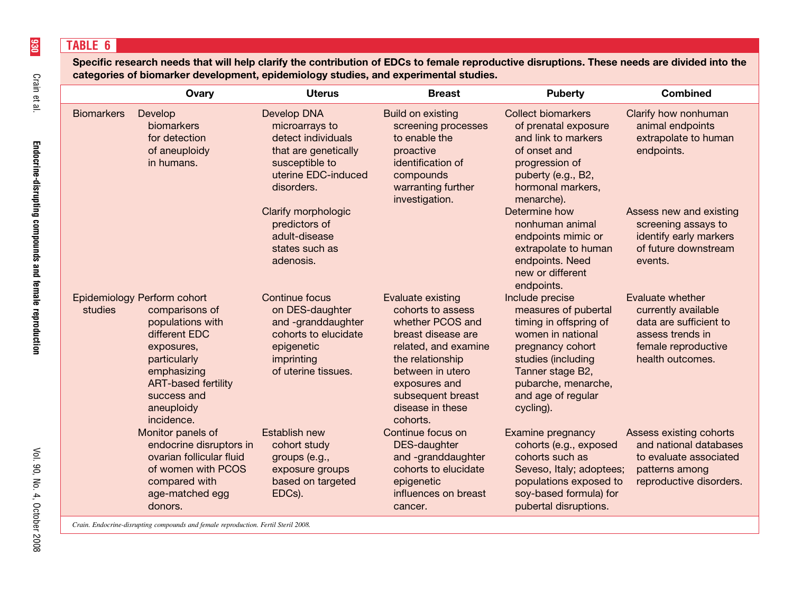# TABLE 6

Specific research needs that will help clarify the contribution of EDCs to female reproductive disruptions. These needs are divided into the categories of biomarker development, epidemiology studies, and experimental studies.

|                   | Ovary                                                                                                                                                                                                    | <b>Uterus</b>                                                                                                                             | <b>Breast</b>                                                                                                                                                                                                          | <b>Puberty</b>                                                                                                                                                                                                 | <b>Combined</b>                                                                                                                  |
|-------------------|----------------------------------------------------------------------------------------------------------------------------------------------------------------------------------------------------------|-------------------------------------------------------------------------------------------------------------------------------------------|------------------------------------------------------------------------------------------------------------------------------------------------------------------------------------------------------------------------|----------------------------------------------------------------------------------------------------------------------------------------------------------------------------------------------------------------|----------------------------------------------------------------------------------------------------------------------------------|
| <b>Biomarkers</b> | Develop<br>biomarkers<br>for detection<br>of aneuploidy<br>in humans.                                                                                                                                    | <b>Develop DNA</b><br>microarrays to<br>detect individuals<br>that are genetically<br>susceptible to<br>uterine EDC-induced<br>disorders. | <b>Build on existing</b><br>screening processes<br>to enable the<br>proactive<br>identification of<br>compounds<br>warranting further<br>investigation.                                                                | <b>Collect biomarkers</b><br>of prenatal exposure<br>and link to markers<br>of onset and<br>progression of<br>puberty (e.g., B2,<br>hormonal markers,<br>menarche).                                            | Clarify how nonhuman<br>animal endpoints<br>extrapolate to human<br>endpoints.                                                   |
|                   |                                                                                                                                                                                                          | Clarify morphologic<br>predictors of<br>adult-disease<br>states such as<br>adenosis.                                                      |                                                                                                                                                                                                                        | Determine how<br>nonhuman animal<br>endpoints mimic or<br>extrapolate to human<br>endpoints. Need<br>new or different<br>endpoints.                                                                            | Assess new and existing<br>screening assays to<br>identify early markers<br>of future downstream<br>events.                      |
| studies           | Epidemiology Perform cohort<br>comparisons of<br>populations with<br>different EDC<br>exposures,<br>particularly<br>emphasizing<br><b>ART-based fertility</b><br>success and<br>aneuploidy<br>incidence. | Continue focus<br>on DES-daughter<br>and -granddaughter<br>cohorts to elucidate<br>epigenetic<br>imprinting<br>of uterine tissues.        | Evaluate existing<br>cohorts to assess<br>whether PCOS and<br>breast disease are<br>related, and examine<br>the relationship<br>between in utero<br>exposures and<br>subsequent breast<br>disease in these<br>cohorts. | Include precise<br>measures of pubertal<br>timing in offspring of<br>women in national<br>pregnancy cohort<br>studies (including<br>Tanner stage B2,<br>pubarche, menarche,<br>and age of regular<br>cycling). | Evaluate whether<br>currently available<br>data are sufficient to<br>assess trends in<br>female reproductive<br>health outcomes. |
|                   | Monitor panels of<br>endocrine disruptors in<br>ovarian follicular fluid<br>of women with PCOS<br>compared with<br>age-matched egg<br>donors.                                                            | Establish new<br>cohort study<br>groups (e.g.,<br>exposure groups<br>based on targeted<br>EDCs).                                          | Continue focus on<br>DES-daughter<br>and -granddaughter<br>cohorts to elucidate<br>epigenetic<br>influences on breast<br>cancer.                                                                                       | Examine pregnancy<br>cohorts (e.g., exposed<br>cohorts such as<br>Seveso, Italy; adoptees;<br>populations exposed to<br>soy-based formula) for<br>pubertal disruptions.                                        | Assess existing cohorts<br>and national databases<br>to evaluate associated<br>patterns among<br>reproductive disorders.         |

<span id="page-19-0"></span>Crain. Endocrine-disrupting compounds and female reproduction. Fertil Steril 2008.

930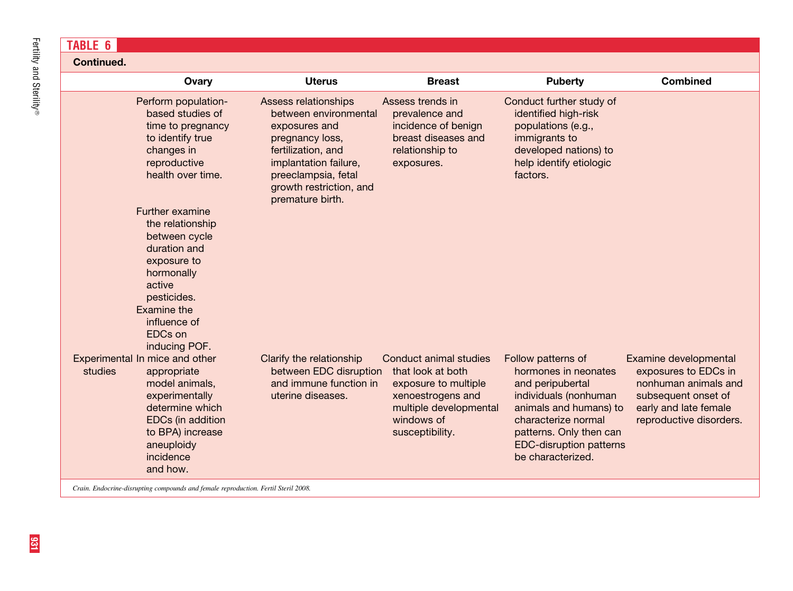# TABLE 6

# Continued.

|         | Ovary                                                                                                                                                                                        | <b>Uterus</b>                                                                                                                                                                                                 | <b>Breast</b>                                                                                                                                       | <b>Puberty</b>                                                                                                                                                                                                             | <b>Combined</b>                                                                                                                                  |
|---------|----------------------------------------------------------------------------------------------------------------------------------------------------------------------------------------------|---------------------------------------------------------------------------------------------------------------------------------------------------------------------------------------------------------------|-----------------------------------------------------------------------------------------------------------------------------------------------------|----------------------------------------------------------------------------------------------------------------------------------------------------------------------------------------------------------------------------|--------------------------------------------------------------------------------------------------------------------------------------------------|
|         | Perform population-<br>based studies of<br>time to pregnancy<br>to identify true<br>changes in<br>reproductive<br>health over time.                                                          | <b>Assess relationships</b><br>between environmental<br>exposures and<br>pregnancy loss,<br>fertilization, and<br>implantation failure,<br>preeclampsia, fetal<br>growth restriction, and<br>premature birth. | Assess trends in<br>prevalence and<br>incidence of benign<br>breast diseases and<br>relationship to<br>exposures.                                   | Conduct further study of<br>identified high-risk<br>populations (e.g.,<br>immigrants to<br>developed nations) to<br>help identify etiologic<br>factors.                                                                    |                                                                                                                                                  |
|         | Further examine<br>the relationship<br>between cycle<br>duration and<br>exposure to<br>hormonally<br>active<br>pesticides.<br><b>Examine the</b><br>influence of<br>EDCs on<br>inducing POF. |                                                                                                                                                                                                               |                                                                                                                                                     |                                                                                                                                                                                                                            |                                                                                                                                                  |
| studies | Experimental In mice and other<br>appropriate<br>model animals,<br>experimentally<br>determine which<br>EDCs (in addition<br>to BPA) increase<br>aneuploidy<br>incidence<br>and how.         | Clarify the relationship<br>between EDC disruption<br>and immune function in<br>uterine diseases.                                                                                                             | Conduct animal studies<br>that look at both<br>exposure to multiple<br>xenoestrogens and<br>multiple developmental<br>windows of<br>susceptibility. | Follow patterns of<br>hormones in neonates<br>and peripubertal<br>individuals (nonhuman<br>animals and humans) to<br>characterize normal<br>patterns. Only then can<br><b>EDC-disruption patterns</b><br>be characterized. | Examine developmental<br>exposures to EDCs in<br>nonhuman animals and<br>subsequent onset of<br>early and late female<br>reproductive disorders. |

Crain. Endocrine-disrupting compounds and female reproduction. Fertil Steril 2008.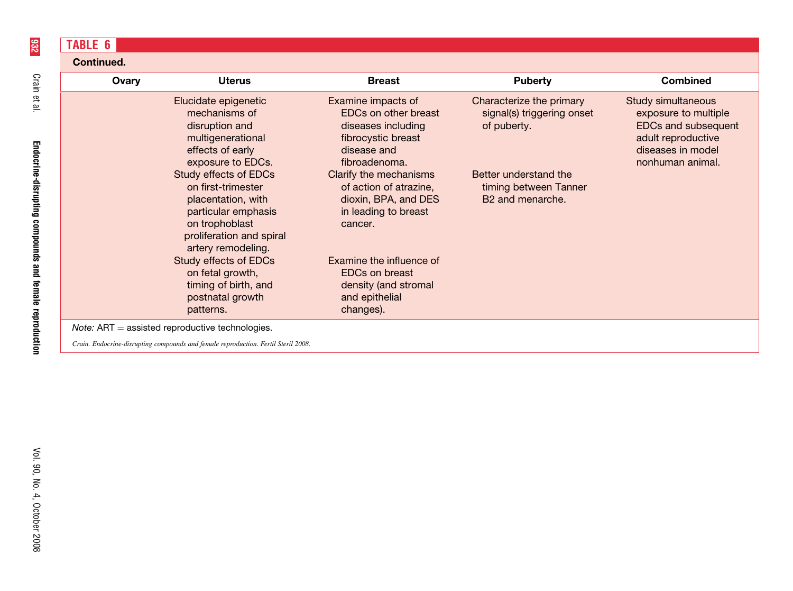| Ovary | <b>Uterus</b>                                                                                                                                                | <b>Breast</b>                                                                                                          | <b>Puberty</b>                                                                 | <b>Combined</b>                                                                                                                  |
|-------|--------------------------------------------------------------------------------------------------------------------------------------------------------------|------------------------------------------------------------------------------------------------------------------------|--------------------------------------------------------------------------------|----------------------------------------------------------------------------------------------------------------------------------|
|       | Elucidate epigenetic<br>mechanisms of<br>disruption and<br>multigenerational<br>effects of early<br>exposure to EDCs.                                        | Examine impacts of<br>EDCs on other breast<br>diseases including<br>fibrocystic breast<br>disease and<br>fibroadenoma. | Characterize the primary<br>signal(s) triggering onset<br>of puberty.          | Study simultaneous<br>exposure to multiple<br>EDCs and subsequent<br>adult reproductive<br>diseases in model<br>nonhuman animal. |
|       | Study effects of EDCs<br>on first-trimester<br>placentation, with<br>particular emphasis<br>on trophoblast<br>proliferation and spiral<br>artery remodeling. | Clarify the mechanisms<br>of action of atrazine,<br>dioxin, BPA, and DES<br>in leading to breast<br>cancer.            | Better understand the<br>timing between Tanner<br>B <sub>2</sub> and menarche. |                                                                                                                                  |
|       | Study effects of EDCs<br>on fetal growth,<br>timing of birth, and<br>postnatal growth<br>patterns.                                                           | Examine the influence of<br>EDC <sub>s</sub> on breast<br>density (and stromal<br>and epithelial<br>changes).          |                                                                                |                                                                                                                                  |
|       | <i>Note:</i> $ART =$ assisted reproductive technologies.                                                                                                     |                                                                                                                        |                                                                                |                                                                                                                                  |
|       | Crain. Endocrine-disrupting compounds and female reproduction. Fertil Steril 2008.                                                                           |                                                                                                                        |                                                                                |                                                                                                                                  |

932

Crain et al.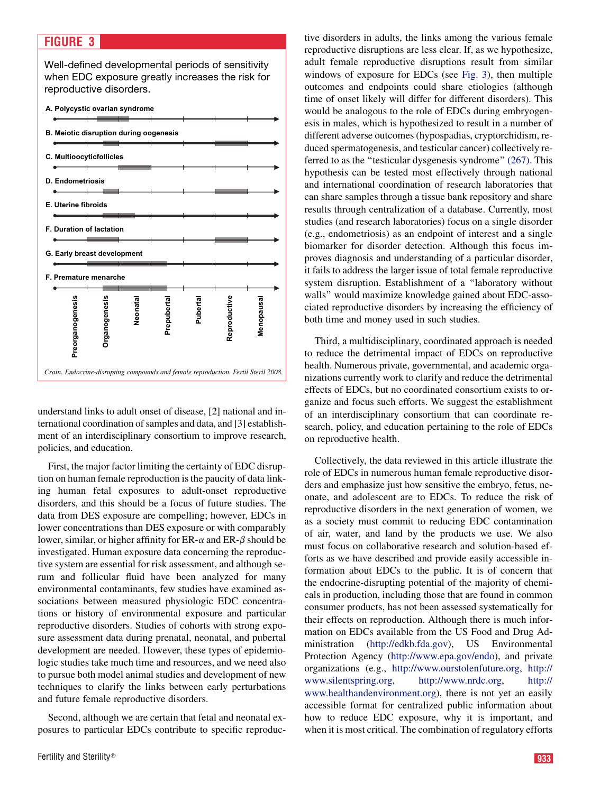## FIGURE 3

Well-defined developmental periods of sensitivity when EDC exposure greatly increases the risk for reproductive disorders.



understand links to adult onset of disease, [2] national and international coordination of samples and data, and [3] establishment of an interdisciplinary consortium to improve research, policies, and education.

First, the major factor limiting the certainty of EDC disruption on human female reproduction is the paucity of data linking human fetal exposures to adult-onset reproductive disorders, and this should be a focus of future studies. The data from DES exposure are compelling; however, EDCs in lower concentrations than DES exposure or with comparably lower, similar, or higher affinity for ER- $\alpha$  and ER- $\beta$  should be investigated. Human exposure data concerning the reproductive system are essential for risk assessment, and although serum and follicular fluid have been analyzed for many environmental contaminants, few studies have examined associations between measured physiologic EDC concentrations or history of environmental exposure and particular reproductive disorders. Studies of cohorts with strong exposure assessment data during prenatal, neonatal, and pubertal development are needed. However, these types of epidemiologic studies take much time and resources, and we need also to pursue both model animal studies and development of new techniques to clarify the links between early perturbations and future female reproductive disorders.

<span id="page-22-0"></span>Second, although we are certain that fetal and neonatal exposures to particular EDCs contribute to specific reproduc-

tive disorders in adults, the links among the various female reproductive disruptions are less clear. If, as we hypothesize, adult female reproductive disruptions result from similar windows of exposure for EDCs (see [Fig. 3](#page-22-0)), then multiple outcomes and endpoints could share etiologies (although time of onset likely will differ for different disorders). This would be analogous to the role of EDCs during embryogenesis in males, which is hypothesized to result in a number of different adverse outcomes (hypospadias, cryptorchidism, reduced spermatogenesis, and testicular cancer) collectively re-ferred to as the "testicular dysgenesis syndrome" [\(267\).](#page-29-1) This hypothesis can be tested most effectively through national and international coordination of research laboratories that can share samples through a tissue bank repository and share results through centralization of a database. Currently, most studies (and research laboratories) focus on a single disorder (e.g., endometriosis) as an endpoint of interest and a single biomarker for disorder detection. Although this focus improves diagnosis and understanding of a particular disorder, it fails to address the larger issue of total female reproductive system disruption. Establishment of a ''laboratory without walls'' would maximize knowledge gained about EDC-associated reproductive disorders by increasing the efficiency of both time and money used in such studies.

Third, a multidisciplinary, coordinated approach is needed to reduce the detrimental impact of EDCs on reproductive health. Numerous private, governmental, and academic organizations currently work to clarify and reduce the detrimental effects of EDCs, but no coordinated consortium exists to organize and focus such efforts. We suggest the establishment of an interdisciplinary consortium that can coordinate research, policy, and education pertaining to the role of EDCs on reproductive health.

Collectively, the data reviewed in this article illustrate the role of EDCs in numerous human female reproductive disorders and emphasize just how sensitive the embryo, fetus, neonate, and adolescent are to EDCs. To reduce the risk of reproductive disorders in the next generation of women, we as a society must commit to reducing EDC contamination of air, water, and land by the products we use. We also must focus on collaborative research and solution-based efforts as we have described and provide easily accessible information about EDCs to the public. It is of concern that the endocrine-disrupting potential of the majority of chemicals in production, including those that are found in common consumer products, has not been assessed systematically for their effects on reproduction. Although there is much information on EDCs available from the US Food and Drug Administration ([http://edkb.fda.gov\)](http://edkb.fda.gov), US Environmental Protection Agency [\(http://www.epa.gov/endo](http://www.epa.gov/endo)), and private organizations (e.g., [http://www.ourstolenfuture.org,](http://www.ourstolenfuture.org) [http://](http://www.silentspring.org) [www.silentspring.org,](http://www.silentspring.org) <http://www.nrdc.org>, [http://](http://www.healthandenvironment.org) [www.healthandenvironment.org](http://www.healthandenvironment.org)), there is not yet an easily accessible format for centralized public information about how to reduce EDC exposure, why it is important, and when it is most critical. The combination of regulatory efforts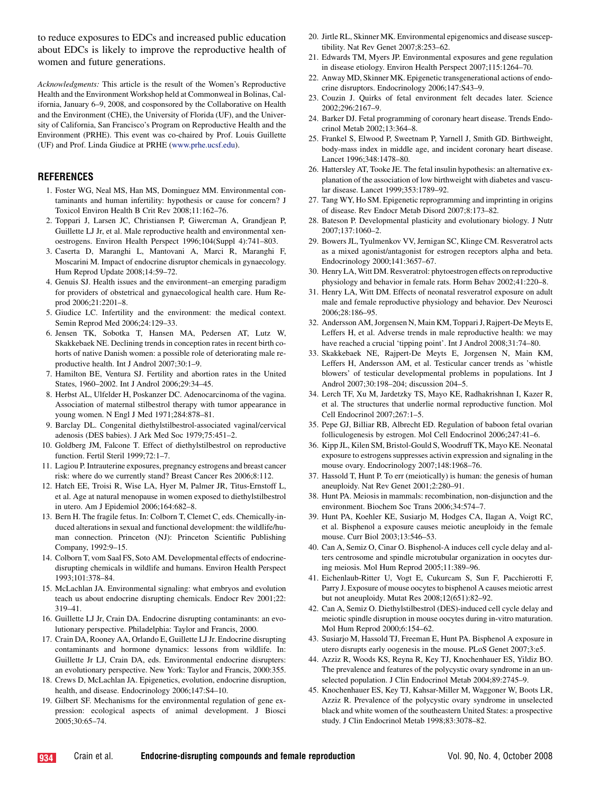to reduce exposures to EDCs and increased public education about EDCs is likely to improve the reproductive health of women and future generations.

Acknowledgments: This article is the result of the Women's Reproductive Health and the Environment Workshop held at Commonweal in Bolinas, California, January 6–9, 2008, and cosponsored by the Collaborative on Health and the Environment (CHE), the University of Florida (UF), and the University of California, San Francisco's Program on Reproductive Health and the Environment (PRHE). This event was co-chaired by Prof. Louis Guillette (UF) and Prof. Linda Giudice at PRHE ([www.prhe.ucsf.edu](http://www.prhe.ucsf.edu)).

#### **REFERENCES**

- 1. Foster WG, Neal MS, Han MS, Dominguez MM. Environmental contaminants and human infertility: hypothesis or cause for concern? J Toxicol Environ Health B Crit Rev 2008;11:162–76.
- 2. Toppari J, Larsen JC, Christiansen P, Giwercman A, Grandjean P, Guillette LJ Jr, et al. Male reproductive health and environmental xenoestrogens. Environ Health Perspect 1996;104(Suppl 4):741–803.
- 3. Caserta D, Maranghi L, Mantovani A, Marci R, Maranghi F, Moscarini M. Impact of endocrine disruptor chemicals in gynaecology. Hum Reprod Update 2008;14:59–72.
- 4. Genuis SJ. Health issues and the environment–an emerging paradigm for providers of obstetrical and gynaecological health care. Hum Reprod 2006;21:2201–8.
- 5. Giudice LC. Infertility and the environment: the medical context. Semin Reprod Med 2006;24:129–33.
- 6. Jensen TK, Sobotka T, Hansen MA, Pedersen AT, Lutz W, Skakkebaek NE. Declining trends in conception rates in recent birth cohorts of native Danish women: a possible role of deteriorating male reproductive health. Int J Androl 2007;30:1–9.
- 7. Hamilton BE, Ventura SJ. Fertility and abortion rates in the United States, 1960–2002. Int J Androl 2006;29:34–45.
- 8. Herbst AL, Ulfelder H, Poskanzer DC. Adenocarcinoma of the vagina. Association of maternal stilbestrol therapy with tumor appearance in young women. N Engl J Med 1971;284:878–81.
- 9. Barclay DL. Congenital diethylstilbestrol-associated vaginal/cervical adenosis (DES babies). J Ark Med Soc 1979;75:451–2.
- 10. Goldberg JM, Falcone T. Effect of diethylstilbestrol on reproductive function. Fertil Steril 1999;72:1–7.
- 11. Lagiou P. Intrauterine exposures, pregnancy estrogens and breast cancer risk: where do we currently stand? Breast Cancer Res 2006;8:112.
- 12. Hatch EE, Troisi R, Wise LA, Hyer M, Palmer JR, Titus-Ernstoff L, et al. Age at natural menopause in women exposed to diethylstilbestrol in utero. Am J Epidemiol 2006;164:682–8.
- 13. Bern H. The fragile fetus. In: Colborn T, Clemet C, eds. Chemically-induced alterations in sexual and functional development: the wildlife/human connection. Princeton (NJ): Princeton Scientific Publishing Company, 1992:9–15.
- 14. Colborn T, vom Saal FS, Soto AM. Developmental effects of endocrinedisrupting chemicals in wildlife and humans. Environ Health Perspect 1993;101:378–84.
- 15. McLachlan JA. Environmental signaling: what embryos and evolution teach us about endocrine disrupting chemicals. Endocr Rev 2001;22: 319–41.
- 16. Guillette LJ Jr, Crain DA. Endocrine disrupting contaminants: an evolutionary perspective. Philadelphia: Taylor and Francis, 2000.
- 17. Crain DA, Rooney AA, Orlando E, Guillette LJ Jr. Endocrine disrupting contaminants and hormone dynamics: lessons from wildlife. In: Guillette Jr LJ, Crain DA, eds. Environmental endocrine disrupters: an evolutionary perspective. New York: Taylor and Francis, 2000:355.
- 18. Crews D, McLachlan JA. Epigenetics, evolution, endocrine disruption, health, and disease. Endocrinology 2006;147:S4–10.
- <span id="page-23-0"></span>19. Gilbert SF. Mechanisms for the environmental regulation of gene expression: ecological aspects of animal development. J Biosci 2005;30:65–74.
- 20. Jirtle RL, Skinner MK. Environmental epigenomics and disease susceptibility. Nat Rev Genet 2007;8:253–62.
- 21. Edwards TM, Myers JP. Environmental exposures and gene regulation in disease etiology. Environ Health Perspect 2007;115:1264–70.
- 22. Anway MD, Skinner MK. Epigenetic transgenerational actions of endocrine disruptors. Endocrinology 2006;147:S43–9.
- 23. Couzin J. Quirks of fetal environment felt decades later. Science 2002;296:2167–9.
- 24. Barker DJ. Fetal programming of coronary heart disease. Trends Endocrinol Metab 2002;13:364–8.
- 25. Frankel S, Elwood P, Sweetnam P, Yarnell J, Smith GD. Birthweight, body-mass index in middle age, and incident coronary heart disease. Lancet 1996;348:1478–80.
- 26. Hattersley AT, Tooke JE. The fetal insulin hypothesis: an alternative explanation of the association of low birthweight with diabetes and vascular disease. Lancet 1999;353:1789–92.
- 27. Tang WY, Ho SM. Epigenetic reprogramming and imprinting in origins of disease. Rev Endocr Metab Disord 2007;8:173–82.
- 28. Bateson P. Developmental plasticity and evolutionary biology. J Nutr 2007;137:1060–2.
- 29. Bowers JL, Tyulmenkov VV, Jernigan SC, Klinge CM. Resveratrol acts as a mixed agonist/antagonist for estrogen receptors alpha and beta. Endocrinology 2000;141:3657–67.
- 30. Henry LA, Witt DM. Resveratrol: phytoestrogen effects on reproductive physiology and behavior in female rats. Horm Behav 2002;41:220–8.
- 31. Henry LA, Witt DM. Effects of neonatal resveratrol exposure on adult male and female reproductive physiology and behavior. Dev Neurosci 2006;28:186–95.
- 32. Andersson AM, Jorgensen N, Main KM, Toppari J, Rajpert-De Meyts E, Leffers H, et al. Adverse trends in male reproductive health: we may have reached a crucial 'tipping point'. Int J Androl 2008;31:74–80.
- 33. Skakkebaek NE, Rajpert-De Meyts E, Jorgensen N, Main KM, Leffers H, Andersson AM, et al. Testicular cancer trends as 'whistle blowers' of testicular developmental problems in populations. Int J Androl 2007;30:198–204; discussion 204–5.
- 34. Lerch TF, Xu M, Jardetzky TS, Mayo KE, Radhakrishnan I, Kazer R, et al. The structures that underlie normal reproductive function. Mol Cell Endocrinol 2007;267:1–5.
- 35. Pepe GJ, Billiar RB, Albrecht ED. Regulation of baboon fetal ovarian folliculogenesis by estrogen. Mol Cell Endocrinol 2006;247:41–6.
- 36. Kipp JL, Kilen SM, Bristol-Gould S, Woodruff TK, Mayo KE. Neonatal exposure to estrogens suppresses activin expression and signaling in the mouse ovary. Endocrinology 2007;148:1968–76.
- 37. Hassold T, Hunt P. To err (meiotically) is human: the genesis of human aneuploidy. Nat Rev Genet 2001;2:280–91.
- 38. Hunt PA. Meiosis in mammals: recombination, non-disjunction and the environment. Biochem Soc Trans 2006;34:574–7.
- 39. Hunt PA, Koehler KE, Susiarjo M, Hodges CA, Ilagan A, Voigt RC, et al. Bisphenol a exposure causes meiotic aneuploidy in the female mouse. Curr Biol 2003;13:546–53.
- 40. Can A, Semiz O, Cinar O. Bisphenol-A induces cell cycle delay and alters centrosome and spindle microtubular organization in oocytes during meiosis. Mol Hum Reprod 2005;11:389–96.
- 41. Eichenlaub-Ritter U, Vogt E, Cukurcam S, Sun F, Pacchierotti F, Parry J. Exposure of mouse oocytes to bisphenol A causes meiotic arrest but not aneuploidy. Mutat Res 2008;12(651):82–92.
- 42. Can A, Semiz O. Diethylstilbestrol (DES)-induced cell cycle delay and meiotic spindle disruption in mouse oocytes during in-vitro maturation. Mol Hum Reprod 2000;6:154–62.
- 43. Susiarjo M, Hassold TJ, Freeman E, Hunt PA. Bisphenol A exposure in utero disrupts early oogenesis in the mouse. PLoS Genet 2007;3:e5.
- 44. Azziz R, Woods KS, Reyna R, Key TJ, Knochenhauer ES, Yildiz BO. The prevalence and features of the polycystic ovary syndrome in an unselected population. J Clin Endocrinol Metab 2004;89:2745–9.
- 45. Knochenhauer ES, Key TJ, Kahsar-Miller M, Waggoner W, Boots LR, Azziz R. Prevalence of the polycystic ovary syndrome in unselected black and white women of the southeastern United States: a prospective study. J Clin Endocrinol Metab 1998;83:3078–82.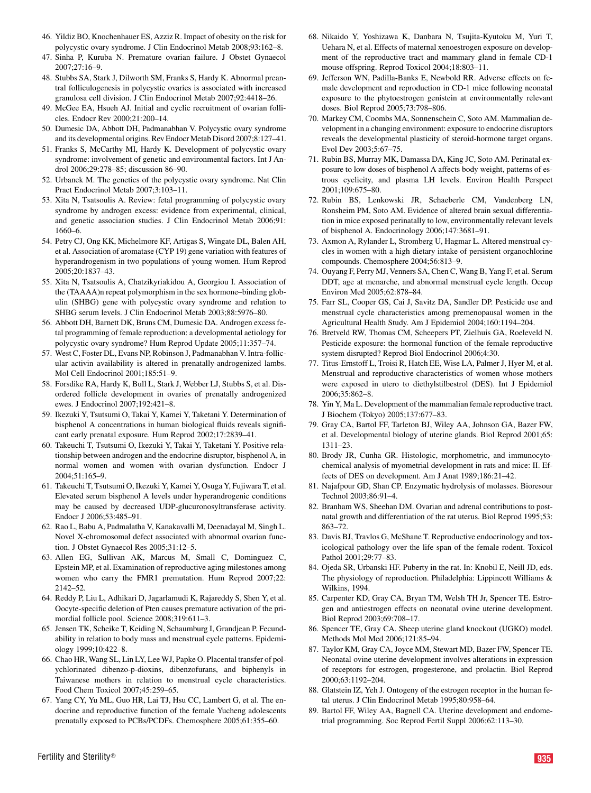- 46. Yildiz BO, Knochenhauer ES, Azziz R. Impact of obesity on the risk for polycystic ovary syndrome. J Clin Endocrinol Metab 2008;93:162–8.
- 47. Sinha P, Kuruba N. Premature ovarian failure. J Obstet Gynaecol 2007;27:16–9.
- 48. Stubbs SA, Stark J, Dilworth SM, Franks S, Hardy K. Abnormal preantral folliculogenesis in polycystic ovaries is associated with increased granulosa cell division. J Clin Endocrinol Metab 2007;92:4418–26.
- 49. McGee EA, Hsueh AJ. Initial and cyclic recruitment of ovarian follicles. Endocr Rev 2000;21:200–14.
- 50. Dumesic DA, Abbott DH, Padmanabhan V. Polycystic ovary syndrome and its developmental origins. Rev Endocr Metab Disord 2007;8:127–41.
- 51. Franks S, McCarthy MI, Hardy K. Development of polycystic ovary syndrome: involvement of genetic and environmental factors. Int J Androl 2006;29:278–85; discussion 86–90.
- 52. Urbanek M. The genetics of the polycystic ovary syndrome. Nat Clin Pract Endocrinol Metab 2007;3:103–11.
- 53. Xita N, Tsatsoulis A. Review: fetal programming of polycystic ovary syndrome by androgen excess: evidence from experimental, clinical, and genetic association studies. J Clin Endocrinol Metab 2006;91: 1660–6.
- 54. Petry CJ, Ong KK, Michelmore KF, Artigas S, Wingate DL, Balen AH, et al. Association of aromatase (CYP 19) gene variation with features of hyperandrogenism in two populations of young women. Hum Reprod 2005;20:1837–43.
- 55. Xita N, Tsatsoulis A, Chatzikyriakidou A, Georgiou I. Association of the (TAAAA)n repeat polymorphism in the sex hormone–binding globulin (SHBG) gene with polycystic ovary syndrome and relation to SHBG serum levels. J Clin Endocrinol Metab 2003;88:5976–80.
- 56. Abbott DH, Barnett DK, Bruns CM, Dumesic DA. Androgen excess fetal programming of female reproduction: a developmental aetiology for polycystic ovary syndrome? Hum Reprod Update 2005;11:357–74.
- 57. West C, Foster DL, Evans NP, Robinson J, Padmanabhan V. Intra-follicular activin availability is altered in prenatally-androgenized lambs. Mol Cell Endocrinol 2001;185:51–9.
- 58. Forsdike RA, Hardy K, Bull L, Stark J, Webber LJ, Stubbs S, et al. Disordered follicle development in ovaries of prenatally androgenized ewes. J Endocrinol 2007;192:421–8.
- 59. Ikezuki Y, Tsutsumi O, Takai Y, Kamei Y, Taketani Y. Determination of bisphenol A concentrations in human biological fluids reveals significant early prenatal exposure. Hum Reprod 2002;17:2839–41.
- 60. Takeuchi T, Tsutsumi O, Ikezuki Y, Takai Y, Taketani Y. Positive relationship between androgen and the endocrine disruptor, bisphenol A, in normal women and women with ovarian dysfunction. Endocr J 2004;51:165–9.
- 61. Takeuchi T, Tsutsumi O, Ikezuki Y, Kamei Y, Osuga Y, Fujiwara T, et al. Elevated serum bisphenol A levels under hyperandrogenic conditions may be caused by decreased UDP-glucuronosyltransferase activity. Endocr J 2006;53:485–91.
- 62. Rao L, Babu A, Padmalatha V, Kanakavalli M, Deenadayal M, Singh L. Novel X-chromosomal defect associated with abnormal ovarian function. J Obstet Gynaecol Res 2005;31:12–5.
- 63. Allen EG, Sullivan AK, Marcus M, Small C, Dominguez C, Epstein MP, et al. Examination of reproductive aging milestones among women who carry the FMR1 premutation. Hum Reprod 2007;22: 2142–52.
- 64. Reddy P, Liu L, Adhikari D, Jagarlamudi K, Rajareddy S, Shen Y, et al. Oocyte-specific deletion of Pten causes premature activation of the primordial follicle pool. Science 2008;319:611–3.
- 65. Jensen TK, Scheike T, Keiding N, Schaumburg I, Grandjean P. Fecundability in relation to body mass and menstrual cycle patterns. Epidemiology 1999;10:422–8.
- 66. Chao HR, Wang SL, Lin LY, Lee WJ, Papke O. Placental transfer of polychlorinated dibenzo-p-dioxins, dibenzofurans, and biphenyls in Taiwanese mothers in relation to menstrual cycle characteristics. Food Chem Toxicol 2007;45:259–65.
- <span id="page-24-0"></span>67. Yang CY, Yu ML, Guo HR, Lai TJ, Hsu CC, Lambert G, et al. The endocrine and reproductive function of the female Yucheng adolescents prenatally exposed to PCBs/PCDFs. Chemosphere 2005;61:355–60.
- 68. Nikaido Y, Yoshizawa K, Danbara N, Tsujita-Kyutoku M, Yuri T, Uehara N, et al. Effects of maternal xenoestrogen exposure on development of the reproductive tract and mammary gland in female CD-1 mouse offspring. Reprod Toxicol 2004;18:803–11.
- 69. Jefferson WN, Padilla-Banks E, Newbold RR. Adverse effects on female development and reproduction in CD-1 mice following neonatal exposure to the phytoestrogen genistein at environmentally relevant doses. Biol Reprod 2005;73:798–806.
- 70. Markey CM, Coombs MA, Sonnenschein C, Soto AM. Mammalian development in a changing environment: exposure to endocrine disruptors reveals the developmental plasticity of steroid-hormone target organs. Evol Dev 2003;5:67–75.
- 71. Rubin BS, Murray MK, Damassa DA, King JC, Soto AM. Perinatal exposure to low doses of bisphenol A affects body weight, patterns of estrous cyclicity, and plasma LH levels. Environ Health Perspect 2001;109:675–80.
- 72. Rubin BS, Lenkowski JR, Schaeberle CM, Vandenberg LN, Ronsheim PM, Soto AM. Evidence of altered brain sexual differentiation in mice exposed perinatally to low, environmentally relevant levels of bisphenol A. Endocrinology 2006;147:3681–91.
- 73. Axmon A, Rylander L, Stromberg U, Hagmar L. Altered menstrual cycles in women with a high dietary intake of persistent organochlorine compounds. Chemosphere 2004;56:813–9.
- 74. Ouyang F, Perry MJ, Venners SA, Chen C, Wang B, Yang F, et al. Serum DDT, age at menarche, and abnormal menstrual cycle length. Occup Environ Med 2005;62:878–84.
- 75. Farr SL, Cooper GS, Cai J, Savitz DA, Sandler DP. Pesticide use and menstrual cycle characteristics among premenopausal women in the Agricultural Health Study. Am J Epidemiol 2004;160:1194–204.
- 76. Bretveld RW, Thomas CM, Scheepers PT, Zielhuis GA, Roeleveld N. Pesticide exposure: the hormonal function of the female reproductive system disrupted? Reprod Biol Endocrinol 2006;4:30.
- 77. Titus-Ernstoff L, Troisi R, Hatch EE, Wise LA, Palmer J, Hyer M, et al. Menstrual and reproductive characteristics of women whose mothers were exposed in utero to diethylstilbestrol (DES). Int J Epidemiol 2006;35:862–8.
- 78. Yin Y, Ma L. Development of the mammalian female reproductive tract. J Biochem (Tokyo) 2005;137:677–83.
- 79. Gray CA, Bartol FF, Tarleton BJ, Wiley AA, Johnson GA, Bazer FW, et al. Developmental biology of uterine glands. Biol Reprod 2001;65: 1311–23.
- 80. Brody JR, Cunha GR. Histologic, morphometric, and immunocytochemical analysis of myometrial development in rats and mice: II. Effects of DES on development. Am J Anat 1989;186:21–42.
- 81. Najafpour GD, Shan CP. Enzymatic hydrolysis of molasses. Bioresour Technol 2003;86:91–4.
- 82. Branham WS, Sheehan DM. Ovarian and adrenal contributions to postnatal growth and differentiation of the rat uterus. Biol Reprod 1995;53: 863–72.
- 83. Davis BJ, Travlos G, McShane T. Reproductive endocrinology and toxicological pathology over the life span of the female rodent. Toxicol Pathol 2001;29:77–83.
- 84. Ojeda SR, Urbanski HF. Puberty in the rat. In: Knobil E, Neill JD, eds. The physiology of reproduction. Philadelphia: Lippincott Williams & Wilkins, 1994.
- 85. Carpenter KD, Gray CA, Bryan TM, Welsh TH Jr, Spencer TE. Estrogen and antiestrogen effects on neonatal ovine uterine development. Biol Reprod 2003;69:708–17.
- 86. Spencer TE, Gray CA. Sheep uterine gland knockout (UGKO) model. Methods Mol Med 2006;121:85–94.
- 87. Taylor KM, Gray CA, Joyce MM, Stewart MD, Bazer FW, Spencer TE. Neonatal ovine uterine development involves alterations in expression of receptors for estrogen, progesterone, and prolactin. Biol Reprod 2000;63:1192–204.
- 88. Glatstein IZ, Yeh J. Ontogeny of the estrogen receptor in the human fetal uterus. J Clin Endocrinol Metab 1995;80:958–64.
- 89. Bartol FF, Wiley AA, Bagnell CA. Uterine development and endometrial programming. Soc Reprod Fertil Suppl 2006;62:113–30.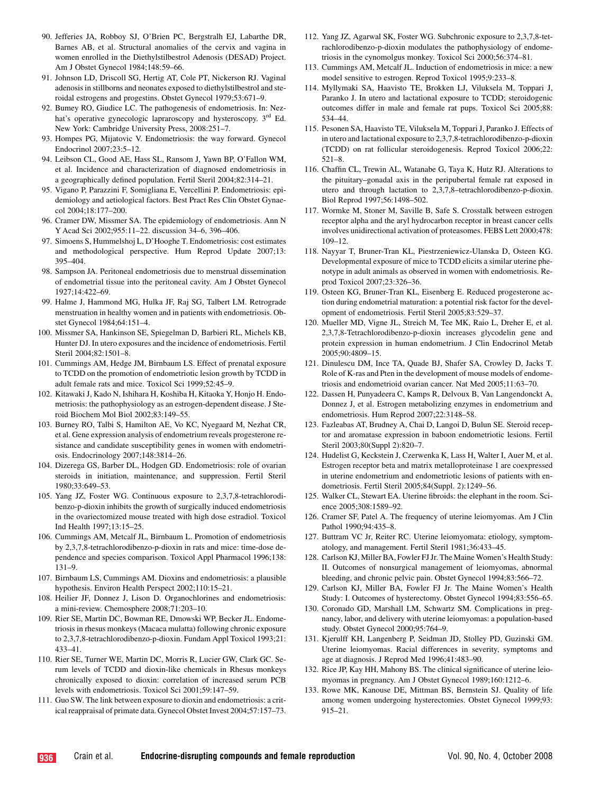- 90. Jefferies JA, Robboy SJ, O'Brien PC, Bergstralh EJ, Labarthe DR, Barnes AB, et al. Structural anomalies of the cervix and vagina in women enrolled in the Diethylstilbestrol Adenosis (DESAD) Project. Am J Obstet Gynecol 1984;148:59–66.
- 91. Johnson LD, Driscoll SG, Hertig AT, Cole PT, Nickerson RJ. Vaginal adenosis in stillborns and neonates exposed to diethylstilbestrol and steroidal estrogens and progestins. Obstet Gynecol 1979;53:671–9.
- 92. Bumey RO, Giudice LC. The pathogenesis of endometriosis. In: Nezhat's operative gynecologic lapraroscopy and hysteroscopy. 3<sup>rd</sup> Ed. New York: Cambridge University Press, 2008:251–7.
- 93. Hompes PG, Mijatovic V. Endometriosis: the way forward. Gynecol Endocrinol 2007;23:5–12.
- 94. Leibson CL, Good AE, Hass SL, Ransom J, Yawn BP, O'Fallon WM, et al. Incidence and characterization of diagnosed endometriosis in a geographically defined population. Fertil Steril 2004;82:314–21.
- 95. Vigano P, Parazzini F, Somigliana E, Vercellini P. Endometriosis: epidemiology and aetiological factors. Best Pract Res Clin Obstet Gynaecol 2004;18:177–200.
- 96. Cramer DW, Missmer SA. The epidemiology of endometriosis. Ann N Y Acad Sci 2002;955:11–22. discussion 34–6, 396–406.
- 97. Simoens S, Hummelshoj L, D'Hooghe T. Endometriosis: cost estimates and methodological perspective. Hum Reprod Update 2007;13: 395–404.
- 98. Sampson JA. Peritoneal endometriosis due to menstrual dissemination of endometrial tissue into the peritoneal cavity. Am J Obstet Gynecol 1927;14:422–69.
- 99. Halme J, Hammond MG, Hulka JF, Raj SG, Talbert LM. Retrograde menstruation in healthy women and in patients with endometriosis. Obstet Gynecol 1984;64:151–4.
- 100. Missmer SA, Hankinson SE, Spiegelman D, Barbieri RL, Michels KB, Hunter DJ. In utero exposures and the incidence of endometriosis. Fertil Steril 2004;82:1501–8.
- 101. Cummings AM, Hedge JM, Birnbaum LS. Effect of prenatal exposure to TCDD on the promotion of endometriotic lesion growth by TCDD in adult female rats and mice. Toxicol Sci 1999;52:45–9.
- 102. Kitawaki J, Kado N, Ishihara H, Koshiba H, Kitaoka Y, Honjo H. Endometriosis: the pathophysiology as an estrogen-dependent disease. J Steroid Biochem Mol Biol 2002;83:149–55.
- 103. Burney RO, Talbi S, Hamilton AE, Vo KC, Nyegaard M, Nezhat CR, et al. Gene expression analysis of endometrium reveals progesterone resistance and candidate susceptibility genes in women with endometriosis. Endocrinology 2007;148:3814–26.
- 104. Dizerega GS, Barber DL, Hodgen GD. Endometriosis: role of ovarian steroids in initiation, maintenance, and suppression. Fertil Steril 1980;33:649–53.
- 105. Yang JZ, Foster WG. Continuous exposure to 2,3,7,8-tetrachlorodibenzo-p-dioxin inhibits the growth of surgically induced endometriosis in the ovariectomized mouse treated with high dose estradiol. Toxicol Ind Health 1997;13:15–25.
- 106. Cummings AM, Metcalf JL, Birnbaum L. Promotion of endometriosis by 2,3,7,8-tetrachlorodibenzo-p-dioxin in rats and mice: time-dose dependence and species comparison. Toxicol Appl Pharmacol 1996;138: 131–9.
- 107. Birnbaum LS, Cummings AM. Dioxins and endometriosis: a plausible hypothesis. Environ Health Perspect 2002;110:15–21.
- 108. Heilier JF, Donnez J, Lison D. Organochlorines and endometriosis: a mini-review. Chemosphere 2008;71:203–10.
- 109. Rier SE, Martin DC, Bowman RE, Dmowski WP, Becker JL. Endometriosis in rhesus monkeys (Macaca mulatta) following chronic exposure to 2,3,7,8-tetrachlorodibenzo-p-dioxin. Fundam Appl Toxicol 1993;21: 433–41.
- 110. Rier SE, Turner WE, Martin DC, Morris R, Lucier GW, Clark GC. Serum levels of TCDD and dioxin-like chemicals in Rhesus monkeys chronically exposed to dioxin: correlation of increased serum PCB levels with endometriosis. Toxicol Sci 2001;59:147–59.
- 111. Guo SW. The link between exposure to dioxin and endometriosis: a critical reappraisal of primate data. Gynecol Obstet Invest 2004;57:157–73.
- 112. Yang JZ, Agarwal SK, Foster WG. Subchronic exposure to 2,3,7,8-tetrachlorodibenzo-p-dioxin modulates the pathophysiology of endometriosis in the cynomolgus monkey. Toxicol Sci 2000;56:374–81.
- 113. Cummings AM, Metcalf JL. Induction of endometriosis in mice: a new model sensitive to estrogen. Reprod Toxicol 1995;9:233–8.
- 114. Myllymaki SA, Haavisto TE, Brokken LJ, Viluksela M, Toppari J, Paranko J. In utero and lactational exposure to TCDD; steroidogenic outcomes differ in male and female rat pups. Toxicol Sci 2005;88: 534–44.
- 115. Pesonen SA, Haavisto TE, Viluksela M, Toppari J, Paranko J. Effects of in utero and lactational exposure to 2,3,7,8-tetrachlorodibenzo-p-dioxin (TCDD) on rat follicular steroidogenesis. Reprod Toxicol 2006;22: 521–8.
- 116. Chaffin CL, Trewin AL, Watanabe G, Taya K, Hutz RJ. Alterations to the pituitary–gonadal axis in the peripubertal female rat exposed in utero and through lactation to 2,3,7,8–tetrachlorodibenzo-p-dioxin. Biol Reprod 1997;56:1498–502.
- 117. Wormke M, Stoner M, Saville B, Safe S. Crosstalk between estrogen receptor alpha and the aryl hydrocarbon receptor in breast cancer cells involves unidirectional activation of proteasomes. FEBS Lett 2000;478: 109–12.
- 118. Nayyar T, Bruner-Tran KL, Piestrzeniewicz-Ulanska D, Osteen KG. Developmental exposure of mice to TCDD elicits a similar uterine phenotype in adult animals as observed in women with endometriosis. Reprod Toxicol 2007;23:326–36.
- 119. Osteen KG, Bruner-Tran KL, Eisenberg E. Reduced progesterone action during endometrial maturation: a potential risk factor for the development of endometriosis. Fertil Steril 2005;83:529–37.
- 120. Mueller MD, Vigne JL, Streich M, Tee MK, Raio L, Dreher E, et al. 2,3,7,8-Tetrachlorodibenzo-p-dioxin increases glycodelin gene and protein expression in human endometrium. J Clin Endocrinol Metab 2005;90:4809–15.
- 121. Dinulescu DM, Ince TA, Quade BJ, Shafer SA, Crowley D, Jacks T. Role of K-ras and Pten in the development of mouse models of endometriosis and endometrioid ovarian cancer. Nat Med 2005;11:63–70.
- 122. Dassen H, Punyadeera C, Kamps R, Delvoux B, Van Langendonckt A, Donnez J, et al. Estrogen metabolizing enzymes in endometrium and endometriosis. Hum Reprod 2007;22:3148–58.
- 123. Fazleabas AT, Brudney A, Chai D, Langoi D, Bulun SE. Steroid receptor and aromatase expression in baboon endometriotic lesions. Fertil Steril 2003;80(Suppl 2):820–7.
- 124. Hudelist G, Keckstein J, Czerwenka K, Lass H, Walter I, Auer M, et al. Estrogen receptor beta and matrix metalloproteinase 1 are coexpressed in uterine endometrium and endometriotic lesions of patients with endometriosis. Fertil Steril 2005;84(Suppl. 2):1249–56.
- 125. Walker CL, Stewart EA. Uterine fibroids: the elephant in the room. Science 2005;308:1589–92.
- 126. Cramer SF, Patel A. The frequency of uterine leiomyomas. Am J Clin Pathol 1990;94:435–8.
- 127. Buttram VC Jr, Reiter RC. Uterine leiomyomata: etiology, symptomatology, and management. Fertil Steril 1981;36:433–45.
- 128. Carlson KJ, Miller BA, Fowler FJ Jr. The Maine Women's Health Study: II. Outcomes of nonsurgical management of leiomyomas, abnormal bleeding, and chronic pelvic pain. Obstet Gynecol 1994;83:566–72.
- 129. Carlson KJ, Miller BA, Fowler FJ Jr. The Maine Women's Health Study: I. Outcomes of hysterectomy. Obstet Gynecol 1994;83:556–65.
- 130. Coronado GD, Marshall LM, Schwartz SM. Complications in pregnancy, labor, and delivery with uterine leiomyomas: a population-based study. Obstet Gynecol 2000;95:764–9.
- 131. Kjerulff KH, Langenberg P, Seidman JD, Stolley PD, Guzinski GM. Uterine leiomyomas. Racial differences in severity, symptoms and age at diagnosis. J Reprod Med 1996;41:483–90.
- 132. Rice JP, Kay HH, Mahony BS. The clinical significance of uterine leiomyomas in pregnancy. Am J Obstet Gynecol 1989;160:1212–6.
- 133. Rowe MK, Kanouse DE, Mittman BS, Bernstein SJ. Quality of life among women undergoing hysterectomies. Obstet Gynecol 1999;93: 915–21.

<span id="page-25-0"></span>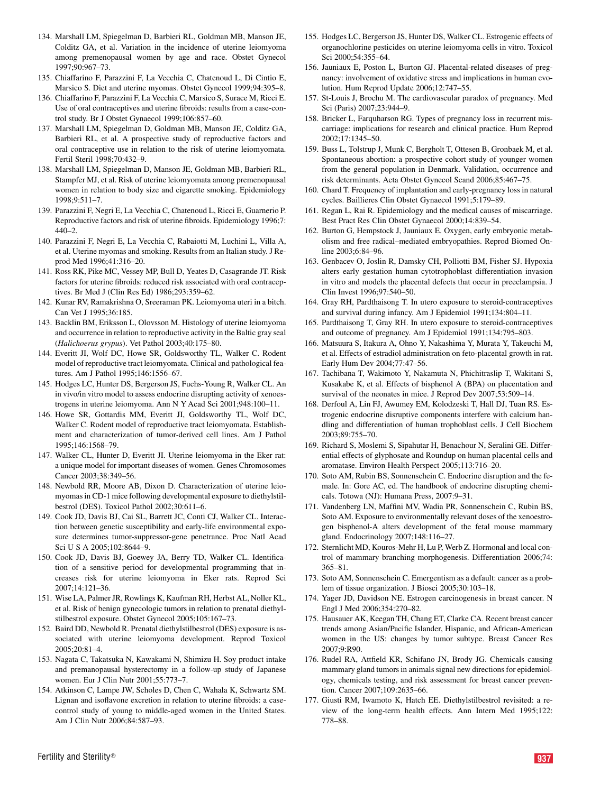- 134. Marshall LM, Spiegelman D, Barbieri RL, Goldman MB, Manson JE, Colditz GA, et al. Variation in the incidence of uterine leiomyoma among premenopausal women by age and race. Obstet Gynecol 1997;90:967–73.
- 135. Chiaffarino F, Parazzini F, La Vecchia C, Chatenoud L, Di Cintio E, Marsico S. Diet and uterine myomas. Obstet Gynecol 1999;94:395–8.
- 136. Chiaffarino F, Parazzini F, La Vecchia C, Marsico S, Surace M, Ricci E. Use of oral contraceptives and uterine fibroids: results from a case-control study. Br J Obstet Gynaecol 1999;106:857–60.
- 137. Marshall LM, Spiegelman D, Goldman MB, Manson JE, Colditz GA, Barbieri RL, et al. A prospective study of reproductive factors and oral contraceptive use in relation to the risk of uterine leiomyomata. Fertil Steril 1998;70:432–9.
- 138. Marshall LM, Spiegelman D, Manson JE, Goldman MB, Barbieri RL, Stampfer MJ, et al. Risk of uterine leiomyomata among premenopausal women in relation to body size and cigarette smoking. Epidemiology 1998;9:511–7.
- 139. Parazzini F, Negri E, La Vecchia C, Chatenoud L, Ricci E, Guarnerio P. Reproductive factors and risk of uterine fibroids. Epidemiology 1996;7:  $440 - 2$ .
- 140. Parazzini F, Negri E, La Vecchia C, Rabaiotti M, Luchini L, Villa A, et al. Uterine myomas and smoking. Results from an Italian study. J Reprod Med 1996;41:316–20.
- 141. Ross RK, Pike MC, Vessey MP, Bull D, Yeates D, Casagrande JT. Risk factors for uterine fibroids: reduced risk associated with oral contraceptives. Br Med J (Clin Res Ed) 1986;293:359–62.
- 142. Kunar RV, Ramakrishna O, Sreeraman PK. Leiomyoma uteri in a bitch. Can Vet J 1995;36:185.
- 143. Backlin BM, Eriksson L, Olovsson M. Histology of uterine leiomyoma and occurrence in relation to reproductive activity in the Baltic gray seal (Halichoerus grypus). Vet Pathol 2003;40:175–80.
- 144. Everitt JI, Wolf DC, Howe SR, Goldsworthy TL, Walker C. Rodent model of reproductive tract leiomyomata. Clinical and pathological features. Am J Pathol 1995;146:1556–67.
- 145. Hodges LC, Hunter DS, Bergerson JS, Fuchs-Young R, Walker CL. An in vivo/in vitro model to assess endocrine disrupting activity of xenoestrogens in uterine leiomyoma. Ann N Y Acad Sci 2001;948:100–11.
- 146. Howe SR, Gottardis MM, Everitt JI, Goldsworthy TL, Wolf DC, Walker C. Rodent model of reproductive tract leiomyomata. Establishment and characterization of tumor-derived cell lines. Am J Pathol 1995;146:1568–79.
- 147. Walker CL, Hunter D, Everitt JI. Uterine leiomyoma in the Eker rat: a unique model for important diseases of women. Genes Chromosomes Cancer 2003;38:349–56.
- 148. Newbold RR, Moore AB, Dixon D. Characterization of uterine leiomyomas in CD-1 mice following developmental exposure to diethylstilbestrol (DES). Toxicol Pathol 2002;30:611–6.
- 149. Cook JD, Davis BJ, Cai SL, Barrett JC, Conti CJ, Walker CL. Interaction between genetic susceptibility and early-life environmental exposure determines tumor-suppressor-gene penetrance. Proc Natl Acad Sci U S A 2005;102:8644–9.
- 150. Cook JD, Davis BJ, Goewey JA, Berry TD, Walker CL. Identification of a sensitive period for developmental programming that increases risk for uterine leiomyoma in Eker rats. Reprod Sci 2007;14:121–36.
- 151. Wise LA, Palmer JR, Rowlings K, Kaufman RH, Herbst AL, Noller KL, et al. Risk of benign gynecologic tumors in relation to prenatal diethylstilbestrol exposure. Obstet Gynecol 2005;105:167–73.
- 152. Baird DD, Newbold R. Prenatal diethylstilbestrol (DES) exposure is associated with uterine leiomyoma development. Reprod Toxicol 2005;20:81–4.
- 153. Nagata C, Takatsuka N, Kawakami N, Shimizu H. Soy product intake and premanopausal hysterectomy in a follow-up study of Japanese women. Eur J Clin Nutr 2001;55:773–7.
- <span id="page-26-0"></span>154. Atkinson C, Lampe JW, Scholes D, Chen C, Wahala K, Schwartz SM. Lignan and isoflavone excretion in relation to uterine fibroids: a casecontrol study of young to middle-aged women in the United States. Am J Clin Nutr 2006;84:587–93.
- 155. Hodges LC, Bergerson JS, Hunter DS, Walker CL. Estrogenic effects of organochlorine pesticides on uterine leiomyoma cells in vitro. Toxicol Sci 2000;54:355–64.
- 156. Jauniaux E, Poston L, Burton GJ. Placental-related diseases of pregnancy: involvement of oxidative stress and implications in human evolution. Hum Reprod Update 2006;12:747–55.
- 157. St-Louis J, Brochu M. The cardiovascular paradox of pregnancy. Med Sci (Paris) 2007;23:944–9.
- 158. Bricker L, Farquharson RG. Types of pregnancy loss in recurrent miscarriage: implications for research and clinical practice. Hum Reprod 2002;17:1345–50.
- 159. Buss L, Tolstrup J, Munk C, Bergholt T, Ottesen B, Gronbaek M, et al. Spontaneous abortion: a prospective cohort study of younger women from the general population in Denmark. Validation, occurrence and risk determinants. Acta Obstet Gynecol Scand 2006;85:467–75.
- 160. Chard T. Frequency of implantation and early-pregnancy loss in natural cycles. Baillieres Clin Obstet Gynaecol 1991;5:179–89.
- 161. Regan L, Rai R. Epidemiology and the medical causes of miscarriage. Best Pract Res Clin Obstet Gynaecol 2000;14:839–54.
- 162. Burton G, Hempstock J, Jauniaux E. Oxygen, early embryonic metabolism and free radical–mediated embryopathies. Reprod Biomed Online 2003;6:84–96.
- 163. Genbacev O, Joslin R, Damsky CH, Polliotti BM, Fisher SJ. Hypoxia alters early gestation human cytotrophoblast differentiation invasion in vitro and models the placental defects that occur in preeclampsia. J Clin Invest 1996;97:540–50.
- 164. Gray RH, Pardthaisong T. In utero exposure to steroid-contraceptives and survival during infancy. Am J Epidemiol 1991;134:804–11.
- 165. Pardthaisong T, Gray RH. In utero exposure to steroid-contraceptives and outcome of pregnancy. Am J Epidemiol 1991;134:795–803.
- 166. Matsuura S, Itakura A, Ohno Y, Nakashima Y, Murata Y, Takeuchi M, et al. Effects of estradiol administration on feto-placental growth in rat. Early Hum Dev 2004;77:47–56.
- 167. Tachibana T, Wakimoto Y, Nakamuta N, Phichitraslip T, Wakitani S, Kusakabe K, et al. Effects of bisphenol A (BPA) on placentation and survival of the neonates in mice. J Reprod Dev 2007;53:509–14.
- 168. Derfoul A, Lin FJ, Awumey EM, Kolodzeski T, Hall DJ, Tuan RS. Estrogenic endocrine disruptive components interfere with calcium handling and differentiation of human trophoblast cells. J Cell Biochem 2003;89:755–70.
- 169. Richard S, Moslemi S, Sipahutar H, Benachour N, Seralini GE. Differential effects of glyphosate and Roundup on human placental cells and aromatase. Environ Health Perspect 2005;113:716–20.
- 170. Soto AM, Rubin BS, Sonnenschein C. Endocrine disruption and the female. In: Gore AC, ed. The handbook of endocrine disrupting chemicals. Totowa (NJ): Humana Press, 2007:9–31.
- 171. Vandenberg LN, Maffini MV, Wadia PR, Sonnenschein C, Rubin BS, Soto AM. Exposure to environmentally relevant doses of the xenoestrogen bisphenol-A alters development of the fetal mouse mammary gland. Endocrinology 2007;148:116–27.
- 172. Sternlicht MD, Kouros-Mehr H, Lu P, Werb Z. Hormonal and local control of mammary branching morphogenesis. Differentiation 2006;74: 365–81.
- 173. Soto AM, Sonnenschein C. Emergentism as a default: cancer as a problem of tissue organization. J Biosci 2005;30:103–18.
- 174. Yager JD, Davidson NE. Estrogen carcinogenesis in breast cancer. N Engl J Med 2006;354:270–82.
- 175. Hausauer AK, Keegan TH, Chang ET, Clarke CA. Recent breast cancer trends among Asian/Pacific Islander, Hispanic, and African-American women in the US: changes by tumor subtype. Breast Cancer Res 2007;9:R90.
- 176. Rudel RA, Attfield KR, Schifano JN, Brody JG. Chemicals causing mammary gland tumors in animals signal new directions for epidemiology, chemicals testing, and risk assessment for breast cancer prevention. Cancer 2007;109:2635–66.
- 177. Giusti RM, Iwamoto K, Hatch EE. Diethylstilbestrol revisited: a review of the long-term health effects. Ann Intern Med 1995;122: 778–88.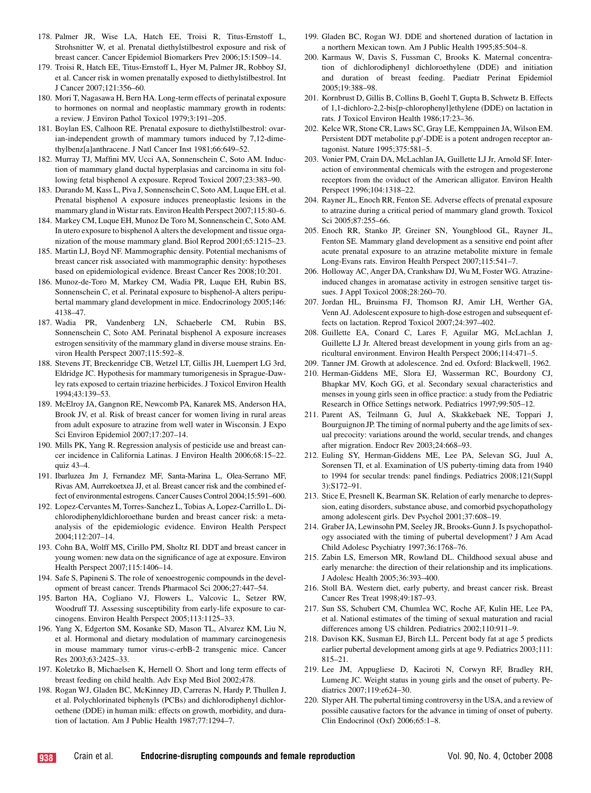- 178. Palmer JR, Wise LA, Hatch EE, Troisi R, Titus-Ernstoff L, Strohsnitter W, et al. Prenatal diethylstilbestrol exposure and risk of breast cancer. Cancer Epidemiol Biomarkers Prev 2006;15:1509–14.
- 179. Troisi R, Hatch EE, Titus-Ernstoff L, Hyer M, Palmer JR, Robboy SJ, et al. Cancer risk in women prenatally exposed to diethylstilbestrol. Int J Cancer 2007;121:356–60.
- 180. Mori T, Nagasawa H, Bern HA. Long-term effects of perinatal exposure to hormones on normal and neoplastic mammary growth in rodents: a review. J Environ Pathol Toxicol 1979;3:191–205.
- 181. Boylan ES, Calhoon RE. Prenatal exposure to diethylstilbestrol: ovarian-independent growth of mammary tumors induced by 7,12-dimethylbenz[a]anthracene. J Natl Cancer Inst 1981;66:649–52.
- 182. Murray TJ, Maffini MV, Ucci AA, Sonnenschein C, Soto AM. Induction of mammary gland ductal hyperplasias and carcinoma in situ following fetal bisphenol A exposure. Reprod Toxicol 2007;23:383–90.
- 183. Durando M, Kass L, Piva J, Sonnenschein C, Soto AM, Luque EH, et al. Prenatal bisphenol A exposure induces preneoplastic lesions in the mammary gland in Wistar rats. Environ Health Perspect 2007;115:80–6.
- 184. Markey CM, Luque EH, Munoz De Toro M, Sonnenschein C, Soto AM. In utero exposure to bisphenol A alters the development and tissue organization of the mouse mammary gland. Biol Reprod 2001;65:1215–23.
- 185. Martin LJ, Boyd NF. Mammographic density. Potential mechanisms of breast cancer risk associated with mammographic density: hypotheses based on epidemiological evidence. Breast Cancer Res 2008;10:201.
- 186. Munoz-de-Toro M, Markey CM, Wadia PR, Luque EH, Rubin BS, Sonnenschein C, et al. Perinatal exposure to bisphenol-A alters peripubertal mammary gland development in mice. Endocrinology 2005;146: 4138–47.
- 187. Wadia PR, Vandenberg LN, Schaeberle CM, Rubin BS, Sonnenschein C, Soto AM. Perinatal bisphenol A exposure increases estrogen sensitivity of the mammary gland in diverse mouse strains. Environ Health Perspect 2007;115:592–8.
- 188. Stevens JT, Breckenridge CB, Wetzel LT, Gillis JH, Luempert LG 3rd, Eldridge JC. Hypothesis for mammary tumorigenesis in Sprague-Dawley rats exposed to certain triazine herbicides. J Toxicol Environ Health 1994;43:139–53.
- 189. McElroy JA, Gangnon RE, Newcomb PA, Kanarek MS, Anderson HA, Brook JV, et al. Risk of breast cancer for women living in rural areas from adult exposure to atrazine from well water in Wisconsin. J Expo Sci Environ Epidemiol 2007;17:207–14.
- 190. Mills PK, Yang R. Regression analysis of pesticide use and breast cancer incidence in California Latinas. J Environ Health 2006;68:15–22. quiz 43–4.
- 191. Ibarluzea Jm J, Fernandez MF, Santa-Marina L, Olea-Serrano MF, Rivas AM, Aurrekoetxea JJ, et al. Breast cancer risk and the combined effect of environmental estrogens. Cancer Causes Control 2004;15:591–600.
- 192. Lopez-Cervantes M, Torres-Sanchez L, Tobias A, Lopez-Carrillo L. Dichlorodiphenyldichloroethane burden and breast cancer risk: a metaanalysis of the epidemiologic evidence. Environ Health Perspect 2004;112:207–14.
- 193. Cohn BA, Wolff MS, Cirillo PM, Sholtz RI. DDT and breast cancer in young women: new data on the significance of age at exposure. Environ Health Perspect 2007;115:1406–14.
- 194. Safe S, Papineni S. The role of xenoestrogenic compounds in the development of breast cancer. Trends Pharmacol Sci 2006;27:447–54.
- 195. Barton HA, Cogliano VJ, Flowers L, Valcovic L, Setzer RW, Woodruff TJ. Assessing susceptibility from early-life exposure to carcinogens. Environ Health Perspect 2005;113:1125–33.
- 196. Yang X, Edgerton SM, Kosanke SD, Mason TL, Alvarez KM, Liu N, et al. Hormonal and dietary modulation of mammary carcinogenesis in mouse mammary tumor virus-c-erbB-2 transgenic mice. Cancer Res 2003;63:2425–33.
- 197. Koletzko B, Michaelsen K, Hernell O. Short and long term effects of breast feeding on child health. Adv Exp Med Biol 2002;478.
- <span id="page-27-0"></span>198. Rogan WJ, Gladen BC, McKinney JD, Carreras N, Hardy P, Thullen J, et al. Polychlorinated biphenyls (PCBs) and dichlorodiphenyl dichloroethene (DDE) in human milk: effects on growth, morbidity, and duration of lactation. Am J Public Health 1987;77:1294–7.
- 199. Gladen BC, Rogan WJ. DDE and shortened duration of lactation in a northern Mexican town. Am J Public Health 1995;85:504–8.
- 200. Karmaus W, Davis S, Fussman C, Brooks K. Maternal concentration of dichlorodiphenyl dichloroethylene (DDE) and initiation and duration of breast feeding. Paediatr Perinat Epidemiol 2005;19:388–98.
- 201. Kornbrust D, Gillis B, Collins B, Goehl T, Gupta B, Schwetz B. Effects of 1,1-dichloro-2,2-bis[p-chlorophenyl]ethylene (DDE) on lactation in rats. J Toxicol Environ Health 1986;17:23–36.
- 202. Kelce WR, Stone CR, Laws SC, Gray LE, Kemppainen JA, Wilson EM. Persistent DDT metabolite p,p'-DDE is a potent androgen receptor antagonist. Nature 1995;375:581–5.
- 203. Vonier PM, Crain DA, McLachlan JA, Guillette LJ Jr, Arnold SF. Interaction of environmental chemicals with the estrogen and progesterone receptors from the oviduct of the American alligator. Environ Health Perspect 1996;104:1318–22.
- 204. Rayner JL, Enoch RR, Fenton SE. Adverse effects of prenatal exposure to atrazine during a critical period of mammary gland growth. Toxicol Sci 2005;87:255–66.
- 205. Enoch RR, Stanko JP, Greiner SN, Youngblood GL, Rayner JL, Fenton SE. Mammary gland development as a sensitive end point after acute prenatal exposure to an atrazine metabolite mixture in female Long-Evans rats. Environ Health Perspect 2007;115:541–7.
- 206. Holloway AC, Anger DA, Crankshaw DJ, Wu M, Foster WG. Atrazineinduced changes in aromatase activity in estrogen sensitive target tissues. J Appl Toxicol 2008;28:260–70.
- 207. Jordan HL, Bruinsma FJ, Thomson RJ, Amir LH, Werther GA, Venn AJ. Adolescent exposure to high-dose estrogen and subsequent effects on lactation. Reprod Toxicol 2007;24:397–402.
- 208. Guillette EA, Conard C, Lares F, Aguilar MG, McLachlan J, Guillette LJ Jr. Altered breast development in young girls from an agricultural environment. Environ Health Perspect 2006;114:471–5.
- 209. Tanner JM. Growth at adolescence. 2nd ed. Oxford: Blackwell, 1962.
- 210. Herman-Giddens ME, Slora EJ, Wasserman RC, Bourdony CJ, Bhapkar MV, Koch GG, et al. Secondary sexual characteristics and menses in young girls seen in office practice: a study from the Pediatric Research in Office Settings network. Pediatrics 1997;99:505–12.
- 211. Parent AS, Teilmann G, Juul A, Skakkebaek NE, Toppari J, Bourguignon JP. The timing of normal puberty and the age limits of sexual precocity: variations around the world, secular trends, and changes after migration. Endocr Rev 2003;24:668–93.
- 212. Euling SY, Herman-Giddens ME, Lee PA, Selevan SG, Juul A, Sorensen TI, et al. Examination of US puberty-timing data from 1940 to 1994 for secular trends: panel findings. Pediatrics 2008;121(Suppl 3):S172–91.
- 213. Stice E, Presnell K, Bearman SK. Relation of early menarche to depression, eating disorders, substance abuse, and comorbid psychopathology among adolescent girls. Dev Psychol 2001;37:608–19.
- 214. Graber JA, Lewinsohn PM, Seeley JR, Brooks-Gunn J. Is psychopathology associated with the timing of pubertal development? J Am Acad Child Adolesc Psychiatry 1997;36:1768–76.
- 215. Zabin LS, Emerson MR, Rowland DL. Childhood sexual abuse and early menarche: the direction of their relationship and its implications. J Adolesc Health 2005;36:393–400.
- 216. Stoll BA. Western diet, early puberty, and breast cancer risk. Breast Cancer Res Treat 1998;49:187–93.
- 217. Sun SS, Schubert CM, Chumlea WC, Roche AF, Kulin HE, Lee PA, et al. National estimates of the timing of sexual maturation and racial differences among US children. Pediatrics 2002;110:911–9.
- 218. Davison KK, Susman EJ, Birch LL. Percent body fat at age 5 predicts earlier pubertal development among girls at age 9. Pediatrics 2003;111: 815–21.
- 219. Lee JM, Appugliese D, Kaciroti N, Corwyn RF, Bradley RH, Lumeng JC. Weight status in young girls and the onset of puberty. Pediatrics 2007;119:e624–30.
- 220. Slyper AH. The pubertal timing controversy in the USA, and a review of possible causative factors for the advance in timing of onset of puberty. Clin Endocrinol (Oxf) 2006;65:1–8.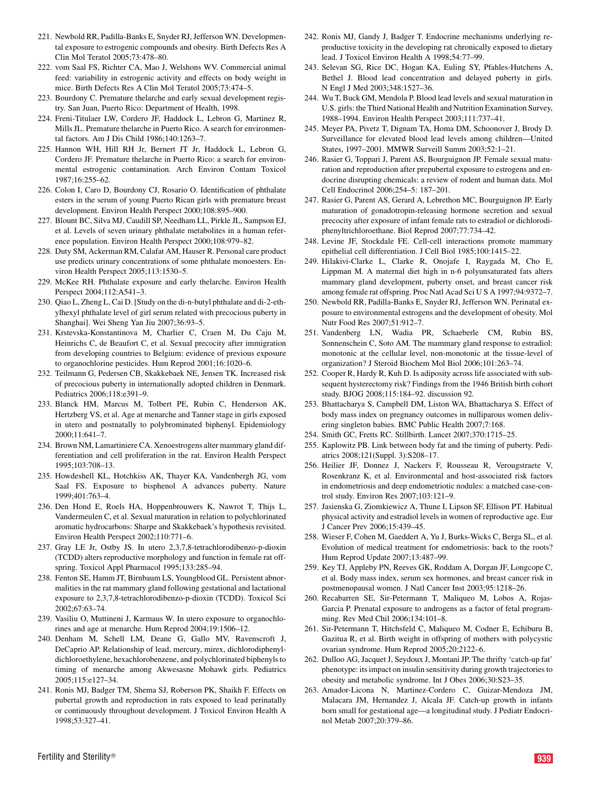- 221. Newbold RR, Padilla-Banks E, Snyder RJ, Jefferson WN. Developmental exposure to estrogenic compounds and obesity. Birth Defects Res A Clin Mol Teratol 2005;73:478–80.
- 222. vom Saal FS, Richter CA, Mao J, Welshons WV. Commercial animal feed: variability in estrogenic activity and effects on body weight in mice. Birth Defects Res A Clin Mol Teratol 2005;73:474–5.
- 223. Bourdony C. Premature thelarche and early sexual development registry. San Juan, Puerto Rico: Department of Health, 1998.
- 224. Freni-Titulaer LW, Cordero JF, Haddock L, Lebron G, Martinez R, Mills JL. Premature thelarche in Puerto Rico. A search for environmental factors. Am J Dis Child 1986;140:1263–7.
- 225. Hannon WH, Hill RH Jr, Bernert JT Jr, Haddock L, Lebron G, Cordero JF. Premature thelarche in Puerto Rico: a search for environmental estrogenic contamination. Arch Environ Contam Toxicol 1987;16:255–62.
- 226. Colon I, Caro D, Bourdony CJ, Rosario O. Identification of phthalate esters in the serum of young Puerto Rican girls with premature breast development. Environ Health Perspect 2000;108:895–900.
- 227. Blount BC, Silva MJ, Caudill SP, Needham LL, Pirkle JL, Sampson EJ, et al. Levels of seven urinary phthalate metabolites in a human reference population. Environ Health Perspect 2000;108:979–82.
- 228. Duty SM, Ackerman RM, Calafat AM, Hauser R. Personal care product use predicts urinary concentrations of some phthalate monoesters. Environ Health Perspect 2005;113:1530–5.
- 229. McKee RH. Phthalate exposure and early thelarche. Environ Health Perspect 2004;112:A541–3.
- 230. Qiao L, Zheng L, Cai D. [Study on the di-n-butyl phthalate and di-2-ethylhexyl phthalate level of girl serum related with precocious puberty in Shanghai]. Wei Sheng Yan Jiu 2007;36:93–5.
- 231. Krstevska-Konstantinova M, Charlier C, Craen M, Du Caju M, Heinrichs C, de Beaufort C, et al. Sexual precocity after immigration from developing countries to Belgium: evidence of previous exposure to organochlorine pesticides. Hum Reprod 2001;16:1020–6.
- 232. Teilmann G, Pedersen CB, Skakkebaek NE, Jensen TK. Increased risk of precocious puberty in internationally adopted children in Denmark. Pediatrics 2006;118:e391–9.
- 233. Blanck HM, Marcus M, Tolbert PE, Rubin C, Henderson AK, Hertzberg VS, et al. Age at menarche and Tanner stage in girls exposed in utero and postnatally to polybrominated biphenyl. Epidemiology 2000;11:641–7.
- 234. Brown NM, Lamartiniere CA. Xenoestrogens alter mammary gland differentiation and cell proliferation in the rat. Environ Health Perspect 1995;103:708–13.
- 235. Howdeshell KL, Hotchkiss AK, Thayer KA, Vandenbergh JG, vom Saal FS. Exposure to bisphenol A advances puberty. Nature 1999;401:763–4.
- 236. Den Hond E, Roels HA, Hoppenbrouwers K, Nawrot T, Thijs L, Vandermeulen C, et al. Sexual maturation in relation to polychlorinated aromatic hydrocarbons: Sharpe and Skakkebaek's hypothesis revisited. Environ Health Perspect 2002;110:771–6.
- 237. Gray LE Jr, Ostby JS. In utero 2,3,7,8-tetrachlorodibenzo-p-dioxin (TCDD) alters reproductive morphology and function in female rat offspring. Toxicol Appl Pharmacol 1995;133:285–94.
- 238. Fenton SE, Hamm JT, Birnbaum LS, Youngblood GL. Persistent abnormalities in the rat mammary gland following gestational and lactational exposure to 2,3,7,8-tetrachlorodibenzo-p-dioxin (TCDD). Toxicol Sci 2002;67:63–74.
- 239. Vasiliu O, Muttineni J, Karmaus W. In utero exposure to organochlorines and age at menarche. Hum Reprod 2004;19:1506–12.
- 240. Denham M, Schell LM, Deane G, Gallo MV, Ravenscroft J, DeCaprio AP. Relationship of lead, mercury, mirex, dichlorodiphenyldichloroethylene, hexachlorobenzene, and polychlorinated biphenyls to timing of menarche among Akwesasne Mohawk girls. Pediatrics 2005;115:e127–34.
- <span id="page-28-0"></span>241. Ronis MJ, Badger TM, Shema SJ, Roberson PK, Shaikh F. Effects on pubertal growth and reproduction in rats exposed to lead perinatally or continuously throughout development. J Toxicol Environ Health A 1998;53:327–41.
- 242. Ronis MJ, Gandy J, Badger T. Endocrine mechanisms underlying reproductive toxicity in the developing rat chronically exposed to dietary lead. J Toxicol Environ Health A 1998;54:77–99.
- 243. Selevan SG, Rice DC, Hogan KA, Euling SY, Pfahles-Hutchens A, Bethel J. Blood lead concentration and delayed puberty in girls. N Engl J Med 2003;348:1527–36.
- 244. Wu T, Buck GM, Mendola P. Blood lead levels and sexual maturation in U.S. girls: the Third National Health and Nutrition Examination Survey, 1988–1994. Environ Health Perspect 2003;111:737–41.
- 245. Meyer PA, Pivetz T, Dignam TA, Homa DM, Schoonover J, Brody D. Surveillance for elevated blood lead levels among children—United States, 1997–2001. MMWR Surveill Summ 2003;52:1–21.
- 246. Rasier G, Toppari J, Parent AS, Bourguignon JP. Female sexual maturation and reproduction after prepubertal exposure to estrogens and endocrine disrupting chemicals: a review of rodent and human data. Mol Cell Endocrinol 2006;254–5: 187–201.
- 247. Rasier G, Parent AS, Gerard A, Lebrethon MC, Bourguignon JP. Early maturation of gonadotropin-releasing hormone secretion and sexual precocity after exposure of infant female rats to estradiol or dichlorodiphenyltrichloroethane. Biol Reprod 2007;77:734–42.
- 248. Levine JF, Stockdale FE. Cell-cell interactions promote mammary epithelial cell differentiation. J Cell Biol 1985;100:1415–22.
- 249. Hilakivi-Clarke L, Clarke R, Onojafe I, Raygada M, Cho E, Lippman M. A maternal diet high in n-6 polyunsaturated fats alters mammary gland development, puberty onset, and breast cancer risk among female rat offspring. Proc Natl Acad Sci U S A 1997;94:9372–7.
- 250. Newbold RR, Padilla-Banks E, Snyder RJ, Jefferson WN. Perinatal exposure to environmental estrogens and the development of obesity. Mol Nutr Food Res 2007;51:912–7.
- 251. Vandenberg LN, Wadia PR, Schaeberle CM, Rubin BS, Sonnenschein C, Soto AM. The mammary gland response to estradiol: monotonic at the cellular level, non-monotonic at the tissue-level of organization? J Steroid Biochem Mol Biol 2006;101:263–74.
- 252. Cooper R, Hardy R, Kuh D. Is adiposity across life associated with subsequent hysterectomy risk? Findings from the 1946 British birth cohort study. BJOG 2008;115:184–92. discussion 92.
- 253. Bhattacharya S, Campbell DM, Liston WA, Bhattacharya S. Effect of body mass index on pregnancy outcomes in nulliparous women delivering singleton babies. BMC Public Health 2007;7:168.
- 254. Smith GC, Fretts RC. Stillbirth. Lancet 2007;370:1715–25.
- 255. Kaplowitz PB. Link between body fat and the timing of puberty. Pediatrics 2008;121(Suppl. 3):S208–17.
- 256. Heilier JF, Donnez J, Nackers F, Rousseau R, Verougstraete V, Rosenkranz K, et al. Environmental and host-associated risk factors in endometriosis and deep endometriotic nodules: a matched case-control study. Environ Res 2007;103:121–9.
- 257. Jasienska G, Ziomkiewicz A, Thune I, Lipson SF, Ellison PT. Habitual physical activity and estradiol levels in women of reproductive age. Eur J Cancer Prev 2006;15:439–45.
- 258. Wieser F, Cohen M, Gaeddert A, Yu J, Burks-Wicks C, Berga SL, et al. Evolution of medical treatment for endometriosis: back to the roots? Hum Reprod Update 2007;13:487–99.
- 259. Key TJ, Appleby PN, Reeves GK, Roddam A, Dorgan JF, Longcope C, et al. Body mass index, serum sex hormones, and breast cancer risk in postmenopausal women. J Natl Cancer Inst 2003;95:1218–26.
- 260. Recabarren SE, Sir-Petermann T, Maliqueo M, Lobos A, Rojas-Garcia P. Prenatal exposure to androgens as a factor of fetal programming. Rev Med Chil 2006;134:101–8.
- 261. Sir-Petermann T, Hitchsfeld C, Maliqueo M, Codner E, Echiburu B, Gazitua R, et al. Birth weight in offspring of mothers with polycystic ovarian syndrome. Hum Reprod 2005;20:2122–6.
- 262. Dulloo AG, Jacquet J, Seydoux J, Montani JP. The thrifty 'catch-up fat' phenotype: its impact on insulin sensitivity during growth trajectories to obesity and metabolic syndrome. Int J Obes 2006;30:S23–35.
- 263. Amador-Licona N, Martinez-Cordero C, Guizar-Mendoza JM, Malacara JM, Hernandez J, Alcala JF. Catch-up growth in infants born small for gestational age—a longitudinal study. J Pediatr Endocrinol Metab 2007;20:379–86.